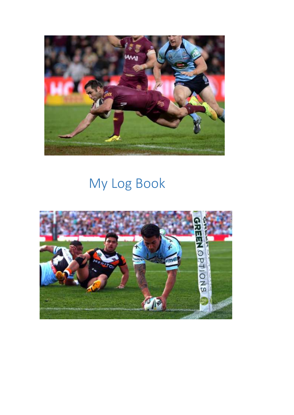

## My Log Book

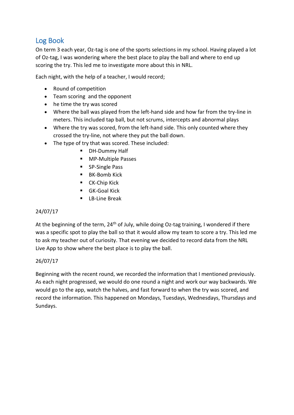## Log Book

On term 3 each year, Oz-tag is one of the sports selections in my school. Having played a lot of Oz-tag, I was wondering where the best place to play the ball and where to end up scoring the try. This led me to investigate more about this in NRL.

Each night, with the help of a teacher, I would record;

- Round of competition
- Team scoring and the opponent
- he time the try was scored
- Where the ball was played from the left-hand side and how far from the try-line in meters. This included tap ball, but not scrums, intercepts and abnormal plays
- Where the try was scored, from the left-hand side. This only counted where they crossed the try-line, not where they put the ball down.
- The type of try that was scored. These included:
	- **DH-Dummy Half**
	- **MP-Multiple Passes**
	- **SP-Single Pass**
	- **BK-Bomb Kick**
	- **CK-Chip Kick**
	- GK-Goal Kick
	- **E** LB-Line Break

## 24/07/17

At the beginning of the term,  $24<sup>th</sup>$  of July, while doing Oz-tag training, I wondered if there was a specific spot to play the ball so that it would allow my team to score a try. This led me to ask my teacher out of curiosity. That evening we decided to record data from the NRL Live App to show where the best place is to play the ball.

## 26/07/17

Beginning with the recent round, we recorded the information that I mentioned previously. As each night progressed, we would do one round a night and work our way backwards. We would go to the app, watch the halves, and fast forward to when the try was scored, and record the information. This happened on Mondays, Tuesdays, Wednesdays, Thursdays and Sundays.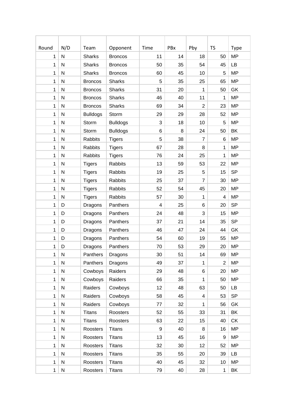| Round        | N/D          | Team            | Opponent        | Time | PBx | Pby            | <b>TS</b>      | Type      |
|--------------|--------------|-----------------|-----------------|------|-----|----------------|----------------|-----------|
| $\mathbf{1}$ | N            | <b>Sharks</b>   | <b>Broncos</b>  | 11   | 14  | 18             | 50             | <b>MP</b> |
| $\mathbf{1}$ | N            | <b>Sharks</b>   | <b>Broncos</b>  | 50   | 35  | 54             | 45             | <b>LB</b> |
| $\mathbf{1}$ | ${\sf N}$    | <b>Sharks</b>   | <b>Broncos</b>  | 60   | 45  | 10             | 5              | <b>MP</b> |
| 1            | $\mathsf{N}$ | <b>Broncos</b>  | <b>Sharks</b>   | 5    | 35  | 25             | 65             | <b>MP</b> |
| $\mathbf 1$  | N            | <b>Broncos</b>  | <b>Sharks</b>   | 31   | 20  | $\mathbf{1}$   | 50             | GK        |
| $\mathbf{1}$ | $\mathsf{N}$ | <b>Broncos</b>  | <b>Sharks</b>   | 46   | 40  | 11             | $\mathbf{1}$   | <b>MP</b> |
| $\mathbf{1}$ | N            | <b>Broncos</b>  | <b>Sharks</b>   | 69   | 34  | $\overline{2}$ | 23             | <b>MP</b> |
| $\mathbf{1}$ | ${\sf N}$    | <b>Bulldogs</b> | Storm           | 29   | 29  | 28             | 52             | <b>MP</b> |
| 1            | $\mathsf{N}$ | Storm           | <b>Bulldogs</b> | 3    | 18  | 10             | 5              | <b>MP</b> |
| $\mathbf 1$  | $\mathsf{N}$ | Storm           | <b>Bulldogs</b> | 6    | 8   | 24             | 50             | BK        |
| $\mathbf{1}$ | $\mathsf{N}$ | <b>Rabbits</b>  | <b>Tigers</b>   | 5    | 38  | $\overline{7}$ | 6              | <b>MP</b> |
| $\mathbf{1}$ | N            | Rabbits         | <b>Tigers</b>   | 67   | 28  | 8              | $\mathbf{1}$   | <b>MP</b> |
| 1            | ${\sf N}$    | Rabbits         | <b>Tigers</b>   | 76   | 24  | 25             | $\mathbf{1}$   | <b>MP</b> |
| 1            | $\mathsf{N}$ | <b>Tigers</b>   | Rabbits         | 13   | 59  | 53             | 22             | <b>MP</b> |
| $\mathbf 1$  | $\mathsf{N}$ | <b>Tigers</b>   | Rabbits         | 19   | 25  | 5              | 15             | <b>SP</b> |
| $\mathbf{1}$ | $\mathsf{N}$ | <b>Tigers</b>   | Rabbits         | 25   | 37  | $\overline{7}$ | 30             | <b>MP</b> |
| $\mathbf{1}$ | N            | <b>Tigers</b>   | Rabbits         | 52   | 54  | 45             | 20             | <b>MP</b> |
| 1            | ${\sf N}$    | <b>Tigers</b>   | Rabbits         | 57   | 30  | $\mathbf{1}$   | 4              | <b>MP</b> |
| $\mathbf 1$  | D            | Dragons         | Panthers        | 4    | 25  | 6              | 20             | <b>SP</b> |
| 1            | D            | Dragons         | Panthers        | 24   | 48  | 3              | 15             | <b>MP</b> |
| $\mathbf{1}$ | D            | Dragons         | Panthers        | 37   | 21  | 14             | 35             | <b>SP</b> |
| $\mathbf 1$  | D            | Dragons         | Panthers        | 46   | 47  | 24             | 44             | GK        |
| $\mathbf 1$  | D            | Dragons         | Panthers        | 54   | 60  | 19             | 55             | <b>MP</b> |
| $\mathbf 1$  | D            | Dragons         | Panthers        | 70   | 53  | 29             | 20             | <b>MP</b> |
| 1            | N            | Panthers        | Dragons         | 30   | 51  | 14             | 69             | <b>MP</b> |
| $\mathbf{1}$ | ${\sf N}$    | Panthers        | Dragons         | 49   | 37  | $\mathbf{1}$   | $\overline{2}$ | <b>MP</b> |
| $\mathbf{1}$ | $\mathsf{N}$ | Cowboys         | Raiders         | 29   | 48  | 6              | 20             | <b>MP</b> |
| $\mathbf{1}$ | $\mathsf{N}$ | Cowboys         | Raiders         | 66   | 35  | $\mathbf{1}$   | 50             | <b>MP</b> |
| $\mathbf 1$  | $\mathsf{N}$ | Raiders         | Cowboys         | 12   | 48  | 63             | 50             | <b>LB</b> |
| $\mathbf{1}$ | $\mathsf{N}$ | Raiders         | Cowboys         | 58   | 45  | 4              | 53             | <b>SP</b> |
| $\mathbf 1$  | ${\sf N}$    | Raiders         | Cowboys         | 77   | 32  | 1              | 56             | GK        |
| $\mathbf 1$  | ${\sf N}$    | <b>Titans</b>   | Roosters        | 52   | 55  | 33             | 31             | BK        |
| $\mathbf{1}$ | ${\sf N}$    | <b>Titans</b>   | Roosters        | 63   | 22  | 15             | 40             | <b>CK</b> |
| $\mathbf{1}$ | $\mathsf{N}$ | Roosters        | <b>Titans</b>   | 9    | 40  | 8              | 16             | <b>MP</b> |
| $\mathbf{1}$ | $\mathsf{N}$ | Roosters        | <b>Titans</b>   | 13   | 45  | 16             | 9              | <b>MP</b> |
| $\mathbf 1$  | ${\sf N}$    | Roosters        | <b>Titans</b>   | 32   | 30  | 12             | 52             | <b>MP</b> |
| $\mathbf 1$  | ${\sf N}$    | Roosters        | <b>Titans</b>   | 35   | 55  | 20             | 39             | LB        |
| $\mathbf{1}$ | ${\sf N}$    | Roosters        | <b>Titans</b>   | 40   | 45  | 32             | 10             | <b>MP</b> |
| $\mathbf{1}$ | ${\sf N}$    | Roosters        | <b>Titans</b>   | 79   | 40  | 28             | $\mathbf{1}$   | BK        |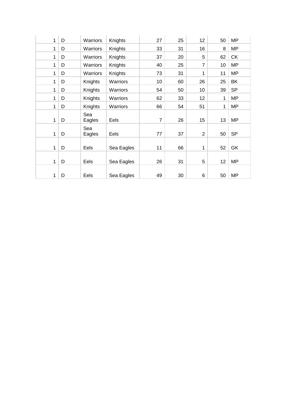| 1 | D | Warriors      | Knights    | 27             | 25 | 12             | 50 | MP        |
|---|---|---------------|------------|----------------|----|----------------|----|-----------|
| 1 | D | Warriors      | Knights    | 33             | 31 | 16             | 8  | <b>MP</b> |
| 1 | D | Warriors      | Knights    | 37             | 20 | 5              | 62 | <b>CK</b> |
| 1 | D | Warriors      | Knights    | 40             | 25 | $\overline{7}$ | 10 | MP        |
| 1 | D | Warriors      | Knights    | 73             | 31 | 1              | 11 | <b>MP</b> |
| 1 | D | Knights       | Warriors   | 10             | 60 | 26             | 25 | BK        |
| 1 | D | Knights       | Warriors   | 54             | 50 | 10             | 39 | <b>SP</b> |
| 1 | D | Knights       | Warriors   | 62             | 33 | 12             | 1  | MP        |
| 1 | D | Knights       | Warriors   | 66             | 54 | 51             | 1  | <b>MP</b> |
| 1 | D | Sea<br>Eagles | Eels       | $\overline{7}$ | 26 | 15             | 13 | MP        |
| 1 | D | Sea<br>Eagles | Eels       | 77             | 37 | $\overline{2}$ | 50 | <b>SP</b> |
| 1 | D | Eels          | Sea Eagles | 11             | 66 | 1              | 52 | GK        |
| 1 | D | Eels          | Sea Eagles | 26             | 31 | 5              | 12 | <b>MP</b> |
| 1 | D | Eels          | Sea Eagles | 49             | 30 | 6              | 50 | <b>MP</b> |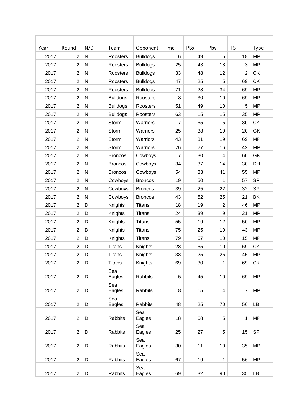| Year         | Round<br>$\overline{2}$          | N/D                    | Team                               | Opponent                    | Time<br>16     | PBx      | Pby<br>5       | <b>TS</b>      | Type<br><b>MP</b> |
|--------------|----------------------------------|------------------------|------------------------------------|-----------------------------|----------------|----------|----------------|----------------|-------------------|
| 2017<br>2017 | $\overline{2}$                   | ${\sf N}$<br>${\sf N}$ | Roosters                           | <b>Bulldogs</b>             | 25             | 49<br>43 | 18             | 18<br>3        | <b>MP</b>         |
| 2017         | $\overline{2}$                   | N                      | Roosters                           | <b>Bulldogs</b>             | 33             | 48       | 12             | $\overline{2}$ | <b>CK</b>         |
|              |                                  |                        | Roosters                           | <b>Bulldogs</b>             | 47             |          |                |                | <b>CK</b>         |
| 2017<br>2017 | $\overline{2}$<br>$\overline{2}$ | N<br>${\sf N}$         | Roosters<br>Roosters               | <b>Bulldogs</b>             | 71             | 25<br>28 | 5<br>34        | 69<br>69       | <b>MP</b>         |
| 2017         | $\overline{2}$                   | ${\sf N}$              |                                    | <b>Bulldogs</b><br>Roosters | 3              | 30       | 10             | 69             | <b>MP</b>         |
| 2017         | $\overline{2}$                   | ${\sf N}$              | <b>Bulldogs</b>                    | Roosters                    | 51             | 49       | 10             | 5              | <b>MP</b>         |
| 2017         | $\overline{2}$                   | N                      | <b>Bulldogs</b><br><b>Bulldogs</b> | Roosters                    | 63             | 15       | 15             | 35             | <b>MP</b>         |
| 2017         | $\overline{2}$                   | N                      | Storm                              | Warriors                    | $\overline{7}$ | 65       | 5              | 30             | <b>CK</b>         |
| 2017         | $\overline{2}$                   | ${\sf N}$              | Storm                              | Warriors                    | 25             | 38       | 19             | 20             | GK                |
| 2017         | $\overline{2}$                   | ${\sf N}$              | Storm                              | Warriors                    | 43             | 31       | 19             | 69             | <b>MP</b>         |
|              |                                  |                        |                                    |                             |                |          |                |                |                   |
| 2017         | $\overline{2}$                   | ${\sf N}$              | Storm                              | Warriors                    | 76             | 27       | 16             | 42             | <b>MP</b>         |
| 2017         | $\overline{2}$                   | N                      | <b>Broncos</b>                     | Cowboys                     | $\overline{7}$ | 30       | 4              | 60             | GK                |
| 2017         | $\mathbf{2}$                     | N                      | <b>Broncos</b>                     | Cowboys                     | 34             | 37       | 14             | 30             | DH                |
| 2017         | $\overline{2}$                   | $\mathsf{N}$           | <b>Broncos</b>                     | Cowboys                     | 54             | 33       | 41             | 55             | <b>MP</b>         |
| 2017         | $\overline{2}$                   | ${\sf N}$              | Cowboys                            | <b>Broncos</b>              | 19             | 50       | 1              | 57             | <b>SP</b>         |
| 2017         | $\overline{2}$                   | ${\sf N}$              | Cowboys                            | <b>Broncos</b>              | 39             | 25       | 22             | 32             | <b>SP</b>         |
| 2017         | $\overline{2}$                   | N                      | Cowboys                            | <b>Broncos</b>              | 43             | 52       | 25             | 21             | BK                |
| 2017         | $\overline{2}$                   | D                      | Knights                            | <b>Titans</b>               | 18             | 19       | $\overline{2}$ | 46             | <b>MP</b>         |
| 2017         | $\overline{2}$                   | D                      | Knights                            | <b>Titans</b>               | 24             | 39       | 9              | 21             | <b>MP</b>         |
| 2017         | $\overline{2}$                   | D                      | Knights                            | <b>Titans</b>               | 55             | 19       | 12             | 50             | <b>MP</b>         |
| 2017         | $\overline{2}$                   | D                      | Knights                            | <b>Titans</b>               | 75             | 25       | 10             | 43             | <b>MP</b>         |
| 2017         | $\overline{2}$                   | D                      | Knights                            | <b>Titans</b>               | 79             | 67       | 10             | 15             | <b>MP</b>         |
| 2017         | $\overline{2}$                   | D                      | <b>Titans</b>                      | Knights                     | 28             | 65       | 10             | 69             | <b>CK</b>         |
| 2017         | $\overline{2}$                   | D                      | <b>Titans</b>                      | Knights                     | 33             | 25       | 25             | 45             | <b>MP</b>         |
| 2017         | $\overline{2}$                   | D                      | <b>Titans</b>                      | Knights                     | 69             | 30       | $\mathbf{1}$   | 69             | <b>CK</b>         |
| 2017         | $\overline{2}$                   | D                      | Sea<br>Eagles                      | Rabbits                     | 5              | 45       | 10             | 69             | <b>MP</b>         |
| 2017         | $\overline{2}$                   | D                      | Sea<br>Eagles                      | Rabbits                     | 8              | 15       | 4              | $\overline{7}$ | <b>MP</b>         |
| 2017         | $\overline{2}$                   | D                      | Sea<br>Eagles                      | <b>Rabbits</b>              | 48             | 25       | 70             | 56             | LB                |
| 2017         | $\overline{2}$                   | D                      | Rabbits                            | Sea<br>Eagles               | 18             | 68       | 5              | $\mathbf 1$    | <b>MP</b>         |
| 2017         | $\overline{2}$                   | D                      | Rabbits                            | Sea<br>Eagles               | 25             | 27       | 5              | 15             | <b>SP</b>         |
|              | $\overline{2}$                   |                        |                                    | Sea                         | 30             | 11       | 10             | 35             | <b>MP</b>         |
| 2017         |                                  | D                      | Rabbits                            | Eagles                      |                |          |                |                |                   |
| 2017         | $\overline{2}$                   | D                      | Rabbits                            | Sea<br>Eagles               | 67             | 19       | 1              | 56             | MP                |
| 2017         | $\overline{2}$                   | D                      | Rabbits                            | Sea<br>Eagles               | 69             | 32       | 90             | 35             | LB                |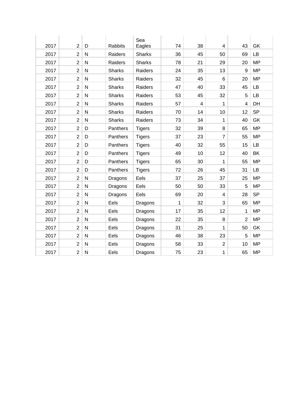| 2017 | $\overline{2}$ | D            | <b>Rabbits</b> | Sea<br>Eagles | 74 | 38 | 4                       | 43             | GK        |
|------|----------------|--------------|----------------|---------------|----|----|-------------------------|----------------|-----------|
| 2017 | $\overline{2}$ | $\mathsf{N}$ | Raiders        | <b>Sharks</b> | 36 | 45 | 50                      | 69             | LB        |
| 2017 | $\overline{2}$ | $\mathsf{N}$ | Raiders        | <b>Sharks</b> | 78 | 21 | 29                      | 20             | <b>MP</b> |
| 2017 | $\overline{2}$ | ${\sf N}$    | <b>Sharks</b>  | Raiders       | 24 | 35 | 13                      | 9              | <b>MP</b> |
| 2017 | $\overline{2}$ | $\mathsf{N}$ | <b>Sharks</b>  | Raiders       | 32 | 45 | 6                       | 20             | <b>MP</b> |
| 2017 | $\overline{2}$ | $\mathsf{N}$ | <b>Sharks</b>  | Raiders       | 47 | 40 | 33                      | 45             | LB        |
| 2017 | $\overline{2}$ | ${\sf N}$    | <b>Sharks</b>  | Raiders       | 53 | 45 | 32                      | 5              | LB        |
| 2017 | $\overline{2}$ | ${\sf N}$    | <b>Sharks</b>  | Raiders       | 57 | 4  | 1                       | 4              | DH        |
| 2017 | $\overline{2}$ | ${\sf N}$    | <b>Sharks</b>  | Raiders       | 70 | 14 | 10                      | 12             | <b>SP</b> |
| 2017 | $\overline{2}$ | ${\sf N}$    | <b>Sharks</b>  | Raiders       | 73 | 34 | 1                       | 40             | GK        |
| 2017 | $\overline{2}$ | D            | Panthers       | <b>Tigers</b> | 32 | 39 | 8                       | 65             | <b>MP</b> |
| 2017 | $\overline{2}$ | D            | Panthers       | <b>Tigers</b> | 37 | 23 | $\overline{7}$          | 55             | <b>MP</b> |
| 2017 | $\overline{2}$ | D            | Panthers       | <b>Tigers</b> | 40 | 32 | 55                      | 15             | <b>LB</b> |
| 2017 | $\overline{2}$ | D            | Panthers       | <b>Tigers</b> | 49 | 10 | 12                      | 40             | BK        |
| 2017 | $\overline{2}$ | D            | Panthers       | <b>Tigers</b> | 65 | 30 | 1                       | 55             | <b>MP</b> |
| 2017 | $\overline{2}$ | D            | Panthers       | <b>Tigers</b> | 72 | 26 | 45                      | 31             | LB        |
| 2017 | $\overline{2}$ | ${\sf N}$    | Dragons        | Eels          | 37 | 25 | 37                      | 25             | <b>MP</b> |
| 2017 | $\overline{2}$ | ${\sf N}$    | Dragons        | Eels          | 50 | 50 | 33                      | 5              | <b>MP</b> |
| 2017 | $\overline{2}$ | $\mathsf{N}$ | Dragons        | Eels          | 69 | 20 | $\overline{\mathbf{4}}$ | 28             | <b>SP</b> |
| 2017 | $\overline{2}$ | ${\sf N}$    | Eels           | Dragons       | 1  | 32 | 3                       | 65             | <b>MP</b> |
| 2017 | $\overline{2}$ | $\mathsf{N}$ | Eels           | Dragons       | 17 | 35 | 12                      | 1              | <b>MP</b> |
| 2017 | $\overline{2}$ | ${\sf N}$    | Eels           | Dragons       | 22 | 35 | 8                       | $\overline{2}$ | <b>MP</b> |
| 2017 | $\overline{2}$ | N            | Eels           | Dragons       | 31 | 25 | 1                       | 50             | GK        |
| 2017 | $\overline{2}$ | $\mathsf{N}$ | Eels           | Dragons       | 46 | 38 | 23                      | 5              | <b>MP</b> |
| 2017 | $\overline{2}$ | ${\sf N}$    | Eels           | Dragons       | 58 | 33 | $\overline{2}$          | 10             | <b>MP</b> |
| 2017 | $\overline{2}$ | ${\sf N}$    | Eels           | Dragons       | 75 | 23 | 1                       | 65             | <b>MP</b> |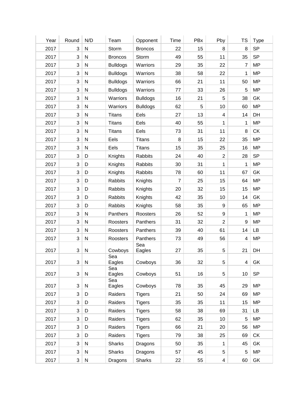| Year | Round                     | N/D          | Team                 | Opponent        | Time | PBx        | Pby                     | TS             | <b>Type</b> |
|------|---------------------------|--------------|----------------------|-----------------|------|------------|-------------------------|----------------|-------------|
| 2017 | 3                         | ${\sf N}$    | Storm                | <b>Broncos</b>  | 22   | 15         | 8                       | 8              | <b>SP</b>   |
| 2017 | $\mathbf{3}$              | ${\sf N}$    | <b>Broncos</b>       | Storm           | 49   | 55         | 11                      | 35             | <b>SP</b>   |
| 2017 | 3                         | ${\sf N}$    | <b>Bulldogs</b>      | Warriors        | 29   | 35         | 22                      | 7              | <b>MP</b>   |
| 2017 | $\mathbf{3}$              | ${\sf N}$    | <b>Bulldogs</b>      | Warriors        | 38   | 58         | 22                      | 1              | <b>MP</b>   |
| 2017 | $\mathbf{3}$              | ${\sf N}$    | <b>Bulldogs</b>      | Warriors        | 66   | 21         | 11                      | 50             | <b>MP</b>   |
| 2017 | $\mathbf{3}$              | ${\sf N}$    | <b>Bulldogs</b>      | Warriors        | 77   | 33         | 26                      | 5              | <b>MP</b>   |
| 2017 | $\mathbf{3}$              | ${\sf N}$    | Warriors             | <b>Bulldogs</b> | 16   | 21         | 5                       | 38             | GK          |
| 2017 | $\sqrt{3}$                | ${\sf N}$    | Warriors             | <b>Bulldogs</b> | 62   | $\sqrt{5}$ | 10                      | 60             | <b>MP</b>   |
| 2017 | $\mathbf{3}$              | ${\sf N}$    | <b>Titans</b>        | Eels            | 27   | 13         | $\overline{\mathbf{4}}$ | 14             | DH          |
| 2017 | $\mathbf{3}$              | ${\sf N}$    | <b>Titans</b>        | Eels            | 40   | 55         | 1                       | 1              | <b>MP</b>   |
| 2017 | $\mathbf{3}$              | ${\sf N}$    | <b>Titans</b>        | Eels            | 73   | 31         | 11                      | $\,8\,$        | <b>CK</b>   |
| 2017 | 3                         | ${\sf N}$    | Eels                 | <b>Titans</b>   | 8    | 15         | 22                      | 35             | <b>MP</b>   |
| 2017 | $\mathbf{3}$              | ${\sf N}$    | Eels                 | <b>Titans</b>   | 15   | 35         | 25                      | 16             | <b>MP</b>   |
| 2017 | $\mathbf{3}$              | D            | Knights              | Rabbits         | 24   | 40         | $\sqrt{2}$              | 28             | <b>SP</b>   |
| 2017 | $\mathbf{3}$              | D            | Knights              | <b>Rabbits</b>  | 30   | 31         | 1                       | $\mathbf{1}$   | <b>MP</b>   |
| 2017 | $\mathbf{3}$              | D            | Knights              | Rabbits         | 78   | 60         | 11                      | 67             | GK          |
| 2017 | 3                         | D            | Rabbits              | Knights         | 7    | 25         | 15                      | 64             | <b>MP</b>   |
| 2017 | $\mathbf{3}$              | D            | Rabbits              | Knights         | 20   | 32         | 15                      | 15             | <b>MP</b>   |
| 2017 | $\mathfrak{B}$            | D            | Rabbits              | Knights         | 42   | 35         | 10                      | 14             | GK          |
| 2017 | $\mathbf{3}$              | D            | Rabbits              | Knights         | 58   | 35         | $\boldsymbol{9}$        | 65             | <b>MP</b>   |
| 2017 | $\mathbf{3}$              | ${\sf N}$    | Panthers             | Roosters        | 26   | 52         | $\boldsymbol{9}$        | 1              | <b>MP</b>   |
| 2017 | 3                         | N            | Roosters             | Panthers        | 31   | 32         | $\overline{2}$          | 9              | <b>MP</b>   |
| 2017 | 3                         | ${\sf N}$    | Roosters             | Panthers        | 39   | 40         | 61                      | 14             | LB          |
| 2017 | 3                         | $\mathsf{N}$ | Roosters             | Panthers        | 73   | 49         | 56                      | $\overline{4}$ | <b>MP</b>   |
| 2017 | $\ensuremath{\mathsf{3}}$ | N            | Cowboys              | Sea<br>Eagles   | 27   | $35\,$     | $\,$ 5 $\,$             | 21             | DH          |
| 2017 | 3                         | ${\sf N}$    | Sea<br>Eagles<br>Sea | Cowboys         | 36   | 32         | 5                       | $\overline{4}$ | GK          |
| 2017 | 3                         | N            | Eagles               | Cowboys         | 51   | 16         | $\,$ 5 $\,$             | 10             | <b>SP</b>   |
| 2017 | $\sqrt{3}$                | $\mathsf{N}$ | Sea<br>Eagles        | Cowboys         | 78   | 35         | 45                      | 29             | <b>MP</b>   |
| 2017 | 3                         | D            | Raiders              | <b>Tigers</b>   | 21   | 50         | 24                      | 69             | <b>MP</b>   |
| 2017 | 3                         | D            | Raiders              | <b>Tigers</b>   | 35   | 35         | 11                      | 15             | <b>MP</b>   |
| 2017 | $\sqrt{3}$                | D            | Raiders              | <b>Tigers</b>   | 58   | 38         | 69                      | 31             | LB          |
| 2017 | 3                         | D            | Raiders              | <b>Tigers</b>   | 62   | 35         | 10                      | 5              | <b>MP</b>   |
| 2017 | 3                         | D            | Raiders              | <b>Tigers</b>   | 66   | 21         | 20                      | 56             | <b>MP</b>   |
| 2017 | 3                         | D            | Raiders              | <b>Tigers</b>   | 79   | 38         | 25                      | 69             | <b>CK</b>   |
| 2017 | 3                         | $\mathsf{N}$ | <b>Sharks</b>        | Dragons         | 50   | 35         | 1                       | 45             | GK          |
| 2017 | $\sqrt{3}$                | N            | <b>Sharks</b>        | Dragons         | 57   | 45         | 5                       | 5              | <b>MP</b>   |
| 2017 | 3                         | $\mathsf{N}$ | Dragons              | <b>Sharks</b>   | 22   | 55         | $\overline{4}$          | 60             | GK          |
|      |                           |              |                      |                 |      |            |                         |                |             |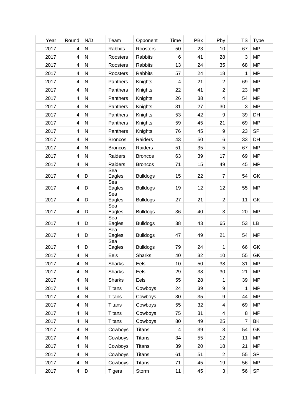| Year | Round          | N/D       | Team           | Opponent        | Time                     | PBx | Pby              | <b>TS</b>      | <b>Type</b> |
|------|----------------|-----------|----------------|-----------------|--------------------------|-----|------------------|----------------|-------------|
| 2017 | 4              | ${\sf N}$ | Rabbits        | Roosters        | 50                       | 23  | 10               | 67             | <b>MP</b>   |
| 2017 | $\overline{4}$ | ${\sf N}$ | Roosters       | Rabbits         | 6                        | 41  | 28               | $\mathfrak{S}$ | <b>MP</b>   |
| 2017 | $\overline{4}$ | ${\sf N}$ | Roosters       | Rabbits         | 13                       | 24  | 35               | 68             | <b>MP</b>   |
| 2017 | 4              | ${\sf N}$ | Roosters       | Rabbits         | 57                       | 24  | 18               | 1              | <b>MP</b>   |
| 2017 | 4              | ${\sf N}$ | Panthers       | Knights         | $\overline{\mathcal{A}}$ | 21  | $\overline{2}$   | 69             | <b>MP</b>   |
| 2017 | 4              | ${\sf N}$ | Panthers       | Knights         | 22                       | 41  | $\overline{2}$   | 23             | <b>MP</b>   |
| 2017 | $\overline{4}$ | ${\sf N}$ | Panthers       | Knights         | 26                       | 38  | $\overline{4}$   | 54             | <b>MP</b>   |
| 2017 | $\overline{4}$ | ${\sf N}$ | Panthers       | Knights         | 31                       | 27  | 30               | 3              | <b>MP</b>   |
| 2017 | 4              | ${\sf N}$ | Panthers       | Knights         | 53                       | 42  | 9                | 39             | DH          |
| 2017 | 4              | ${\sf N}$ | Panthers       | Knights         | 59                       | 45  | 21               | 69             | <b>MP</b>   |
| 2017 | $\overline{4}$ | ${\sf N}$ | Panthers       | Knights         | 76                       | 45  | $\boldsymbol{9}$ | 23             | <b>SP</b>   |
| 2017 | $\overline{4}$ | ${\sf N}$ | <b>Broncos</b> | Raiders         | 43                       | 50  | 6                | 33             | DH          |
| 2017 | 4              | ${\sf N}$ | <b>Broncos</b> | Raiders         | 51                       | 35  | $\,$ 5 $\,$      | 67             | <b>MP</b>   |
| 2017 | 4              | ${\sf N}$ | Raiders        | <b>Broncos</b>  | 63                       | 39  | 17               | 69             | <b>MP</b>   |
| 2017 | 4              | ${\sf N}$ | Raiders        | <b>Broncos</b>  | 71                       | 15  | 49               | 45             | <b>MP</b>   |
|      |                |           | Sea            |                 |                          |     |                  |                |             |
| 2017 | $\overline{4}$ | D         | Eagles<br>Sea  | <b>Bulldogs</b> | 15                       | 22  | $\overline{7}$   | 54             | GK          |
| 2017 | 4              | D         | Eagles         | <b>Bulldogs</b> | 19                       | 12  | 12               | 55             | <b>MP</b>   |
|      |                |           | Sea            |                 |                          |     |                  |                |             |
| 2017 | 4              | D         | Eagles<br>Sea  | <b>Bulldogs</b> | 27                       | 21  | $\overline{2}$   | 11             | GK          |
| 2017 | 4              | D         | Eagles         | <b>Bulldogs</b> | 36                       | 40  | 3                | 20             | <b>MP</b>   |
|      |                |           | Sea            |                 | 38                       |     | 65               |                |             |
| 2017 | 4              | D         | Eagles<br>Sea  | <b>Bulldogs</b> |                          | 43  |                  | 53             | LB          |
| 2017 | 4              | D         | Eagles         | <b>Bulldogs</b> | 47                       | 49  | 21               | 54             | <b>MP</b>   |
| 2017 | 4              | D         | Sea<br>Eagles  | <b>Bulldogs</b> | 79                       | 24  | 1                | 66             | GK          |
| 2017 | 4              | N         | Eels           | <b>Sharks</b>   | 40                       | 32  | 10               | 55             | GK          |
| 2017 | 4              | ${\sf N}$ | <b>Sharks</b>  | Eels            | 10                       | 50  | 38               | 31             | <b>MP</b>   |
| 2017 | 4              | ${\sf N}$ | Sharks         | Eels            | 29                       | 38  | 30               | 21             | <b>MP</b>   |
| 2017 | 4              | ${\sf N}$ | <b>Sharks</b>  | Eels            | 55                       | 28  | 1                | 39             | <b>MP</b>   |
| 2017 | $\overline{4}$ | ${\sf N}$ | <b>Titans</b>  | Cowboys         | 24                       | 39  | 9                | 1              | <b>MP</b>   |
| 2017 | 4              | ${\sf N}$ | <b>Titans</b>  | Cowboys         | 30                       | 35  | 9                | 44             | <b>MP</b>   |
| 2017 | 4              | ${\sf N}$ | <b>Titans</b>  | Cowboys         | 55                       | 32  | 4                | 69             | <b>MP</b>   |
| 2017 | 4              | ${\sf N}$ | <b>Titans</b>  | Cowboys         | 75                       | 31  | 4                | 8              | <b>MP</b>   |
| 2017 | 4              | ${\sf N}$ | <b>Titans</b>  | Cowboys         | 80                       | 49  | 25               | $\overline{7}$ | BK          |
| 2017 | $\overline{4}$ | ${\sf N}$ | Cowboys        |                 | $\overline{\mathcal{A}}$ | 39  | 3                | 54             | GK          |
| 2017 |                | ${\sf N}$ |                | <b>Titans</b>   |                          |     | 12               |                | <b>MP</b>   |
|      | 4              |           | Cowboys        | <b>Titans</b>   | 34                       | 55  |                  | 11             |             |
| 2017 | 4              | N         | Cowboys        | <b>Titans</b>   | 39                       | 20  | 18               | 21             | <b>MP</b>   |
| 2017 | 4              | ${\sf N}$ | Cowboys        | <b>Titans</b>   | 61                       | 51  | 2                | 55             | <b>SP</b>   |
| 2017 | 4              | ${\sf N}$ | Cowboys        | <b>Titans</b>   | 71                       | 45  | 19               | 56             | <b>MP</b>   |
| 2017 | 4              | D         | <b>Tigers</b>  | Storm           | 11                       | 45  | $\mathfrak{S}$   | 56             | <b>SP</b>   |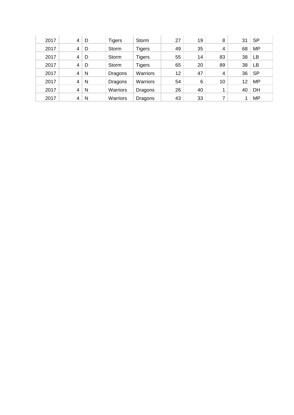| 2017 | 4 | D | <b>Tigers</b> | Storm         | 27 | 19 | 8  | 31 | SP        |
|------|---|---|---------------|---------------|----|----|----|----|-----------|
| 2017 | 4 | D | Storm         | <b>Tigers</b> | 49 | 35 | 4  | 68 | <b>MP</b> |
| 2017 | 4 | D | Storm         | <b>Tigers</b> | 55 | 14 | 83 | 38 | LB        |
| 2017 | 4 | D | Storm         | <b>Tigers</b> | 65 | 20 | 89 | 38 | LB        |
| 2017 | 4 | N | Dragons       | Warriors      | 12 | 47 | 4  | 36 | <b>SP</b> |
| 2017 | 4 | N | Dragons       | Warriors      | 54 | 6  | 10 | 12 | MP        |
| 2017 | 4 | N | Warriors      | Dragons       | 26 | 40 | 4  | 40 | DH        |
| 2017 | 4 | N | Warriors      | Dragons       | 43 | 33 | ⇁  | и  | <b>MP</b> |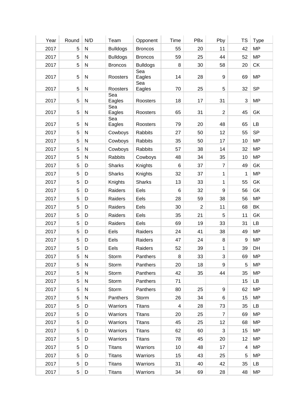| Year | Round          | N/D          | Team            | Opponent        | Time           | PBx            | Pby              | <b>TS</b>      | <b>Type</b> |
|------|----------------|--------------|-----------------|-----------------|----------------|----------------|------------------|----------------|-------------|
| 2017 | 5              | ${\sf N}$    | <b>Bulldogs</b> | <b>Broncos</b>  | 55             | 20             | 11               | 42             | <b>MP</b>   |
| 2017 | 5              | ${\sf N}$    | <b>Bulldogs</b> | <b>Broncos</b>  | 59             | 25             | 44               | 52             | <b>MP</b>   |
| 2017 | $\sqrt{5}$     | ${\sf N}$    | <b>Broncos</b>  | <b>Bulldogs</b> | $\,8\,$        | 30             | 58               | 20             | CK          |
| 2017 | $\overline{5}$ | ${\sf N}$    | Roosters        | Sea<br>Eagles   | 14             | 28             | $\boldsymbol{9}$ | 69             | <b>MP</b>   |
| 2017 | 5              | ${\sf N}$    | Roosters        | Sea<br>Eagles   | 70             | 25             | $\sqrt{5}$       | 32             | <b>SP</b>   |
| 2017 | 5              | ${\sf N}$    | Sea<br>Eagles   | Roosters        | 18             | 17             | 31               | $\sqrt{3}$     | MP          |
| 2017 | 5              | ${\sf N}$    | Sea<br>Eagles   | Roosters        | 65             | 31             | 2                | 45             | GK          |
| 2017 | $\sqrt{5}$     | ${\sf N}$    | Sea<br>Eagles   | Roosters        | 79             | 20             | 48               | 65             | LB          |
| 2017 | 5              | ${\sf N}$    | Cowboys         | <b>Rabbits</b>  | 27             | 50             | 12               | 55             | <b>SP</b>   |
| 2017 | 5              | ${\sf N}$    | Cowboys         | <b>Rabbits</b>  | 35             | 50             | 17               | 10             | <b>MP</b>   |
| 2017 | 5              | ${\sf N}$    | Cowboys         | Rabbits         | 57             | 38             | 14               | 32             | <b>MP</b>   |
| 2017 | 5              | ${\sf N}$    | Rabbits         | Cowboys         | 48             | 34             | 35               | 10             | <b>MP</b>   |
| 2017 | $\sqrt{5}$     | D            | <b>Sharks</b>   | Knights         | $\,6\,$        | 37             | $\overline{7}$   | 49             | GK          |
| 2017 | 5              | D            | <b>Sharks</b>   | Knights         | 32             | 37             | 1                | 1              | <b>MP</b>   |
| 2017 | $\sqrt{5}$     | D            | Knights         | <b>Sharks</b>   | 13             | 33             | $\mathbf{1}$     | 55             | GK          |
| 2017 | 5              | D            | Raiders         | Eels            | 6              | 32             | 9                | 56             | GK          |
| 2017 | 5              | D            | Raiders         | Eels            | 28             | 59             | 38               | 56             | <b>MP</b>   |
| 2017 | $\sqrt{5}$     | D            | Raiders         | Eels            | 30             | $\overline{2}$ | 11               | 68             | BK          |
| 2017 | 5              | D            | Raiders         | Eels            | 35             | 21             | 5                | 11             | GK          |
| 2017 | 5              | D            | Raiders         | Eels            | 69             | 19             | 33               | 31             | <b>LB</b>   |
| 2017 | 5              | D            | Eels            | Raiders         | 24             | 41             | 38               | 49             | <b>MP</b>   |
| 2017 | 5              | D            | Eels            | Raiders         | 47             | 24             | 8                | 9              | <b>MP</b>   |
| 2017 | 5              | D            | Eels            | Raiders         | 52             | 39             | 1                | 39             | DH          |
| 2017 | 5              | N            | Storm           | Panthers        | 8              | 33             | 3                | 69             | <b>MP</b>   |
| 2017 | 5              | $\mathsf{N}$ | Storm           | Panthers        | 20             | 18             | 9                | 5              | <b>MP</b>   |
| 2017 | 5              | N            | Storm           | Panthers        | 42             | 35             | 44               | 35             | <b>MP</b>   |
| 2017 | 5              | $\mathsf{N}$ | Storm           | Panthers        | 71             |                |                  | 15             | LB          |
| 2017 | 5              | ${\sf N}$    | Storm           | Panthers        | 80             | 25             | 9                | 62             | <b>MP</b>   |
| 2017 | 5              | $\mathsf{N}$ | Panthers        | Storm           | 26             | 34             | 6                | 15             | <b>MP</b>   |
| 2017 | 5              | D            | Warriors        | <b>Titans</b>   | $\overline{4}$ | 28             | 73               | 35             | <b>LB</b>   |
| 2017 | 5              | D            | Warriors        | <b>Titans</b>   | 20             | 25             | $\overline{7}$   | 69             | <b>MP</b>   |
| 2017 | 5              | D            |                 |                 | 45             |                | 12               | 68             | <b>MP</b>   |
|      |                |              | Warriors        | <b>Titans</b>   |                | 25             |                  |                | <b>MP</b>   |
| 2017 | 5              | D            | Warriors        | <b>Titans</b>   | 62             | 60             | 3                | 15             |             |
| 2017 | 5              | D            | Warriors        | <b>Titans</b>   | 78             | 45             | 20               | 12             | <b>MP</b>   |
| 2017 | 5              | D            | <b>Titans</b>   | Warriors        | 10             | 48             | 17               | $\overline{4}$ | <b>MP</b>   |
| 2017 | 5              | D            | <b>Titans</b>   | Warriors        | 15             | 43             | 25               | $\sqrt{5}$     | <b>MP</b>   |
| 2017 | 5              | D            | <b>Titans</b>   | Warriors        | 31             | 40             | 42               | 35             | LB          |
| 2017 | 5 <sub>5</sub> | D            | <b>Titans</b>   | Warriors        | 34             | 69             | 28               | 48             | MP          |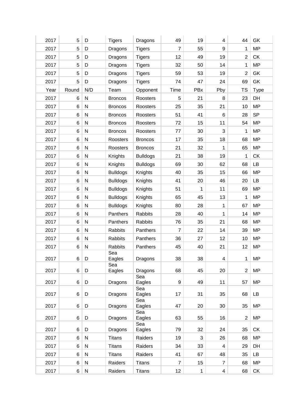| 2017 | 5     | D            | <b>Tigers</b>   | Dragons         | 49              | 19           | 4              | 44             | GK          |
|------|-------|--------------|-----------------|-----------------|-----------------|--------------|----------------|----------------|-------------|
| 2017 | 5     | D            | Dragons         | <b>Tigers</b>   | $\overline{7}$  | 55           | 9              | 1              | <b>MP</b>   |
| 2017 | 5     | D            | Dragons         | <b>Tigers</b>   | 12              | 49           | 19             | $\overline{2}$ | <b>CK</b>   |
| 2017 | 5     | D            | Dragons         | <b>Tigers</b>   | 32              | 50           | 14             | 1              | <b>MP</b>   |
| 2017 | 5     | D            | Dragons         | <b>Tigers</b>   | 59              | 53           | 19             | $\overline{2}$ | GK          |
| 2017 | 5     | D            | Dragons         | <b>Tigers</b>   | 74              | 47           | 24             | 69             | GK          |
| Year | Round | N/D          | Team            | Opponent        | Time            | PBx          | Pby            | <b>TS</b>      | <b>Type</b> |
| 2017 | 6     | N            | <b>Broncos</b>  | Roosters        | 5               | 21           | 8              | 23             | DH          |
| 2017 | 6     | ${\sf N}$    | <b>Broncos</b>  | Roosters        | 25              | 35           | 21             | 10             | <b>MP</b>   |
| 2017 | 6     | ${\sf N}$    | <b>Broncos</b>  | Roosters        | 51              | 41           | $6\phantom{1}$ | 28             | <b>SP</b>   |
| 2017 | 6     | N            | <b>Broncos</b>  | Roosters        | 72              | 15           | 11             | 54             | <b>MP</b>   |
| 2017 | 6     | N            | <b>Broncos</b>  | Roosters        | 77              | 30           | 3              | 1              | <b>MP</b>   |
| 2017 | 6     | N            | Roosters        | <b>Broncos</b>  | 17              | 35           | 18             | 68             | <b>MP</b>   |
| 2017 | 6     | N            | Roosters        | <b>Broncos</b>  | 21              | 32           | 1              | 65             | <b>MP</b>   |
| 2017 | 6     | ${\sf N}$    | Knights         | <b>Bulldogs</b> | 21              | 38           | 19             | 1              | <b>CK</b>   |
| 2017 | 6     | N            | Knights         | <b>Bulldogs</b> | 69              | 30           | 62             | 68             | LB          |
| 2017 | 6     | N            | <b>Bulldogs</b> | Knights         | 40              | 35           | 15             | 66             | <b>MP</b>   |
| 2017 | 6     | N            | <b>Bulldogs</b> | Knights         | 41              | 20           | 46             | 20             | LB          |
| 2017 | 6     | ${\sf N}$    | <b>Bulldogs</b> | Knights         | 51              | 1            | 11             | 69             | <b>MP</b>   |
| 2017 | 6     | N            | <b>Bulldogs</b> | Knights         | 65              | 45           | 13             | 1              | <b>MP</b>   |
| 2017 | 6     | N            | <b>Bulldogs</b> | Knights         | 80              | 28           | 1              | 67             | <b>MP</b>   |
| 2017 | 6     | N            | Panthers        | <b>Rabbits</b>  | 28              | 40           | 1              | 14             | <b>MP</b>   |
| 2017 | 6     | ${\sf N}$    | Panthers        | Rabbits         | 76              | 35           | 21             | 68             | <b>MP</b>   |
| 2017 | 6     | N            | Rabbits         | Panthers        | $\overline{7}$  | 22           | 14             | 39             | <b>MP</b>   |
| 2017 | 6     | ${\sf N}$    | Rabbits         | Panthers        | 36              | 27           | 12             | 10             | <b>MP</b>   |
| 2017 | 6     | N            | Rabbits         | Panthers        | 45              | 40           | 21             | 12             | <b>MP</b>   |
| 2017 | 6     | D            | Sea<br>Eagles   | Dragons         | 38              | 38           | 4              | 1              | MP.         |
|      |       |              | Sea             |                 |                 |              |                |                |             |
| 2017 | 6     | D            | Eagles          | Dragons         | 68              | 45           | 20             | $\overline{2}$ | <b>MP</b>   |
| 2017 | 6     | D            | Dragons         | Sea<br>Eagles   | 9               | 49           | 11             | 57             | <b>MP</b>   |
|      |       |              |                 | Sea             |                 |              |                |                |             |
| 2017 | 6     | D            | Dragons         | Eagles<br>Sea   | 17              | 31           | 35             | 68             | LB          |
| 2017 | 6     | D            | Dragons         | Eagles          | 47              | 20           | 30             | 35             | <b>MP</b>   |
| 2017 | 6     | D            | Dragons         | Sea<br>Eagles   | 63              | 55           | 16             | $\overline{2}$ | <b>MP</b>   |
| 2017 | 6     | D            | Dragons         | Sea<br>Eagles   | 79              | 32           | 24             | 35             | <b>CK</b>   |
| 2017 | 6     | N            | <b>Titans</b>   | Raiders         | 19              | 3            | 26             | 68             | <b>MP</b>   |
| 2017 | 6     | ${\sf N}$    | <b>Titans</b>   | Raiders         | 34              | 33           | 4              | 29             | DH          |
| 2017 | 6     | $\mathsf{N}$ | <b>Titans</b>   | Raiders         | 41              | 67           | 48             | 35             | LB          |
| 2017 | 6     | ${\sf N}$    | Raiders         | <b>Titans</b>   | $\overline{7}$  | 15           | $\overline{7}$ | 68             | MP          |
| 2017 | 6     |              | Raiders         | <b>Titans</b>   | 12 <sub>2</sub> | $\mathbf{1}$ |                | 68             | CK          |
|      |       | N            |                 |                 |                 |              | 4              |                |             |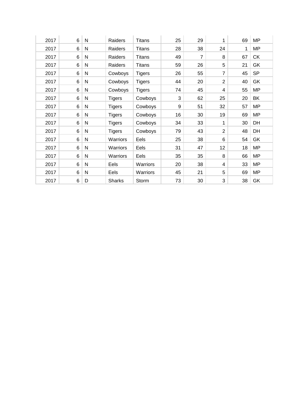| 2017 | 6     | N            | Raiders       | <b>Titans</b> | 25 | 29             | 1              | 69 | MP        |
|------|-------|--------------|---------------|---------------|----|----------------|----------------|----|-----------|
| 2017 | 6     | $\mathsf{N}$ | Raiders       | <b>Titans</b> | 28 | 38             | 24             | 1  | <b>MP</b> |
| 2017 | 6     | N            | Raiders       | <b>Titans</b> | 49 | $\overline{7}$ | 8              | 67 | <b>CK</b> |
| 2017 | 6     | N            | Raiders       | <b>Titans</b> | 59 | 26             | 5              | 21 | GK        |
| 2017 | 6     | $\mathsf{N}$ | Cowboys       | <b>Tigers</b> | 26 | 55             | $\overline{7}$ | 45 | <b>SP</b> |
| 2017 | 6     | N            | Cowboys       | <b>Tigers</b> | 44 | 20             | $\overline{2}$ | 40 | GK        |
| 2017 | 6     | N            | Cowboys       | <b>Tigers</b> | 74 | 45             | 4              | 55 | MP        |
| 2017 | 6     | $\mathsf{N}$ | <b>Tigers</b> | Cowboys       | 3  | 62             | 25             | 20 | BK        |
| 2017 | $\,6$ | $\mathsf{N}$ | <b>Tigers</b> | Cowboys       | 9  | 51             | 32             | 57 | <b>MP</b> |
| 2017 | 6     | N            | <b>Tigers</b> | Cowboys       | 16 | 30             | 19             | 69 | <b>MP</b> |
| 2017 | 6     | N            | <b>Tigers</b> | Cowboys       | 34 | 33             | 1              | 30 | DH        |
| 2017 | 6     | N            | <b>Tigers</b> | Cowboys       | 79 | 43             | $\overline{2}$ | 48 | DH        |
| 2017 | 6     | N            | Warriors      | Eels          | 25 | 38             | 6              | 54 | GK        |
| 2017 | 6     | N            | Warriors      | Eels          | 31 | 47             | 12             | 18 | <b>MP</b> |
| 2017 | 6     | $\mathsf{N}$ | Warriors      | Eels          | 35 | 35             | 8              | 66 | MP        |
| 2017 | 6     | N            | Eels          | Warriors      | 20 | 38             | 4              | 33 | MP        |
| 2017 | 6     | N            | Eels          | Warriors      | 45 | 21             | 5              | 69 | MP        |
| 2017 | 6     | D            | <b>Sharks</b> | Storm         | 73 | 30             | 3              | 38 | GK        |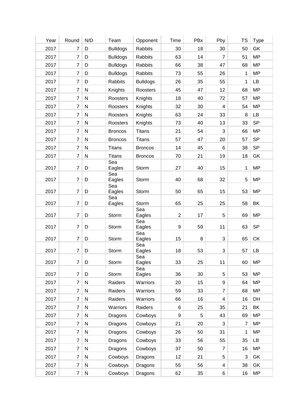| Year | Round            | N/D       | Team            | Opponent        | Time                    | PBx     | Pby                     | <b>TS</b>      | <b>Type</b> |
|------|------------------|-----------|-----------------|-----------------|-------------------------|---------|-------------------------|----------------|-------------|
| 2017 | $\overline{7}$   | D         | <b>Bulldogs</b> | <b>Rabbits</b>  | 30                      | 18      | 30                      | 50             | GK          |
| 2017 | $\overline{7}$   | D         | <b>Bulldogs</b> | Rabbits         | 63                      | 14      | $\overline{7}$          | 51             | <b>MP</b>   |
| 2017 | $\overline{7}$   | D         | <b>Bulldogs</b> | <b>Rabbits</b>  | 66                      | 38      | 47                      | 68             | <b>MP</b>   |
| 2017 | $\overline{7}$   | D         | <b>Bulldogs</b> | Rabbits         | 73                      | 55      | 26                      | 1              | <b>MP</b>   |
| 2017 | $\overline{7}$   | D         | Rabbits         | <b>Bulldogs</b> | 26                      | 35      | 55                      | 1              | <b>LB</b>   |
| 2017 | $\overline{7}$   | ${\sf N}$ | Knights         | Roosters        | 45                      | 47      | 12                      | 68             | <b>MP</b>   |
| 2017 | $\overline{7}$   | ${\sf N}$ | Roosters        | Knights         | 18                      | 40      | 72                      | 57             | <b>MP</b>   |
| 2017 | $\overline{7}$   | ${\sf N}$ | Roosters        | Knights         | 32                      | 30      | $\overline{\mathbf{4}}$ | 54             | <b>MP</b>   |
| 2017 | $\overline{7}$   | ${\sf N}$ | Roosters        | Knights         | 63                      | 24      | 33                      | $\, 8$         | LB          |
| 2017 | $\overline{7}$   | ${\sf N}$ | Roosters        | Knights         | 73                      | 40      | 13                      | 33             | <b>SP</b>   |
| 2017 | $\overline{7}$   | ${\sf N}$ | <b>Broncos</b>  | <b>Titans</b>   | 21                      | 54      | 3                       | 66             | <b>MP</b>   |
| 2017 | $\overline{7}$   | ${\sf N}$ | <b>Broncos</b>  | <b>Titans</b>   | 57                      | 47      | 20                      | 57             | <b>SP</b>   |
| 2017 | $\overline{7}$   | ${\sf N}$ | <b>Titans</b>   | <b>Broncos</b>  | 14                      | 45      | 6                       | 38             | <b>SP</b>   |
| 2017 | 7                | ${\sf N}$ | <b>Titans</b>   | <b>Broncos</b>  | 70                      | 21      | 19                      | 18             | GK          |
| 2017 | $\overline{7}$   | D         | Sea<br>Eagles   | Storm           | 27                      | 40      | 15                      | 1              | <b>MP</b>   |
| 2017 | $\overline{7}$   | D         | Sea<br>Eagles   | Storm           | 40                      | 68      | 32                      | 5              | <b>MP</b>   |
| 2017 | $\overline{7}$   | D         | Sea<br>Eagles   | Storm           | 50                      | 65      | 15                      | 53             | <b>MP</b>   |
| 2017 | $\overline{7}$   | D         | Sea<br>Eagles   | Storm           | 65                      | 25      | 25                      | 58             | BK          |
| 2017 | $\overline{7}$   | D         | Storm           | Sea<br>Eagles   | $\overline{\mathbf{c}}$ | 17      | 5                       | 69             | <b>MP</b>   |
| 2017 | $\overline{7}$   | D         | Storm           | Sea<br>Eagles   | $\boldsymbol{9}$        | 59      | 11                      | 63             | <b>SP</b>   |
| 2017 | $\overline{7}$   | D         | Storm           | Sea<br>Eagles   | 15                      | $\bf 8$ | $\sqrt{3}$              | 65             | CK          |
| 2017 | $\boldsymbol{7}$ | D         | Storm           | Sea<br>Eagles   | 18                      | 53      | 3                       | 57             | LB          |
| 2017 | $\overline{7}$   | D         | Storm           | Sea<br>Eagles   | 33                      | 25      | 11                      | 60             | <b>MP</b>   |
| 2017 | $\overline{7}$   | D         | Storm           | Sea<br>Eagles   | 36                      | 30      | $\,$ 5 $\,$             | 53             | <b>MP</b>   |
| 2017 | $\overline{7}$   | ${\sf N}$ | Raiders         | Warriors        | 20                      | 15      | $\boldsymbol{9}$        | 64             | <b>MP</b>   |
| 2017 | $\overline{7}$   | ${\sf N}$ | Raiders         | Warriors        | 59                      | 33      | $\overline{7}$          | 68             | <b>MP</b>   |
| 2017 | $\overline{7}$   | ${\sf N}$ | Raiders         | Warriors        | 66                      | 16      | 4                       | 16             | DH          |
| 2017 | $\overline{7}$   | ${\sf N}$ | Warriors        | Raiders         | 6                       | 25      | 35                      | 21             | BK          |
| 2017 | 7                | ${\sf N}$ | Dragons         | Cowboys         | $\boldsymbol{9}$        | 5       | 43                      | 69             | <b>MP</b>   |
| 2017 | $\overline{7}$   | ${\sf N}$ | Dragons         | Cowboys         | 21                      | 20      | 3                       | $\overline{7}$ | <b>MP</b>   |
| 2017 | $\overline{7}$   | ${\sf N}$ | Dragons         | Cowboys         | 26                      | 50      | 31                      | 1              | <b>MP</b>   |
| 2017 | $\overline{7}$   | ${\sf N}$ | Dragons         | Cowboys         | 33                      | 56      | 55                      | 35             | LB          |
| 2017 | $\overline{7}$   | ${\sf N}$ | Dragons         | Cowboys         | 37                      | 50      | 7                       | 16             | <b>MP</b>   |
| 2017 | $\overline{7}$   | ${\sf N}$ | Cowboys         | Dragons         | 12                      | 21      | $\,$ 5 $\,$             | 3              | GK          |
| 2017 | $\overline{7}$   | ${\sf N}$ | Cowboys         | Dragons         | 55                      | 56      | $\overline{\mathbf{4}}$ | 38             | GK          |
| 2017 | $\overline{7}$   | ${\sf N}$ | Cowboys         | Dragons         | 62                      | 35      | 6                       | 16             | <b>MP</b>   |
|      |                  |           |                 |                 |                         |         |                         |                |             |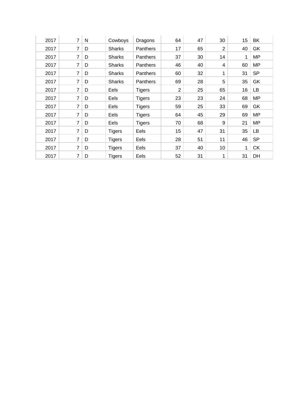| 2017 | $\overline{7}$ | N | Cowboys       | Dragons         | 64 | 47 | 30             | 15 | BK        |
|------|----------------|---|---------------|-----------------|----|----|----------------|----|-----------|
| 2017 | 7              | D | <b>Sharks</b> | <b>Panthers</b> | 17 | 65 | $\overline{2}$ | 40 | GK        |
| 2017 | 7              | D | <b>Sharks</b> | Panthers        | 37 | 30 | 14             | 1  | <b>MP</b> |
| 2017 | 7              | D | <b>Sharks</b> | Panthers        | 46 | 40 | 4              | 60 | <b>MP</b> |
| 2017 | 7              | D | <b>Sharks</b> | <b>Panthers</b> | 60 | 32 | 1              | 31 | <b>SP</b> |
| 2017 | 7              | D | <b>Sharks</b> | <b>Panthers</b> | 69 | 28 | 5              | 35 | GK        |
| 2017 | 7              | D | Eels          | <b>Tigers</b>   | 2  | 25 | 65             | 16 | LВ        |
| 2017 | 7              | D | Eels          | <b>Tigers</b>   | 23 | 23 | 24             | 68 | <b>MP</b> |
| 2017 | 7              | D | Eels          | <b>Tigers</b>   | 59 | 25 | 33             | 69 | GK        |
| 2017 | 7              | D | Eels          | <b>Tigers</b>   | 64 | 45 | 29             | 69 | <b>MP</b> |
| 2017 | 7              | D | Eels          | <b>Tigers</b>   | 70 | 68 | 9              | 21 | MP        |
| 2017 | 7              | D | <b>Tigers</b> | Eels            | 15 | 47 | 31             | 35 | LB        |
| 2017 | 7              | D | <b>Tigers</b> | Eels            | 28 | 51 | 11             | 46 | <b>SP</b> |
| 2017 | 7              | D | <b>Tigers</b> | Eels            | 37 | 40 | 10             | 1  | <b>CK</b> |
| 2017 | 7              | D | <b>Tigers</b> | Eels            | 52 | 31 | 1              | 31 | DH        |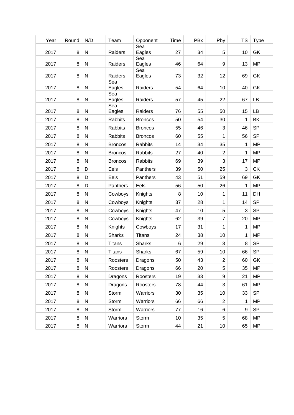| Year | Round | N/D          | Team           | Opponent       | Time | PBx | Pby            | <b>TS</b>    | <b>Type</b> |
|------|-------|--------------|----------------|----------------|------|-----|----------------|--------------|-------------|
| 2017 | 8     | ${\sf N}$    | Raiders        | Sea<br>Eagles  | 27   | 34  | 5              | 10           | GK          |
| 2017 | 8     | ${\sf N}$    | Raiders        | Sea<br>Eagles  | 46   | 64  | 9              | 13           | <b>MP</b>   |
| 2017 | 8     | ${\sf N}$    | Raiders        | Sea<br>Eagles  | 73   | 32  | 12             | 69           | GK          |
|      |       |              | Sea            |                |      |     |                |              |             |
| 2017 | 8     | ${\sf N}$    | Eagles         | Raiders        | 54   | 64  | 10             | 40           | GK          |
| 2017 | 8     | ${\sf N}$    | Sea<br>Eagles  | Raiders        | 57   | 45  | 22             | 67           | LB          |
|      |       |              | Sea            |                |      |     |                |              |             |
| 2017 | 8     | ${\sf N}$    | Eagles         | Raiders        | 76   | 55  | 50             | 15           | LB          |
| 2017 | 8     | ${\sf N}$    | Rabbits        | <b>Broncos</b> | 50   | 54  | 30             | 1            | BK          |
| 2017 | 8     | ${\sf N}$    | Rabbits        | <b>Broncos</b> | 55   | 46  | 3              | 46           | <b>SP</b>   |
| 2017 | 8     | $\mathsf{N}$ | Rabbits        | <b>Broncos</b> | 60   | 55  | 1              | 56           | <b>SP</b>   |
| 2017 | 8     | ${\sf N}$    | <b>Broncos</b> | <b>Rabbits</b> | 14   | 34  | 35             | 1            | <b>MP</b>   |
| 2017 | 8     | ${\sf N}$    | <b>Broncos</b> | Rabbits        | 27   | 40  | $\overline{2}$ | 1            | <b>MP</b>   |
| 2017 | 8     | ${\sf N}$    | <b>Broncos</b> | <b>Rabbits</b> | 69   | 39  | 3              | 17           | <b>MP</b>   |
| 2017 | 8     | D            | Eels           | Panthers       | 39   | 50  | 25             | 3            | <b>CK</b>   |
| 2017 | 8     | D            | Eels           | Panthers       | 43   | 51  | 59             | 69           | GK          |
| 2017 | 8     | D            | Panthers       | Eels           | 56   | 50  | 26             | 1            | <b>MP</b>   |
| 2017 | 8     | ${\sf N}$    | Cowboys        | Knights        | 8    | 10  | 1              | 11           | DH          |
| 2017 | 8     | ${\sf N}$    | Cowboys        | Knights        | 37   | 28  | 1              | 14           | <b>SP</b>   |
| 2017 | 8     | ${\sf N}$    | Cowboys        | Knights        | 47   | 10  | 5              | 3            | <b>SP</b>   |
| 2017 | 8     | ${\sf N}$    | Cowboys        | Knights        | 62   | 39  | $\overline{7}$ | 20           | <b>MP</b>   |
| 2017 | 8     | ${\sf N}$    | Knights        | Cowboys        | 17   | 31  | 1              | $\mathbf{1}$ | <b>MP</b>   |
| 2017 | 8     | ${\sf N}$    | <b>Sharks</b>  | <b>Titans</b>  | 24   | 38  | 10             | 1            | <b>MP</b>   |
| 2017 | 8     | N            | <b>Titans</b>  | Sharks         | 6    | 29  | 3              | 8            | <b>SP</b>   |
| 2017 | 8     | ${\sf N}$    | <b>Titans</b>  | <b>Sharks</b>  | 67   | 59  | 10             | 66           | <b>SP</b>   |
| 2017 | 8     | ${\sf N}$    | Roosters       | Dragons        | 50   | 43  | $\overline{2}$ | 60           | GK          |
| 2017 | 8     | ${\sf N}$    | Roosters       | Dragons        | 66   | 20  | 5              | 35           | <b>MP</b>   |
| 2017 | 8     | ${\sf N}$    | Dragons        | Roosters       | 19   | 33  | 9              | 21           | MP          |
| 2017 | 8     | ${\sf N}$    | Dragons        | Roosters       | 78   | 44  | 3              | 61           | <b>MP</b>   |
| 2017 | 8     | ${\sf N}$    | Storm          | Warriors       | 30   | 35  | 10             | 33           | <b>SP</b>   |
| 2017 | 8     | ${\sf N}$    | Storm          | Warriors       | 66   | 66  | $\overline{2}$ | 1            | <b>MP</b>   |
| 2017 | 8     | ${\sf N}$    | Storm          | Warriors       | 77   | 16  | 6              | 9            | <b>SP</b>   |
|      |       |              |                |                |      |     |                |              |             |
| 2017 | 8     | ${\sf N}$    | Warriors       | Storm          | 10   | 35  | 5              | 68           | MP          |
| 2017 | 8     | N            | Warriors       | Storm          | 44   | 21  | 10             | 65           | <b>MP</b>   |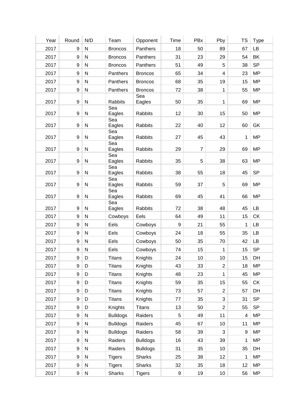| Year | Round | N/D          | Team                 | Opponent        | Time             | PBx            | Pby                     | <b>TS</b>        | <b>Type</b> |
|------|-------|--------------|----------------------|-----------------|------------------|----------------|-------------------------|------------------|-------------|
| 2017 | 9     | ${\sf N}$    | <b>Broncos</b>       | Panthers        | 18               | 50             | 89                      | 67               | LB          |
| 2017 | 9     | $\mathsf{N}$ | <b>Broncos</b>       | Panthers        | 31               | 23             | 29                      | 54               | BK          |
| 2017 | 9     | ${\sf N}$    | <b>Broncos</b>       | Panthers        | 51               | 49             | 5                       | 38               | <b>SP</b>   |
| 2017 | 9     | ${\sf N}$    | Panthers             | <b>Broncos</b>  | 65               | 34             | $\overline{\mathbf{4}}$ | 23               | <b>MP</b>   |
| 2017 | 9     | ${\sf N}$    | Panthers             | <b>Broncos</b>  | 68               | 35             | 19                      | 15               | <b>MP</b>   |
| 2017 | 9     | ${\sf N}$    | Panthers             | <b>Broncos</b>  | 72               | 38             | 1                       | 55               | <b>MP</b>   |
| 2017 | 9     | ${\sf N}$    | <b>Rabbits</b>       | Sea<br>Eagles   | 50               | 35             | 1                       | 69               | <b>MP</b>   |
| 2017 | 9     | ${\sf N}$    | Sea<br>Eagles        | <b>Rabbits</b>  | 12               | 30             | 15                      | 50               | <b>MP</b>   |
| 2017 | 9     | ${\sf N}$    | Sea<br>Eagles        | <b>Rabbits</b>  | 22               | 40             | 12                      | 60               | GK          |
| 2017 | 9     | ${\sf N}$    | Sea<br>Eagles        | <b>Rabbits</b>  | 27               | 45             | 43                      | 1                | <b>MP</b>   |
| 2017 | 9     | ${\sf N}$    | Sea<br>Eagles<br>Sea | <b>Rabbits</b>  | 29               | $\overline{7}$ | 29                      | 69               | <b>MP</b>   |
| 2017 | 9     | ${\sf N}$    | Eagles               | <b>Rabbits</b>  | 35               | 5              | 38                      | 63               | <b>MP</b>   |
| 2017 | 9     | ${\sf N}$    | Sea<br>Eagles        | <b>Rabbits</b>  | 38               | 55             | 18                      | 45               | <b>SP</b>   |
| 2017 | 9     | ${\sf N}$    | Sea<br>Eagles        | <b>Rabbits</b>  | 59               | 37             | 5                       | 69               | <b>MP</b>   |
| 2017 | 9     | ${\sf N}$    | Sea<br>Eagles        | <b>Rabbits</b>  | 69               | 45             | 41                      | 66               | <b>MP</b>   |
| 2017 | 9     | ${\sf N}$    | Sea<br>Eagles        | <b>Rabbits</b>  | 72               | 38             | 48                      | 45               | LB          |
| 2017 | 9     | ${\sf N}$    | Cowboys              | Eels            | 64               | 49             | 11                      | 15               | <b>CK</b>   |
| 2017 | 9     | $\mathsf{N}$ | Eels                 | Cowboys         | $\boldsymbol{9}$ | 21             | 55                      | 1                | <b>LB</b>   |
| 2017 | 9     | $\mathsf{N}$ | Eels                 | Cowboys         | 24               | 18             | 55                      | 35               | LB          |
| 2017 | 9     | $\mathsf{N}$ | Eels                 | Cowboys         | 50               | 35             | 70                      | 42               | LB          |
| 2017 |       | $9$   N      | Eels                 | Cowboys         | 74               | 15             | $\mathbf 1$             | 15               | <b>SP</b>   |
| 2017 | 9     | D            | <b>Titans</b>        | Knights         | 24               | 10             | 10                      | 15               | DH          |
| 2017 | 9     | D            | <b>Titans</b>        | Knights         | 43               | 33             | $\overline{2}$          | 18               | <b>MP</b>   |
| 2017 | 9     | D            | <b>Titans</b>        | Knights         | 48               | 23             | 1                       | 45               | <b>MP</b>   |
| 2017 | 9     | D            | <b>Titans</b>        | Knights         | 59               | 35             | 15                      | 55               | CK          |
| 2017 | 9     | D            | <b>Titans</b>        | Knights         | 73               | 57             | $\overline{2}$          | 57               | DH          |
| 2017 | 9     | D            | <b>Titans</b>        | Knights         | 77               | 35             | 3                       | 31               | <b>SP</b>   |
| 2017 | 9     | D            | Knights              | <b>Titans</b>   | 13               | 50             | $\overline{2}$          | 55               | <b>SP</b>   |
| 2017 | 9     | ${\sf N}$    | <b>Bulldogs</b>      | Raiders         | 5                | 49             | 11                      | $\overline{4}$   | <b>MP</b>   |
| 2017 | 9     | ${\sf N}$    | <b>Bulldogs</b>      | Raiders         | 45               | 67             | 10                      | 11               | <b>MP</b>   |
| 2017 | 9     | ${\sf N}$    | <b>Bulldogs</b>      | Raiders         | 58               | 39             | 3                       | $\boldsymbol{9}$ | <b>MP</b>   |
| 2017 | 9     | ${\sf N}$    | Raiders              | <b>Bulldogs</b> | 16               | 43             | 39                      | 1                | <b>MP</b>   |
| 2017 | 9     | ${\sf N}$    | Raiders              | <b>Bulldogs</b> | 31               | 35             | 10                      | 35               | DH          |
| 2017 | 9     | ${\sf N}$    | <b>Tigers</b>        | <b>Sharks</b>   | 25               | 38             | 12                      | 1                | <b>MP</b>   |
| 2017 | 9     | ${\sf N}$    | <b>Tigers</b>        | <b>Sharks</b>   | 32               | 35             | 18                      | 12               | <b>MP</b>   |
| 2017 | 9     | ${\sf N}$    | Sharks               | <b>Tigers</b>   | 9                | 19             | $10$                    | 56               | <b>MP</b>   |
|      |       |              |                      |                 |                  |                |                         |                  |             |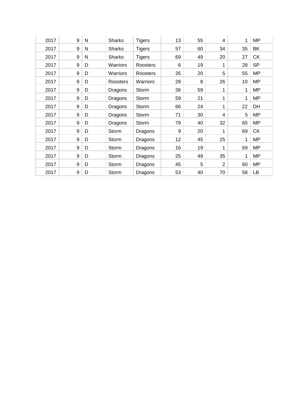| 2017 | 9 | N | <b>Sharks</b> | <b>Tigers</b>   | 13 | 55 | 4              | 1  | <b>MP</b> |
|------|---|---|---------------|-----------------|----|----|----------------|----|-----------|
| 2017 | 9 | N | <b>Sharks</b> | <b>Tigers</b>   | 57 | 60 | 34             | 35 | BK        |
| 2017 | 9 | N | <b>Sharks</b> | <b>Tigers</b>   | 69 | 49 | 20             | 27 | <b>CK</b> |
| 2017 | 9 | D | Warriors      | Roosters        | 6  | 19 | 1              | 28 | <b>SP</b> |
| 2017 | 9 | D | Warriors      | Roosters        | 35 | 20 | 5              | 55 | <b>MP</b> |
| 2017 | 9 | D | Roosters      | <b>Warriors</b> | 28 | 8  | 26             | 10 | <b>MP</b> |
| 2017 | 9 | D | Dragons       | Storm           | 36 | 59 | 1              | 1  | <b>MP</b> |
| 2017 | 9 | D | Dragons       | Storm           | 59 | 21 | 1              | 1  | <b>MP</b> |
| 2017 | 9 | D | Dragons       | Storm           | 66 | 24 | 1              | 22 | DH        |
| 2017 | 9 | D | Dragons       | Storm           | 71 | 30 | 4              | 5  | <b>MP</b> |
| 2017 | 9 | D | Dragons       | Storm           | 79 | 40 | 32             | 65 | <b>MP</b> |
| 2017 | 9 | D | Storm         | Dragons         | 9  | 20 | 1              | 69 | <b>CK</b> |
| 2017 | 9 | D | Storm         | Dragons         | 12 | 45 | 25             | 1  | <b>MP</b> |
| 2017 | 9 | D | Storm         | Dragons         | 16 | 19 | 1              | 69 | <b>MP</b> |
| 2017 | 9 | D | Storm         | Dragons         | 25 | 49 | 35             | 1  | <b>MP</b> |
| 2017 | 9 | D | Storm         | Dragons         | 45 | 5  | $\overline{2}$ | 60 | <b>MP</b> |
| 2017 | 9 | D | Storm         | Dragons         | 53 | 40 | 70             | 58 | LB        |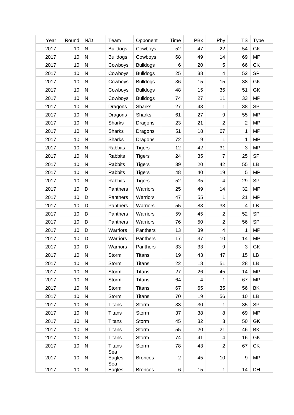| Year | Round           | N/D          | Team                 | Opponent        | Time           | PBx                     | Pby                     | TS             | <b>Type</b> |
|------|-----------------|--------------|----------------------|-----------------|----------------|-------------------------|-------------------------|----------------|-------------|
| 2017 | 10              | ${\sf N}$    | <b>Bulldogs</b>      | Cowboys         | 52             | 47                      | 22                      | 54             | GK          |
| 2017 | 10              | ${\sf N}$    | <b>Bulldogs</b>      | Cowboys         | 68             | 49                      | 14                      | 69             | <b>MP</b>   |
| 2017 | 10              | ${\sf N}$    | Cowboys              | <b>Bulldogs</b> | 6              | 20                      | $\,$ 5 $\,$             | 66             | <b>CK</b>   |
| 2017 | 10              | ${\sf N}$    | Cowboys              | <b>Bulldogs</b> | 25             | 38                      | $\overline{4}$          | 52             | <b>SP</b>   |
| 2017 | 10              | ${\sf N}$    | Cowboys              | <b>Bulldogs</b> | 36             | 15                      | 15                      | 38             | GK          |
| 2017 | 10              | ${\sf N}$    | Cowboys              | <b>Bulldogs</b> | 48             | 15                      | 35                      | 51             | GK          |
| 2017 | 10              | ${\sf N}$    | Cowboys              | <b>Bulldogs</b> | 74             | 27                      | 11                      | 33             | <b>MP</b>   |
| 2017 | 10              | ${\sf N}$    | Dragons              | <b>Sharks</b>   | 27             | 43                      | 1                       | 38             | <b>SP</b>   |
| 2017 | 10              | $\mathsf{N}$ | Dragons              | <b>Sharks</b>   | 61             | 27                      | $\boldsymbol{9}$        | 55             | <b>MP</b>   |
| 2017 | 10              | ${\sf N}$    | <b>Sharks</b>        | Dragons         | 23             | 21                      | $\overline{2}$          | $\overline{2}$ | <b>MP</b>   |
| 2017 | 10              | ${\sf N}$    | <b>Sharks</b>        | Dragons         | 51             | 18                      | 67                      | 1              | <b>MP</b>   |
| 2017 | 10              | ${\sf N}$    | <b>Sharks</b>        | Dragons         | 72             | 19                      | 1                       | 1              | <b>MP</b>   |
| 2017 | 10              | $\mathsf{N}$ | <b>Rabbits</b>       | <b>Tigers</b>   | 12             | 42                      | 31                      | 3              | <b>MP</b>   |
| 2017 | 10              | $\mathsf{N}$ | <b>Rabbits</b>       | <b>Tigers</b>   | 24             | 35                      | 7                       | 25             | <b>SP</b>   |
| 2017 | 10              | ${\sf N}$    | Rabbits              | <b>Tigers</b>   | 39             | 20                      | 42                      | 55             | <b>LB</b>   |
| 2017 | 10              | ${\sf N}$    | <b>Rabbits</b>       | <b>Tigers</b>   | 48             | 40                      | 19                      | 5              | <b>MP</b>   |
| 2017 | 10              | ${\sf N}$    | Rabbits              | <b>Tigers</b>   | 52             | 35                      | $\overline{4}$          | 29             | <b>SP</b>   |
| 2017 | 10              | D            | Panthers             | Warriors        | 25             | 49                      | 14                      | 32             | <b>MP</b>   |
| 2017 | 10              | D            | Panthers             | Warriors        | 47             | 55                      | 1                       | 21             | <b>MP</b>   |
| 2017 | 10              | D            | Panthers             | Warriors        | 55             | 83                      | 33                      | 4              | LB          |
| 2017 | 10              | D            | Panthers             | Warriors        | 59             | 45                      | $\overline{2}$          | 52             | <b>SP</b>   |
| 2017 | 10              | D            | Panthers             | Warriors        | 76             | 50                      | $\overline{2}$          | 56             | <b>SP</b>   |
| 2017 | 10              | D            | Warriors             | Panthers        | 13             | 39                      | $\overline{\mathbf{4}}$ | 1              | <b>MP</b>   |
| 2017 | 10              | D            |                      | Panthers        |                | 37                      | 10                      | 14             | <b>MP</b>   |
| 2017 | 10              | D            | Warriors             | Panthers        | 17<br>33       | 33                      | $\boldsymbol{9}$        | 3              | GK          |
|      | 10 <sup>1</sup> |              | Warriors<br>Storm    |                 |                |                         |                         |                |             |
| 2017 |                 | N            |                      | <b>Titans</b>   | 19             | 43                      | 47                      | 15             | LB          |
| 2017 | 10              | ${\sf N}$    | Storm                | <b>Titans</b>   | 22             | 18                      | 51                      | 28             | LB          |
| 2017 | 10              | ${\sf N}$    | Storm                | <b>Titans</b>   | 27             | 26                      | 45                      | 14             | <b>MP</b>   |
| 2017 | 10              | ${\sf N}$    | Storm                | <b>Titans</b>   | 64             | $\overline{\mathbf{4}}$ | $\mathbf{1}$            | 67             | <b>MP</b>   |
| 2017 | 10              | ${\sf N}$    | Storm                | <b>Titans</b>   | 67             | 65                      | 35                      | 56             | BK          |
| 2017 | 10              | ${\sf N}$    | Storm                | <b>Titans</b>   | 70             | 19                      | 56                      | 10             | LB          |
| 2017 | 10              | $\mathsf{N}$ | <b>Titans</b>        | Storm           | 33             | 30                      | 1                       | 35             | <b>SP</b>   |
| 2017 | 10              | ${\sf N}$    | <b>Titans</b>        | Storm           | 37             | 38                      | 8                       | 69             | <b>MP</b>   |
| 2017 | 10              | ${\sf N}$    | <b>Titans</b>        | Storm           | 45             | 32                      | 3                       | 50             | GK          |
| 2017 | 10              | ${\sf N}$    | <b>Titans</b>        | Storm           | 55             | 20                      | 21                      | 46             | BK          |
| 2017 | 10 <sup>1</sup> | ${\sf N}$    | <b>Titans</b>        | Storm           | 74             | 41                      | $\overline{4}$          | 16             | GK          |
| 2017 | 10              | ${\sf N}$    | <b>Titans</b>        | Storm           | 78             | 43                      | $\overline{c}$          | 67             | <b>CK</b>   |
| 2017 | 10 <sup>1</sup> | N            | Sea<br>Eagles<br>Sea | <b>Broncos</b>  | $\overline{2}$ | 45                      | 10                      | 9              | MP          |
|      |                 |              |                      |                 |                |                         |                         |                |             |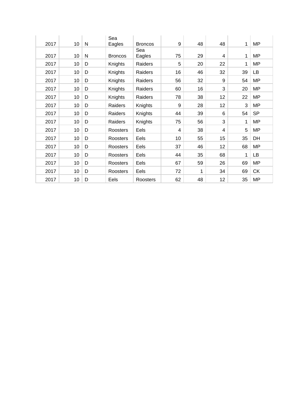| 2017 | 10 | N | Sea<br>Eagles  | <b>Broncos</b> | 9  | 48 | 48 | 1  | <b>MP</b> |
|------|----|---|----------------|----------------|----|----|----|----|-----------|
| 2017 | 10 | N | <b>Broncos</b> | Sea<br>Eagles  | 75 | 29 | 4  | 1  | <b>MP</b> |
| 2017 | 10 | D | Knights        | Raiders        | 5  | 20 | 22 | 1  | MP        |
| 2017 | 10 | D | Knights        | Raiders        | 16 | 46 | 32 | 39 | LB        |
| 2017 | 10 | D | Knights        | Raiders        | 56 | 32 | 9  | 54 | <b>MP</b> |
| 2017 | 10 | D | Knights        | Raiders        | 60 | 16 | 3  | 20 | <b>MP</b> |
| 2017 | 10 | D | Knights        | Raiders        | 78 | 38 | 12 | 22 | <b>MP</b> |
| 2017 | 10 | D | Raiders        | Knights        | 9  | 28 | 12 | 3  | <b>MP</b> |
| 2017 | 10 | D | Raiders        | Knights        | 44 | 39 | 6  | 54 | <b>SP</b> |
| 2017 | 10 | D | Raiders        | Knights        | 75 | 56 | 3  | 1  | <b>MP</b> |
| 2017 | 10 | D | Roosters       | Eels           | 4  | 38 | 4  | 5  | MP        |
| 2017 | 10 | D | Roosters       | Eels           | 10 | 55 | 15 | 35 | DH        |
| 2017 | 10 | D | Roosters       | Eels           | 37 | 46 | 12 | 68 | <b>MP</b> |
| 2017 | 10 | D | Roosters       | Eels           | 44 | 35 | 68 | 1  | LB        |
| 2017 | 10 | D | Roosters       | Eels           | 67 | 59 | 26 | 69 | <b>MP</b> |
| 2017 | 10 | D | Roosters       | Eels           | 72 | 1  | 34 | 69 | <b>CK</b> |
| 2017 | 10 | D | Eels           | Roosters       | 62 | 48 | 12 | 35 | <b>MP</b> |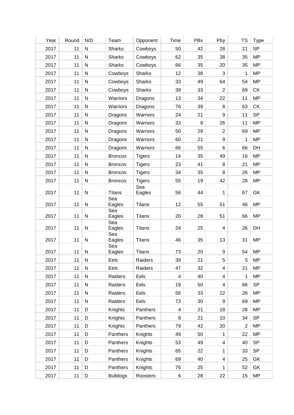| <b>SP</b><br>${\sf N}$<br>2017<br>11<br><b>Sharks</b><br>50<br>42<br>28<br>21<br>Cowboys<br>${\sf N}$<br>62<br>38<br>35<br><b>MP</b><br>2017<br>11<br><b>Sharks</b><br>Cowboys<br>35<br>35<br><b>MP</b><br>2017<br>11<br>${\sf N}$<br><b>Sharks</b><br>Cowboys<br>66<br>20<br>35<br>${\sf N}$<br><b>MP</b><br>2017<br>11<br>Cowboys<br><b>Sharks</b><br>12<br>38<br>3<br>1<br>11<br>${\sf N}$<br><b>Sharks</b><br>33<br>49<br>64<br>54<br><b>MP</b><br>2017<br>Cowboys<br>${\sf N}$<br>$\overline{2}$<br><b>CK</b><br>2017<br>11<br>Cowboys<br><b>Sharks</b><br>39<br>33<br>69<br>${\sf N}$<br>13<br>22<br><b>MP</b><br>2017<br>11<br>Warriors<br>Dragons<br>34<br>11<br>${\sf N}$<br>$\,8\,$<br>CK<br>2017<br>11<br>Warriors<br>76<br>39<br>63<br>Dragons<br><b>SP</b><br>${\sf N}$<br>$\boldsymbol{9}$<br>2017<br>11<br>24<br>21<br>11<br>Warriors<br>Dragons<br>11<br>${\sf N}$<br>Warriors<br>33<br>$\,8\,$<br>26<br><b>MP</b><br>2017<br>11<br>Dragons<br>${\sf N}$<br>29<br>$\overline{2}$<br>69<br><b>MP</b><br>2017<br>11<br>Warriors<br>50<br>Dragons<br>$\boldsymbol{9}$<br><b>MP</b><br>2017<br>11<br>${\sf N}$<br>Warriors<br>60<br>21<br>1<br>Dragons<br>${\sf N}$<br>6<br>DH<br>2017<br>11<br>Warriors<br>66<br>55<br>66<br>Dragons<br>49<br>${\sf N}$<br><b>MP</b><br>2017<br>11<br>14<br>35<br>16<br><b>Broncos</b><br><b>Tigers</b><br>2017<br>11<br>$\mathsf{N}$<br>23<br>41<br>8<br>21<br><b>MP</b><br><b>Broncos</b><br><b>Tigers</b><br>${\sf N}$<br><b>MP</b><br>2017<br>11<br>34<br>35<br>8<br>26<br><b>Broncos</b><br><b>Tigers</b><br>42<br><b>MP</b><br>2017<br>11<br>N<br><b>Tigers</b><br>55<br>19<br>28<br><b>Broncos</b><br>Sea<br>GK<br>2017<br>11<br>N<br><b>Titans</b><br>Eagles<br>56<br>44<br>67<br>1<br>Sea<br>12<br><b>MP</b><br>2017<br>11<br>N<br>Eagles<br><b>Titans</b><br>55<br>51<br>46<br>Sea<br>2017<br>11<br>N<br>Eagles<br><b>Titans</b><br>20<br>28<br>51<br>66<br><b>MP</b><br>Sea<br>2017<br>11<br>N<br>Eagles<br><b>Titans</b><br>24<br>25<br>26<br>DH<br>4<br>Sea<br>2017<br>11<br>${\sf N}$<br>Eagles<br><b>Titans</b><br>46<br>35<br>13<br>31<br><b>MP</b><br>Sea<br>2017<br>11<br>N<br>Eagles<br>Titans<br>73<br>20<br>9<br>54<br>MP<br><b>MP</b><br>${\sf N}$<br>Eels<br>39<br>21<br>5<br>2017<br>11<br>Raiders<br>5<br>11<br>${\sf N}$<br>Eels<br>Raiders<br>47<br>32<br>$\overline{\mathbf{4}}$<br>21<br><b>MP</b><br>2017<br>1<br>11<br>${\sf N}$<br>Eels<br>40<br><b>MP</b><br>2017<br>Raiders<br>4<br>$\overline{4}$<br>19<br>66<br><b>SP</b><br>2017<br>11<br>N<br>Raiders<br>Eels<br>50<br>4<br>Eels<br>26<br><b>MP</b><br>2017<br>11<br>N<br>Raiders<br>56<br>33<br>22<br>Eels<br><b>MP</b><br>2017<br>11<br>${\sf N}$<br>Raiders<br>73<br>30<br>9<br>69<br><b>MP</b><br>2017<br>11<br>Knights<br>Panthers<br>4<br>21<br>18<br>28<br>D<br><b>SP</b><br>11<br>D<br>Knights<br>Panthers<br>21<br>10<br>34<br>2017<br>8<br>20<br><b>MP</b><br>2017<br>11<br>D<br>Knights<br>Panthers<br>79<br>42<br>$\overline{2}$<br>22<br><b>MP</b><br>2017<br>11<br>D<br>Panthers<br>Knights<br>49<br>50<br>1<br><b>SP</b><br>2017<br>11<br>D<br>Panthers<br>Knights<br>53<br>49<br>$\overline{\mathbf{4}}$<br>40<br><b>SP</b><br>2017<br>11<br>65<br>22<br>33<br>D<br>Panthers<br>Knights<br>1<br>11<br>69<br>40<br>25<br>GK<br>2017<br>D<br>Panthers<br>Knights<br>$\overline{\mathbf{4}}$<br>Panthers<br>52<br>GK<br>2017<br>11<br>D<br>Knights<br>76<br>25<br>1<br>6<br>28<br>22<br>15<br><b>MP</b><br>2017<br>11<br>D<br><b>Bulldogs</b><br>Roosters | Year | Round | N/D | Team | Opponent | Time | PBx | Pby | <b>TS</b> | <b>Type</b> |
|-----------------------------------------------------------------------------------------------------------------------------------------------------------------------------------------------------------------------------------------------------------------------------------------------------------------------------------------------------------------------------------------------------------------------------------------------------------------------------------------------------------------------------------------------------------------------------------------------------------------------------------------------------------------------------------------------------------------------------------------------------------------------------------------------------------------------------------------------------------------------------------------------------------------------------------------------------------------------------------------------------------------------------------------------------------------------------------------------------------------------------------------------------------------------------------------------------------------------------------------------------------------------------------------------------------------------------------------------------------------------------------------------------------------------------------------------------------------------------------------------------------------------------------------------------------------------------------------------------------------------------------------------------------------------------------------------------------------------------------------------------------------------------------------------------------------------------------------------------------------------------------------------------------------------------------------------------------------------------------------------------------------------------------------------------------------------------------------------------------------------------------------------------------------------------------------------------------------------------------------------------------------------------------------------------------------------------------------------------------------------------------------------------------------------------------------------------------------------------------------------------------------------------------------------------------------------------------------------------------------------------------------------------------------------------------------------------------------------------------------------------------------------------------------------------------------------------------------------------------------------------------------------------------------------------------------------------------------------------------------------------------------------------------------------------------------------------------------------------------------------------------------------------------------------------------------------------------------------------------------------------------------------------------------------------------------------------------------------------------------------------------------------------------------------------------------------------------------------------------------------------------|------|-------|-----|------|----------|------|-----|-----|-----------|-------------|
|                                                                                                                                                                                                                                                                                                                                                                                                                                                                                                                                                                                                                                                                                                                                                                                                                                                                                                                                                                                                                                                                                                                                                                                                                                                                                                                                                                                                                                                                                                                                                                                                                                                                                                                                                                                                                                                                                                                                                                                                                                                                                                                                                                                                                                                                                                                                                                                                                                                                                                                                                                                                                                                                                                                                                                                                                                                                                                                                                                                                                                                                                                                                                                                                                                                                                                                                                                                                                                                                                                           |      |       |     |      |          |      |     |     |           |             |
|                                                                                                                                                                                                                                                                                                                                                                                                                                                                                                                                                                                                                                                                                                                                                                                                                                                                                                                                                                                                                                                                                                                                                                                                                                                                                                                                                                                                                                                                                                                                                                                                                                                                                                                                                                                                                                                                                                                                                                                                                                                                                                                                                                                                                                                                                                                                                                                                                                                                                                                                                                                                                                                                                                                                                                                                                                                                                                                                                                                                                                                                                                                                                                                                                                                                                                                                                                                                                                                                                                           |      |       |     |      |          |      |     |     |           |             |
|                                                                                                                                                                                                                                                                                                                                                                                                                                                                                                                                                                                                                                                                                                                                                                                                                                                                                                                                                                                                                                                                                                                                                                                                                                                                                                                                                                                                                                                                                                                                                                                                                                                                                                                                                                                                                                                                                                                                                                                                                                                                                                                                                                                                                                                                                                                                                                                                                                                                                                                                                                                                                                                                                                                                                                                                                                                                                                                                                                                                                                                                                                                                                                                                                                                                                                                                                                                                                                                                                                           |      |       |     |      |          |      |     |     |           |             |
|                                                                                                                                                                                                                                                                                                                                                                                                                                                                                                                                                                                                                                                                                                                                                                                                                                                                                                                                                                                                                                                                                                                                                                                                                                                                                                                                                                                                                                                                                                                                                                                                                                                                                                                                                                                                                                                                                                                                                                                                                                                                                                                                                                                                                                                                                                                                                                                                                                                                                                                                                                                                                                                                                                                                                                                                                                                                                                                                                                                                                                                                                                                                                                                                                                                                                                                                                                                                                                                                                                           |      |       |     |      |          |      |     |     |           |             |
|                                                                                                                                                                                                                                                                                                                                                                                                                                                                                                                                                                                                                                                                                                                                                                                                                                                                                                                                                                                                                                                                                                                                                                                                                                                                                                                                                                                                                                                                                                                                                                                                                                                                                                                                                                                                                                                                                                                                                                                                                                                                                                                                                                                                                                                                                                                                                                                                                                                                                                                                                                                                                                                                                                                                                                                                                                                                                                                                                                                                                                                                                                                                                                                                                                                                                                                                                                                                                                                                                                           |      |       |     |      |          |      |     |     |           |             |
|                                                                                                                                                                                                                                                                                                                                                                                                                                                                                                                                                                                                                                                                                                                                                                                                                                                                                                                                                                                                                                                                                                                                                                                                                                                                                                                                                                                                                                                                                                                                                                                                                                                                                                                                                                                                                                                                                                                                                                                                                                                                                                                                                                                                                                                                                                                                                                                                                                                                                                                                                                                                                                                                                                                                                                                                                                                                                                                                                                                                                                                                                                                                                                                                                                                                                                                                                                                                                                                                                                           |      |       |     |      |          |      |     |     |           |             |
|                                                                                                                                                                                                                                                                                                                                                                                                                                                                                                                                                                                                                                                                                                                                                                                                                                                                                                                                                                                                                                                                                                                                                                                                                                                                                                                                                                                                                                                                                                                                                                                                                                                                                                                                                                                                                                                                                                                                                                                                                                                                                                                                                                                                                                                                                                                                                                                                                                                                                                                                                                                                                                                                                                                                                                                                                                                                                                                                                                                                                                                                                                                                                                                                                                                                                                                                                                                                                                                                                                           |      |       |     |      |          |      |     |     |           |             |
|                                                                                                                                                                                                                                                                                                                                                                                                                                                                                                                                                                                                                                                                                                                                                                                                                                                                                                                                                                                                                                                                                                                                                                                                                                                                                                                                                                                                                                                                                                                                                                                                                                                                                                                                                                                                                                                                                                                                                                                                                                                                                                                                                                                                                                                                                                                                                                                                                                                                                                                                                                                                                                                                                                                                                                                                                                                                                                                                                                                                                                                                                                                                                                                                                                                                                                                                                                                                                                                                                                           |      |       |     |      |          |      |     |     |           |             |
|                                                                                                                                                                                                                                                                                                                                                                                                                                                                                                                                                                                                                                                                                                                                                                                                                                                                                                                                                                                                                                                                                                                                                                                                                                                                                                                                                                                                                                                                                                                                                                                                                                                                                                                                                                                                                                                                                                                                                                                                                                                                                                                                                                                                                                                                                                                                                                                                                                                                                                                                                                                                                                                                                                                                                                                                                                                                                                                                                                                                                                                                                                                                                                                                                                                                                                                                                                                                                                                                                                           |      |       |     |      |          |      |     |     |           |             |
|                                                                                                                                                                                                                                                                                                                                                                                                                                                                                                                                                                                                                                                                                                                                                                                                                                                                                                                                                                                                                                                                                                                                                                                                                                                                                                                                                                                                                                                                                                                                                                                                                                                                                                                                                                                                                                                                                                                                                                                                                                                                                                                                                                                                                                                                                                                                                                                                                                                                                                                                                                                                                                                                                                                                                                                                                                                                                                                                                                                                                                                                                                                                                                                                                                                                                                                                                                                                                                                                                                           |      |       |     |      |          |      |     |     |           |             |
|                                                                                                                                                                                                                                                                                                                                                                                                                                                                                                                                                                                                                                                                                                                                                                                                                                                                                                                                                                                                                                                                                                                                                                                                                                                                                                                                                                                                                                                                                                                                                                                                                                                                                                                                                                                                                                                                                                                                                                                                                                                                                                                                                                                                                                                                                                                                                                                                                                                                                                                                                                                                                                                                                                                                                                                                                                                                                                                                                                                                                                                                                                                                                                                                                                                                                                                                                                                                                                                                                                           |      |       |     |      |          |      |     |     |           |             |
|                                                                                                                                                                                                                                                                                                                                                                                                                                                                                                                                                                                                                                                                                                                                                                                                                                                                                                                                                                                                                                                                                                                                                                                                                                                                                                                                                                                                                                                                                                                                                                                                                                                                                                                                                                                                                                                                                                                                                                                                                                                                                                                                                                                                                                                                                                                                                                                                                                                                                                                                                                                                                                                                                                                                                                                                                                                                                                                                                                                                                                                                                                                                                                                                                                                                                                                                                                                                                                                                                                           |      |       |     |      |          |      |     |     |           |             |
|                                                                                                                                                                                                                                                                                                                                                                                                                                                                                                                                                                                                                                                                                                                                                                                                                                                                                                                                                                                                                                                                                                                                                                                                                                                                                                                                                                                                                                                                                                                                                                                                                                                                                                                                                                                                                                                                                                                                                                                                                                                                                                                                                                                                                                                                                                                                                                                                                                                                                                                                                                                                                                                                                                                                                                                                                                                                                                                                                                                                                                                                                                                                                                                                                                                                                                                                                                                                                                                                                                           |      |       |     |      |          |      |     |     |           |             |
|                                                                                                                                                                                                                                                                                                                                                                                                                                                                                                                                                                                                                                                                                                                                                                                                                                                                                                                                                                                                                                                                                                                                                                                                                                                                                                                                                                                                                                                                                                                                                                                                                                                                                                                                                                                                                                                                                                                                                                                                                                                                                                                                                                                                                                                                                                                                                                                                                                                                                                                                                                                                                                                                                                                                                                                                                                                                                                                                                                                                                                                                                                                                                                                                                                                                                                                                                                                                                                                                                                           |      |       |     |      |          |      |     |     |           |             |
|                                                                                                                                                                                                                                                                                                                                                                                                                                                                                                                                                                                                                                                                                                                                                                                                                                                                                                                                                                                                                                                                                                                                                                                                                                                                                                                                                                                                                                                                                                                                                                                                                                                                                                                                                                                                                                                                                                                                                                                                                                                                                                                                                                                                                                                                                                                                                                                                                                                                                                                                                                                                                                                                                                                                                                                                                                                                                                                                                                                                                                                                                                                                                                                                                                                                                                                                                                                                                                                                                                           |      |       |     |      |          |      |     |     |           |             |
|                                                                                                                                                                                                                                                                                                                                                                                                                                                                                                                                                                                                                                                                                                                                                                                                                                                                                                                                                                                                                                                                                                                                                                                                                                                                                                                                                                                                                                                                                                                                                                                                                                                                                                                                                                                                                                                                                                                                                                                                                                                                                                                                                                                                                                                                                                                                                                                                                                                                                                                                                                                                                                                                                                                                                                                                                                                                                                                                                                                                                                                                                                                                                                                                                                                                                                                                                                                                                                                                                                           |      |       |     |      |          |      |     |     |           |             |
|                                                                                                                                                                                                                                                                                                                                                                                                                                                                                                                                                                                                                                                                                                                                                                                                                                                                                                                                                                                                                                                                                                                                                                                                                                                                                                                                                                                                                                                                                                                                                                                                                                                                                                                                                                                                                                                                                                                                                                                                                                                                                                                                                                                                                                                                                                                                                                                                                                                                                                                                                                                                                                                                                                                                                                                                                                                                                                                                                                                                                                                                                                                                                                                                                                                                                                                                                                                                                                                                                                           |      |       |     |      |          |      |     |     |           |             |
|                                                                                                                                                                                                                                                                                                                                                                                                                                                                                                                                                                                                                                                                                                                                                                                                                                                                                                                                                                                                                                                                                                                                                                                                                                                                                                                                                                                                                                                                                                                                                                                                                                                                                                                                                                                                                                                                                                                                                                                                                                                                                                                                                                                                                                                                                                                                                                                                                                                                                                                                                                                                                                                                                                                                                                                                                                                                                                                                                                                                                                                                                                                                                                                                                                                                                                                                                                                                                                                                                                           |      |       |     |      |          |      |     |     |           |             |
|                                                                                                                                                                                                                                                                                                                                                                                                                                                                                                                                                                                                                                                                                                                                                                                                                                                                                                                                                                                                                                                                                                                                                                                                                                                                                                                                                                                                                                                                                                                                                                                                                                                                                                                                                                                                                                                                                                                                                                                                                                                                                                                                                                                                                                                                                                                                                                                                                                                                                                                                                                                                                                                                                                                                                                                                                                                                                                                                                                                                                                                                                                                                                                                                                                                                                                                                                                                                                                                                                                           |      |       |     |      |          |      |     |     |           |             |
|                                                                                                                                                                                                                                                                                                                                                                                                                                                                                                                                                                                                                                                                                                                                                                                                                                                                                                                                                                                                                                                                                                                                                                                                                                                                                                                                                                                                                                                                                                                                                                                                                                                                                                                                                                                                                                                                                                                                                                                                                                                                                                                                                                                                                                                                                                                                                                                                                                                                                                                                                                                                                                                                                                                                                                                                                                                                                                                                                                                                                                                                                                                                                                                                                                                                                                                                                                                                                                                                                                           |      |       |     |      |          |      |     |     |           |             |
|                                                                                                                                                                                                                                                                                                                                                                                                                                                                                                                                                                                                                                                                                                                                                                                                                                                                                                                                                                                                                                                                                                                                                                                                                                                                                                                                                                                                                                                                                                                                                                                                                                                                                                                                                                                                                                                                                                                                                                                                                                                                                                                                                                                                                                                                                                                                                                                                                                                                                                                                                                                                                                                                                                                                                                                                                                                                                                                                                                                                                                                                                                                                                                                                                                                                                                                                                                                                                                                                                                           |      |       |     |      |          |      |     |     |           |             |
|                                                                                                                                                                                                                                                                                                                                                                                                                                                                                                                                                                                                                                                                                                                                                                                                                                                                                                                                                                                                                                                                                                                                                                                                                                                                                                                                                                                                                                                                                                                                                                                                                                                                                                                                                                                                                                                                                                                                                                                                                                                                                                                                                                                                                                                                                                                                                                                                                                                                                                                                                                                                                                                                                                                                                                                                                                                                                                                                                                                                                                                                                                                                                                                                                                                                                                                                                                                                                                                                                                           |      |       |     |      |          |      |     |     |           |             |
|                                                                                                                                                                                                                                                                                                                                                                                                                                                                                                                                                                                                                                                                                                                                                                                                                                                                                                                                                                                                                                                                                                                                                                                                                                                                                                                                                                                                                                                                                                                                                                                                                                                                                                                                                                                                                                                                                                                                                                                                                                                                                                                                                                                                                                                                                                                                                                                                                                                                                                                                                                                                                                                                                                                                                                                                                                                                                                                                                                                                                                                                                                                                                                                                                                                                                                                                                                                                                                                                                                           |      |       |     |      |          |      |     |     |           |             |
|                                                                                                                                                                                                                                                                                                                                                                                                                                                                                                                                                                                                                                                                                                                                                                                                                                                                                                                                                                                                                                                                                                                                                                                                                                                                                                                                                                                                                                                                                                                                                                                                                                                                                                                                                                                                                                                                                                                                                                                                                                                                                                                                                                                                                                                                                                                                                                                                                                                                                                                                                                                                                                                                                                                                                                                                                                                                                                                                                                                                                                                                                                                                                                                                                                                                                                                                                                                                                                                                                                           |      |       |     |      |          |      |     |     |           |             |
|                                                                                                                                                                                                                                                                                                                                                                                                                                                                                                                                                                                                                                                                                                                                                                                                                                                                                                                                                                                                                                                                                                                                                                                                                                                                                                                                                                                                                                                                                                                                                                                                                                                                                                                                                                                                                                                                                                                                                                                                                                                                                                                                                                                                                                                                                                                                                                                                                                                                                                                                                                                                                                                                                                                                                                                                                                                                                                                                                                                                                                                                                                                                                                                                                                                                                                                                                                                                                                                                                                           |      |       |     |      |          |      |     |     |           |             |
|                                                                                                                                                                                                                                                                                                                                                                                                                                                                                                                                                                                                                                                                                                                                                                                                                                                                                                                                                                                                                                                                                                                                                                                                                                                                                                                                                                                                                                                                                                                                                                                                                                                                                                                                                                                                                                                                                                                                                                                                                                                                                                                                                                                                                                                                                                                                                                                                                                                                                                                                                                                                                                                                                                                                                                                                                                                                                                                                                                                                                                                                                                                                                                                                                                                                                                                                                                                                                                                                                                           |      |       |     |      |          |      |     |     |           |             |
|                                                                                                                                                                                                                                                                                                                                                                                                                                                                                                                                                                                                                                                                                                                                                                                                                                                                                                                                                                                                                                                                                                                                                                                                                                                                                                                                                                                                                                                                                                                                                                                                                                                                                                                                                                                                                                                                                                                                                                                                                                                                                                                                                                                                                                                                                                                                                                                                                                                                                                                                                                                                                                                                                                                                                                                                                                                                                                                                                                                                                                                                                                                                                                                                                                                                                                                                                                                                                                                                                                           |      |       |     |      |          |      |     |     |           |             |
|                                                                                                                                                                                                                                                                                                                                                                                                                                                                                                                                                                                                                                                                                                                                                                                                                                                                                                                                                                                                                                                                                                                                                                                                                                                                                                                                                                                                                                                                                                                                                                                                                                                                                                                                                                                                                                                                                                                                                                                                                                                                                                                                                                                                                                                                                                                                                                                                                                                                                                                                                                                                                                                                                                                                                                                                                                                                                                                                                                                                                                                                                                                                                                                                                                                                                                                                                                                                                                                                                                           |      |       |     |      |          |      |     |     |           |             |
|                                                                                                                                                                                                                                                                                                                                                                                                                                                                                                                                                                                                                                                                                                                                                                                                                                                                                                                                                                                                                                                                                                                                                                                                                                                                                                                                                                                                                                                                                                                                                                                                                                                                                                                                                                                                                                                                                                                                                                                                                                                                                                                                                                                                                                                                                                                                                                                                                                                                                                                                                                                                                                                                                                                                                                                                                                                                                                                                                                                                                                                                                                                                                                                                                                                                                                                                                                                                                                                                                                           |      |       |     |      |          |      |     |     |           |             |
|                                                                                                                                                                                                                                                                                                                                                                                                                                                                                                                                                                                                                                                                                                                                                                                                                                                                                                                                                                                                                                                                                                                                                                                                                                                                                                                                                                                                                                                                                                                                                                                                                                                                                                                                                                                                                                                                                                                                                                                                                                                                                                                                                                                                                                                                                                                                                                                                                                                                                                                                                                                                                                                                                                                                                                                                                                                                                                                                                                                                                                                                                                                                                                                                                                                                                                                                                                                                                                                                                                           |      |       |     |      |          |      |     |     |           |             |
|                                                                                                                                                                                                                                                                                                                                                                                                                                                                                                                                                                                                                                                                                                                                                                                                                                                                                                                                                                                                                                                                                                                                                                                                                                                                                                                                                                                                                                                                                                                                                                                                                                                                                                                                                                                                                                                                                                                                                                                                                                                                                                                                                                                                                                                                                                                                                                                                                                                                                                                                                                                                                                                                                                                                                                                                                                                                                                                                                                                                                                                                                                                                                                                                                                                                                                                                                                                                                                                                                                           |      |       |     |      |          |      |     |     |           |             |
|                                                                                                                                                                                                                                                                                                                                                                                                                                                                                                                                                                                                                                                                                                                                                                                                                                                                                                                                                                                                                                                                                                                                                                                                                                                                                                                                                                                                                                                                                                                                                                                                                                                                                                                                                                                                                                                                                                                                                                                                                                                                                                                                                                                                                                                                                                                                                                                                                                                                                                                                                                                                                                                                                                                                                                                                                                                                                                                                                                                                                                                                                                                                                                                                                                                                                                                                                                                                                                                                                                           |      |       |     |      |          |      |     |     |           |             |
|                                                                                                                                                                                                                                                                                                                                                                                                                                                                                                                                                                                                                                                                                                                                                                                                                                                                                                                                                                                                                                                                                                                                                                                                                                                                                                                                                                                                                                                                                                                                                                                                                                                                                                                                                                                                                                                                                                                                                                                                                                                                                                                                                                                                                                                                                                                                                                                                                                                                                                                                                                                                                                                                                                                                                                                                                                                                                                                                                                                                                                                                                                                                                                                                                                                                                                                                                                                                                                                                                                           |      |       |     |      |          |      |     |     |           |             |
|                                                                                                                                                                                                                                                                                                                                                                                                                                                                                                                                                                                                                                                                                                                                                                                                                                                                                                                                                                                                                                                                                                                                                                                                                                                                                                                                                                                                                                                                                                                                                                                                                                                                                                                                                                                                                                                                                                                                                                                                                                                                                                                                                                                                                                                                                                                                                                                                                                                                                                                                                                                                                                                                                                                                                                                                                                                                                                                                                                                                                                                                                                                                                                                                                                                                                                                                                                                                                                                                                                           |      |       |     |      |          |      |     |     |           |             |
|                                                                                                                                                                                                                                                                                                                                                                                                                                                                                                                                                                                                                                                                                                                                                                                                                                                                                                                                                                                                                                                                                                                                                                                                                                                                                                                                                                                                                                                                                                                                                                                                                                                                                                                                                                                                                                                                                                                                                                                                                                                                                                                                                                                                                                                                                                                                                                                                                                                                                                                                                                                                                                                                                                                                                                                                                                                                                                                                                                                                                                                                                                                                                                                                                                                                                                                                                                                                                                                                                                           |      |       |     |      |          |      |     |     |           |             |
|                                                                                                                                                                                                                                                                                                                                                                                                                                                                                                                                                                                                                                                                                                                                                                                                                                                                                                                                                                                                                                                                                                                                                                                                                                                                                                                                                                                                                                                                                                                                                                                                                                                                                                                                                                                                                                                                                                                                                                                                                                                                                                                                                                                                                                                                                                                                                                                                                                                                                                                                                                                                                                                                                                                                                                                                                                                                                                                                                                                                                                                                                                                                                                                                                                                                                                                                                                                                                                                                                                           |      |       |     |      |          |      |     |     |           |             |
|                                                                                                                                                                                                                                                                                                                                                                                                                                                                                                                                                                                                                                                                                                                                                                                                                                                                                                                                                                                                                                                                                                                                                                                                                                                                                                                                                                                                                                                                                                                                                                                                                                                                                                                                                                                                                                                                                                                                                                                                                                                                                                                                                                                                                                                                                                                                                                                                                                                                                                                                                                                                                                                                                                                                                                                                                                                                                                                                                                                                                                                                                                                                                                                                                                                                                                                                                                                                                                                                                                           |      |       |     |      |          |      |     |     |           |             |
|                                                                                                                                                                                                                                                                                                                                                                                                                                                                                                                                                                                                                                                                                                                                                                                                                                                                                                                                                                                                                                                                                                                                                                                                                                                                                                                                                                                                                                                                                                                                                                                                                                                                                                                                                                                                                                                                                                                                                                                                                                                                                                                                                                                                                                                                                                                                                                                                                                                                                                                                                                                                                                                                                                                                                                                                                                                                                                                                                                                                                                                                                                                                                                                                                                                                                                                                                                                                                                                                                                           |      |       |     |      |          |      |     |     |           |             |
|                                                                                                                                                                                                                                                                                                                                                                                                                                                                                                                                                                                                                                                                                                                                                                                                                                                                                                                                                                                                                                                                                                                                                                                                                                                                                                                                                                                                                                                                                                                                                                                                                                                                                                                                                                                                                                                                                                                                                                                                                                                                                                                                                                                                                                                                                                                                                                                                                                                                                                                                                                                                                                                                                                                                                                                                                                                                                                                                                                                                                                                                                                                                                                                                                                                                                                                                                                                                                                                                                                           |      |       |     |      |          |      |     |     |           |             |
|                                                                                                                                                                                                                                                                                                                                                                                                                                                                                                                                                                                                                                                                                                                                                                                                                                                                                                                                                                                                                                                                                                                                                                                                                                                                                                                                                                                                                                                                                                                                                                                                                                                                                                                                                                                                                                                                                                                                                                                                                                                                                                                                                                                                                                                                                                                                                                                                                                                                                                                                                                                                                                                                                                                                                                                                                                                                                                                                                                                                                                                                                                                                                                                                                                                                                                                                                                                                                                                                                                           |      |       |     |      |          |      |     |     |           |             |
|                                                                                                                                                                                                                                                                                                                                                                                                                                                                                                                                                                                                                                                                                                                                                                                                                                                                                                                                                                                                                                                                                                                                                                                                                                                                                                                                                                                                                                                                                                                                                                                                                                                                                                                                                                                                                                                                                                                                                                                                                                                                                                                                                                                                                                                                                                                                                                                                                                                                                                                                                                                                                                                                                                                                                                                                                                                                                                                                                                                                                                                                                                                                                                                                                                                                                                                                                                                                                                                                                                           |      |       |     |      |          |      |     |     |           |             |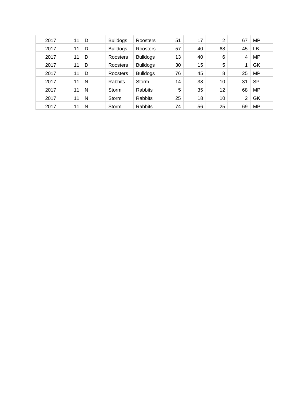| 2017 | 11 | D | <b>Bulldogs</b> | Roosters        | 51 | 17 | $\overline{2}$ | 67 | MP        |
|------|----|---|-----------------|-----------------|----|----|----------------|----|-----------|
| 2017 | 11 | D | <b>Bulldogs</b> | Roosters        | 57 | 40 | 68             | 45 | LB        |
| 2017 | 11 | D | Roosters        | <b>Bulldogs</b> | 13 | 40 | 6              | 4  | <b>MP</b> |
| 2017 | 11 | D | Roosters        | <b>Bulldogs</b> | 30 | 15 | 5              | 4  | GK        |
| 2017 | 11 | D | Roosters        | <b>Bulldogs</b> | 76 | 45 | 8              | 25 | <b>MP</b> |
| 2017 | 11 | N | <b>Rabbits</b>  | Storm           | 14 | 38 | 10             | 31 | SP        |
| 2017 | 11 | N | Storm           | Rabbits         | 5  | 35 | 12             | 68 | <b>MP</b> |
| 2017 | 11 | N | Storm           | Rabbits         | 25 | 18 | 10             | 2  | GK        |
| 2017 | 11 | N | Storm           | Rabbits         | 74 | 56 | 25             | 69 | MP        |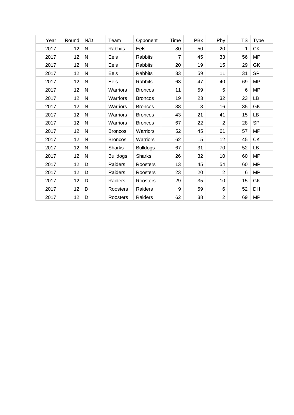| Year | Round | N/D          | Team            | Opponent        | Time           | <b>PBx</b> | Pby            | <b>TS</b>      | <b>Type</b> |
|------|-------|--------------|-----------------|-----------------|----------------|------------|----------------|----------------|-------------|
| 2017 | 12    | ${\sf N}$    | <b>Rabbits</b>  | Eels            | 80             | 50         | 20             | 1              | <b>CK</b>   |
| 2017 | 12    | ${\sf N}$    | Eels            | <b>Rabbits</b>  | $\overline{7}$ | 45         | 33             | 56             | <b>MP</b>   |
| 2017 | 12    | ${\sf N}$    | Eels            | <b>Rabbits</b>  | 20             | 19         | 15             | 29             | GK          |
| 2017 | 12    | $\mathsf{N}$ | Eels            | <b>Rabbits</b>  | 33             | 59         | 11             | 31             | <b>SP</b>   |
| 2017 | 12    | ${\sf N}$    | Eels            | <b>Rabbits</b>  | 63             | 47         | 40             | 69             | <b>MP</b>   |
| 2017 | 12    | ${\sf N}$    | Warriors        | <b>Broncos</b>  | 11             | 59         | 5              | $6\phantom{1}$ | <b>MP</b>   |
| 2017 | 12    | ${\sf N}$    | Warriors        | <b>Broncos</b>  | 19             | 23         | 32             | 23             | <b>LB</b>   |
| 2017 | 12    | ${\sf N}$    | Warriors        | <b>Broncos</b>  | 38             | 3          | 16             | 35             | GK          |
| 2017 | 12    | $\mathsf{N}$ | Warriors        | <b>Broncos</b>  | 43             | 21         | 41             | 15             | <b>LB</b>   |
| 2017 | 12    | $\mathsf{N}$ | Warriors        | <b>Broncos</b>  | 67             | 22         | $\overline{2}$ | 28             | <b>SP</b>   |
| 2017 | 12    | $\mathsf{N}$ | <b>Broncos</b>  | Warriors        | 52             | 45         | 61             | 57             | <b>MP</b>   |
| 2017 | 12    | ${\sf N}$    | <b>Broncos</b>  | Warriors        | 62             | 15         | 12             | 45             | <b>CK</b>   |
| 2017 | 12    | ${\sf N}$    | <b>Sharks</b>   | <b>Bulldogs</b> | 67             | 31         | 70             | 52             | LB          |
| 2017 | 12    | ${\sf N}$    | <b>Bulldogs</b> | <b>Sharks</b>   | 26             | 32         | 10             | 60             | <b>MP</b>   |
| 2017 | 12    | D            | Raiders         | Roosters        | 13             | 45         | 54             | 60             | <b>MP</b>   |
| 2017 | 12    | D            | Raiders         | Roosters        | 23             | 20         | 2              | $\,6$          | <b>MP</b>   |
| 2017 | 12    | D            | Raiders         | Roosters        | 29             | 35         | 10             | 15             | GK          |
| 2017 | 12    | D            | Roosters        | Raiders         | 9              | 59         | 6              | 52             | DH          |
| 2017 | 12    | D            | Roosters        | Raiders         | 62             | 38         | 2              | 69             | <b>MP</b>   |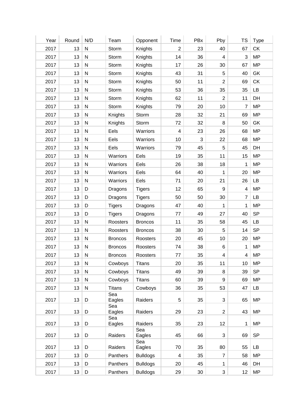| Year | Round | N/D          | Team           | Opponent        | Time                    | PBx | Pby              | TS              | <b>Type</b> |
|------|-------|--------------|----------------|-----------------|-------------------------|-----|------------------|-----------------|-------------|
| 2017 | 13    | ${\sf N}$    | Storm          | Knights         | $\overline{2}$          | 23  | 40               | 67              | CK          |
| 2017 | 13    | ${\sf N}$    | Storm          | Knights         | 14                      | 36  | $\overline{4}$   | $\mathfrak{S}$  | <b>MP</b>   |
| 2017 | 13    | ${\sf N}$    | Storm          | Knights         | 17                      | 26  | 30               | 67              | <b>MP</b>   |
| 2017 | 13    | ${\sf N}$    | Storm          | Knights         | 43                      | 31  | 5                | 40              | GK          |
| 2017 | 13    | ${\sf N}$    | Storm          | Knights         | 50                      | 11  | $\overline{2}$   | 69              | CK          |
| 2017 | 13    | ${\sf N}$    | Storm          | Knights         | 53                      | 36  | 35               | 35              | LB          |
| 2017 | 13    | ${\sf N}$    | Storm          | Knights         | 62                      | 11  | $\overline{2}$   | 11              | DH          |
| 2017 | 13    | ${\sf N}$    | Storm          | Knights         | 79                      | 20  | 10               | $\overline{7}$  | <b>MP</b>   |
| 2017 | 13    | ${\sf N}$    | Knights        | Storm           | 28                      | 32  | 21               | 69              | <b>MP</b>   |
| 2017 | 13    | ${\sf N}$    | Knights        | Storm           | 72                      | 32  | 8                | 50              | GK          |
| 2017 | 13    | ${\sf N}$    | Eels           | Warriors        | $\overline{\mathbf{4}}$ | 23  | 26               | 68              | <b>MP</b>   |
| 2017 | 13    | ${\sf N}$    | Eels           | Warriors        | 10                      | 3   | 22               | 68              | <b>MP</b>   |
| 2017 | 13    | ${\sf N}$    | Eels           | Warriors        | 79                      | 45  | 5                | 45              | DH          |
| 2017 | 13    | ${\sf N}$    | Warriors       | Eels            | 19                      | 35  | 11               | 15              | <b>MP</b>   |
| 2017 | 13    | ${\sf N}$    | Warriors       | Eels            | 26                      | 38  | 18               | $\mathbf 1$     | <b>MP</b>   |
| 2017 | 13    | ${\sf N}$    | Warriors       | Eels            | 64                      | 40  | 1                | 20              | <b>MP</b>   |
| 2017 | 13    | ${\sf N}$    | Warriors       | Eels            | 71                      | 20  | 21               | 26              | LB          |
| 2017 | 13    | D            | Dragons        | <b>Tigers</b>   | 12                      | 65  | $\boldsymbol{9}$ | 4               | <b>MP</b>   |
| 2017 | 13    | D            | Dragons        | <b>Tigers</b>   | 50                      | 50  | 30               | $\overline{7}$  | LB          |
| 2017 | 13    | D            | <b>Tigers</b>  | Dragons         | 47                      | 40  | 1                | $\mathbf 1$     | <b>MP</b>   |
| 2017 | 13    | D            | <b>Tigers</b>  | Dragons         | 77                      | 49  | 27               | 40              | <b>SP</b>   |
| 2017 | 13    | ${\sf N}$    | Roosters       | <b>Broncos</b>  | 11                      | 35  | 58               | 45              | LB          |
| 2017 | 13    | ${\sf N}$    | Roosters       | <b>Broncos</b>  | 38                      | 30  | 5                | 14              | <b>SP</b>   |
| 2017 | 13    | $\mathsf{N}$ | <b>Broncos</b> | Roosters        | 20                      | 45  | 10               | 20              | <b>MP</b>   |
| 2017 | 13    | $\mathsf{N}$ | <b>Broncos</b> | Roosters        | 74                      | 38  | 6                | $\mathbf 1$     | <b>MP</b>   |
| 2017 | 13    | $\mathsf{N}$ | <b>Broncos</b> | Roosters        | 77                      | 35  | $\overline{4}$   | 4               | <b>MP</b>   |
| 2017 | 13    | ${\sf N}$    | Cowboys        | <b>Titans</b>   | 20                      | 35  | 11               | 10              | <b>MP</b>   |
| 2017 | 13    | ${\sf N}$    | Cowboys        | <b>Titans</b>   | 49                      | 39  | 8                | 39              | <b>SP</b>   |
| 2017 | 13    | ${\sf N}$    | Cowboys        | <b>Titans</b>   | 60                      | 39  | $\boldsymbol{9}$ | 69              | <b>MP</b>   |
| 2017 | 13    | ${\sf N}$    | <b>Titans</b>  | Cowboys         | 36                      | 35  | 53               | 47              | <b>LB</b>   |
|      |       |              | Sea            |                 |                         |     |                  |                 |             |
| 2017 | 13    | D            | Eagles<br>Sea  | Raiders         | 5                       | 35  | 3                | 65              | <b>MP</b>   |
| 2017 | 13    | D            | Eagles         | Raiders         | 29                      | 23  | $\overline{2}$   | 43              | <b>MP</b>   |
|      |       |              | Sea            |                 |                         |     |                  |                 |             |
| 2017 | 13    | D            | Eagles         | Raiders<br>Sea  | 35                      | 23  | 12               | 1               | <b>MP</b>   |
| 2017 | 13    | D            | Raiders        | Eagles          | 45                      | 66  | 3                | 69              | <b>SP</b>   |
| 2017 | 13    | D            | Raiders        | Sea<br>Eagles   | 70                      | 35  | 80               | 55              | LB          |
| 2017 | 13    | D            | Panthers       | <b>Bulldogs</b> | 4                       | 35  | $\overline{7}$   | 58              | <b>MP</b>   |
| 2017 | 13    | D            | Panthers       | <b>Bulldogs</b> | 20                      | 45  | 1                | 46              | DH          |
| 2017 | 13    | D            | Panthers       | <b>Bulldogs</b> | 29                      | 30  | $\mathfrak{S}$   | 12 <sub>2</sub> | <b>MP</b>   |
|      |       |              |                |                 |                         |     |                  |                 |             |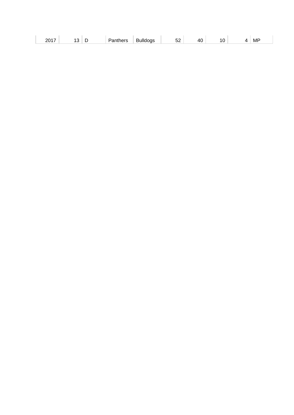| <br>---<br>$\cdot$ $-$<br>MF<br>$\mathbf{u}$<br>.<br>JZ<br>. .<br><b>∼</b><br>______<br>$\sim$ |  |  |  |  |  |
|------------------------------------------------------------------------------------------------|--|--|--|--|--|
|------------------------------------------------------------------------------------------------|--|--|--|--|--|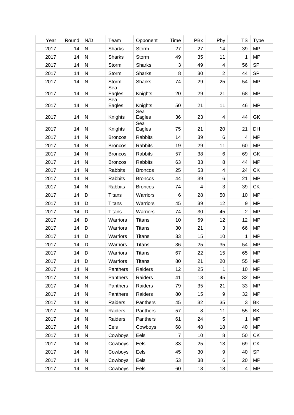| Year | Round | N/D          | Team           | Opponent       | Time           | PBx            | Pby                     | <b>TS</b>               | <b>Type</b> |
|------|-------|--------------|----------------|----------------|----------------|----------------|-------------------------|-------------------------|-------------|
| 2017 | 14    | ${\sf N}$    | <b>Sharks</b>  | Storm          | 27             | 27             | 14                      | 39                      | <b>MP</b>   |
| 2017 | 14    | ${\sf N}$    | <b>Sharks</b>  | Storm          | 49             | 35             | 11                      | $\mathbf 1$             | <b>MP</b>   |
| 2017 | 14    | $\mathsf{N}$ | Storm          | <b>Sharks</b>  | 3              | 49             | $\overline{\mathbf{4}}$ | 56                      | <b>SP</b>   |
| 2017 | 14    | $\mathsf{N}$ | Storm          | <b>Sharks</b>  | 8              | 30             | $\overline{2}$          | 44                      | <b>SP</b>   |
| 2017 | 14    | ${\sf N}$    | Storm          | <b>Sharks</b>  | 74             | 29             | 25                      | 54                      | <b>MP</b>   |
| 2017 | 14    | ${\sf N}$    | Sea<br>Eagles  | Knights        | 20             | 29             | 21                      | 68                      | <b>MP</b>   |
| 2017 | 14    | ${\sf N}$    | Sea<br>Eagles  | Knights        | 50             | 21             | 11                      | 46                      | <b>MP</b>   |
| 2017 | 14    | ${\sf N}$    | Knights        | Sea<br>Eagles  | 36             | 23             | $\overline{4}$          | 44                      | GK          |
| 2017 | 14    | ${\sf N}$    | Knights        | Sea<br>Eagles  | 75             | 21             | 20                      | 21                      | DH          |
| 2017 | 14    | ${\sf N}$    | <b>Broncos</b> | Rabbits        | 14             | 39             | 6                       | $\overline{4}$          | <b>MP</b>   |
| 2017 | 14    | ${\sf N}$    | <b>Broncos</b> | Rabbits        | 19             | 29             | 11                      | 60                      | <b>MP</b>   |
| 2017 | 14    | $\mathsf{N}$ | <b>Broncos</b> | <b>Rabbits</b> | 57             | 38             | 6                       | 69                      | GK          |
| 2017 | 14    | ${\sf N}$    | <b>Broncos</b> | Rabbits        | 63             | 33             | 8                       | 44                      | <b>MP</b>   |
| 2017 | 14    | ${\sf N}$    | Rabbits        | <b>Broncos</b> | 25             | 53             | $\overline{4}$          | 24                      | CK          |
| 2017 | 14    | ${\sf N}$    | <b>Rabbits</b> | <b>Broncos</b> | 44             | 39             | 6                       | 21                      | <b>MP</b>   |
| 2017 | 14    | ${\sf N}$    | Rabbits        | <b>Broncos</b> | 74             | $\overline{4}$ | $\sqrt{3}$              | 39                      | <b>CK</b>   |
| 2017 | 14    | D            | <b>Titans</b>  | Warriors       | 6              | 28             | 50                      | 10                      | <b>MP</b>   |
| 2017 | 14    | D            | <b>Titans</b>  | Warriors       | 45             | 39             | 12                      | 9                       | <b>MP</b>   |
| 2017 | 14    | D            | <b>Titans</b>  | Warriors       | 74             | 30             | 45                      | $\overline{2}$          | <b>MP</b>   |
| 2017 | 14    | D            | Warriors       | <b>Titans</b>  | 10             | 59             | 12                      | 12                      | <b>MP</b>   |
| 2017 | 14    | D            | Warriors       | <b>Titans</b>  | 30             | 21             | $\sqrt{3}$              | 66                      | <b>MP</b>   |
| 2017 | 14    | D            | Warriors       | <b>Titans</b>  | 33             | 15             | 10                      | 1                       | <b>MP</b>   |
| 2017 | 14    | D            | Warriors       | <b>Titans</b>  | 36             | 25             | 35                      | 54                      | <b>MP</b>   |
| 2017 | 14    | D            | Warriors       | <b>Titans</b>  | 67             | 22             | 15                      | 65                      | <b>MP</b>   |
| 2017 | 14    | D            | Warriors       | <b>Titans</b>  | 80             | 21             | 20                      | 55                      | <b>MP</b>   |
| 2017 | 14    | N            | Panthers       | Raiders        | 12             | 25             | 1                       | 10                      | <b>MP</b>   |
| 2017 | 14    | ${\sf N}$    | Panthers       | Raiders        | 41             | 18             | 45                      | 32                      | <b>MP</b>   |
| 2017 | 14    | $\mathsf{N}$ | Panthers       | Raiders        | 79             | 35             | 21                      | 33                      | <b>MP</b>   |
| 2017 | 14    | ${\sf N}$    | Panthers       | Raiders        | 80             | 15             | 9                       | 32                      | <b>MP</b>   |
| 2017 | 14    | ${\sf N}$    | Raiders        | Panthers       | 45             | 32             | 35                      | 3                       | BK          |
| 2017 | 14    | ${\sf N}$    | Raiders        | Panthers       | 57             | 8              | 11                      | 55                      | BK          |
| 2017 | 14    | ${\sf N}$    | Raiders        | Panthers       | 61             | 24             | 5                       | 1                       | <b>MP</b>   |
| 2017 | 14    | ${\sf N}$    | Eels           | Cowboys        | 68             | 48             | 18                      | 40                      | <b>MP</b>   |
| 2017 | 14    | ${\sf N}$    | Cowboys        | Eels           | $\overline{7}$ | 10             | 8                       | 50                      | <b>CK</b>   |
| 2017 | 14    | ${\sf N}$    | Cowboys        | Eels           | 33             | 25             | 13                      | 69                      | <b>CK</b>   |
| 2017 | 14    | ${\sf N}$    | Cowboys        | Eels           | 45             | 30             | 9                       | 40                      | <b>SP</b>   |
| 2017 | 14    | ${\sf N}$    | Cowboys        | Eels           | 53             | 38             | 6                       | 20                      | <b>MP</b>   |
| 2017 | 14    | $\mathsf{N}$ | Cowboys        | Eels           | 60             | 18             | 18                      | $\overline{\mathbf{4}}$ | <b>MP</b>   |
|      |       |              |                |                |                |                |                         |                         |             |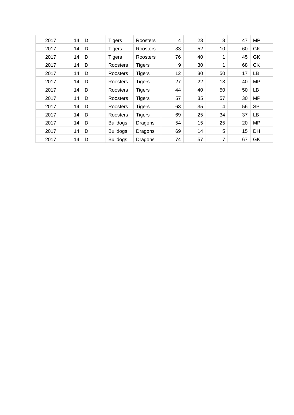| 2017 | 14 | D | <b>Tigers</b>   | Roosters      | 4  | 23 | 3  | 47 | <b>MP</b> |
|------|----|---|-----------------|---------------|----|----|----|----|-----------|
| 2017 | 14 | D | <b>Tigers</b>   | Roosters      | 33 | 52 | 10 | 60 | GK        |
| 2017 | 14 | D | Tigers          | Roosters      | 76 | 40 | 1  | 45 | GK        |
| 2017 | 14 | D | Roosters        | <b>Tigers</b> | 9  | 30 | 1  | 68 | <b>CK</b> |
| 2017 | 14 | D | Roosters        | <b>Tigers</b> | 12 | 30 | 50 | 17 | LВ        |
| 2017 | 14 | D | Roosters        | <b>Tigers</b> | 27 | 22 | 13 | 40 | <b>MP</b> |
| 2017 | 14 | D | Roosters        | <b>Tigers</b> | 44 | 40 | 50 | 50 | LВ        |
| 2017 | 14 | D | Roosters        | <b>Tigers</b> | 57 | 35 | 57 | 30 | <b>MP</b> |
| 2017 | 14 | D | Roosters        | <b>Tigers</b> | 63 | 35 | 4  | 56 | <b>SP</b> |
| 2017 | 14 | D | Roosters        | <b>Tigers</b> | 69 | 25 | 34 | 37 | LВ        |
| 2017 | 14 | D | <b>Bulldogs</b> | Dragons       | 54 | 15 | 25 | 20 | <b>MP</b> |
| 2017 | 14 | D | <b>Bulldogs</b> | Dragons       | 69 | 14 | 5  | 15 | DH        |
| 2017 | 14 | D | <b>Bulldogs</b> | Dragons       | 74 | 57 | 7  | 67 | GK        |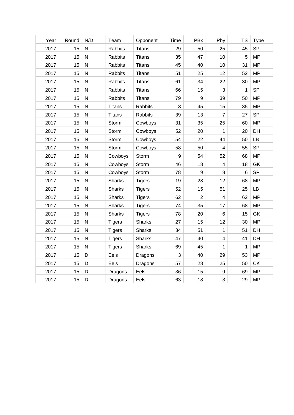| Year | Round | N/D          | Team           | Opponent      | <b>Time</b> | PBx              | Pby            | <b>TS</b>   | <b>Type</b> |
|------|-------|--------------|----------------|---------------|-------------|------------------|----------------|-------------|-------------|
| 2017 | 15    | ${\sf N}$    | Rabbits        | <b>Titans</b> | 29          | 50               | 25             | 45          | <b>SP</b>   |
| 2017 | 15    | N            | Rabbits        | <b>Titans</b> | 35          | 47               | 10             | 5           | <b>MP</b>   |
| 2017 | 15    | $\mathsf{N}$ | <b>Rabbits</b> | <b>Titans</b> | 45          | 40               | 10             | 31          | <b>MP</b>   |
| 2017 | 15    | N            | Rabbits        | <b>Titans</b> | 51          | 25               | 12             | 52          | <b>MP</b>   |
| 2017 | 15    | ${\sf N}$    | Rabbits        | <b>Titans</b> | 61          | 34               | 22             | 30          | <b>MP</b>   |
| 2017 | 15    | N            | Rabbits        | <b>Titans</b> | 66          | 15               | 3              | 1           | <b>SP</b>   |
| 2017 | 15    | ${\sf N}$    | <b>Rabbits</b> | <b>Titans</b> | 79          | $\boldsymbol{9}$ | 39             | 50          | <b>MP</b>   |
| 2017 | 15    | N            | <b>Titans</b>  | Rabbits       | 3           | 45               | 15             | 35          | <b>MP</b>   |
| 2017 | 15    | ${\sf N}$    | <b>Titans</b>  | Rabbits       | 39          | 13               | $\overline{7}$ | 27          | <b>SP</b>   |
| 2017 | 15    | N            | Storm          | Cowboys       | 31          | 35               | 25             | 60          | <b>MP</b>   |
| 2017 | 15    | ${\sf N}$    | Storm          | Cowboys       | 52          | 20               | $\mathbf{1}$   | 20          | DH          |
| 2017 | 15    | ${\sf N}$    | Storm          | Cowboys       | 54          | 22               | 44             | 50          | <b>LB</b>   |
| 2017 | 15    | $\mathsf{N}$ | Storm          | Cowboys       | 58          | 50               | $\overline{4}$ | 55          | <b>SP</b>   |
| 2017 | 15    | N            | Cowboys        | Storm         | 9           | 54               | 52             | 68          | <b>MP</b>   |
| 2017 | 15    | ${\sf N}$    | Cowboys        | Storm         | 46          | 18               | $\overline{4}$ | 18          | GK          |
| 2017 | 15    | N            | Cowboys        | Storm         | 78          | 9                | 8              | 6           | <b>SP</b>   |
| 2017 | 15    | ${\sf N}$    | <b>Sharks</b>  | <b>Tigers</b> | 19          | 28               | 12             | 68          | <b>MP</b>   |
| 2017 | 15    | N            | <b>Sharks</b>  | <b>Tigers</b> | 52          | 15               | 51             | 25          | LB          |
| 2017 | 15    | ${\sf N}$    | <b>Sharks</b>  | <b>Tigers</b> | 62          | $\overline{2}$   | $\overline{4}$ | 62          | <b>MP</b>   |
| 2017 | 15    | N            | <b>Sharks</b>  | <b>Tigers</b> | 74          | 35               | 17             | 68          | <b>MP</b>   |
| 2017 | 15    | ${\sf N}$    | <b>Sharks</b>  | <b>Tigers</b> | 78          | 20               | $6\phantom{a}$ | 15          | GK          |
| 2017 | 15    | ${\sf N}$    | <b>Tigers</b>  | <b>Sharks</b> | 27          | 15               | 12             | 30          | <b>MP</b>   |
| 2017 | 15    | ${\sf N}$    | <b>Tigers</b>  | Sharks        | 34          | 51               | $\mathbf{1}$   | 51          | DH          |
| 2017 | 15    | N            | <b>Tigers</b>  | Sharks        | 47          | 40               | $\overline{4}$ | 41          | DH          |
| 2017 | 15    | ${\sf N}$    | <b>Tigers</b>  | <b>Sharks</b> | 69          | 45               | $\mathbf{1}$   | $\mathbf 1$ | <b>MP</b>   |
| 2017 | 15    | D            | Eels           | Dragons       | 3           | 40               | 29             | 53          | <b>MP</b>   |
| 2017 | 15    | D            | Eels           | Dragons       | 57          | 28               | 25             | 50          | CK          |
| 2017 | 15    | D            | Dragons        | Eels          | 36          | 15               | 9              | 69          | <b>MP</b>   |
| 2017 | 15    | D            | Dragons        | Eels          | 63          | 18               | 3              | 29          | <b>MP</b>   |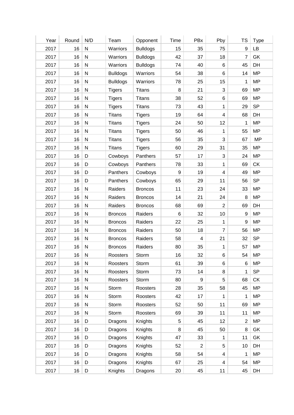| Year | Round | N/D          | Team            | Opponent        | Time             | PBx                     | Pby                     | <b>TS</b>        | <b>Type</b> |
|------|-------|--------------|-----------------|-----------------|------------------|-------------------------|-------------------------|------------------|-------------|
| 2017 | 16    | ${\sf N}$    | Warriors        | <b>Bulldogs</b> | 15               | 35                      | 75                      | $9\,$            | LB          |
| 2017 | 16    | ${\sf N}$    | Warriors        | <b>Bulldogs</b> | 42               | 37                      | 18                      | $\overline{7}$   | GK          |
| 2017 | 16    | ${\sf N}$    | Warriors        | <b>Bulldogs</b> | 74               | 40                      | 6                       | 45               | DH          |
| 2017 | 16    | ${\sf N}$    | <b>Bulldogs</b> | Warriors        | 54               | 38                      | 6                       | 14               | <b>MP</b>   |
| 2017 | 16    | ${\sf N}$    |                 | Warriors        | 78               | 25                      | 15                      | 1                | <b>MP</b>   |
|      |       |              | <b>Bulldogs</b> |                 |                  |                         |                         |                  |             |
| 2017 | 16    | ${\sf N}$    | <b>Tigers</b>   | <b>Titans</b>   | 8                | 21                      | 3                       | 69               | <b>MP</b>   |
| 2017 | 16    | ${\sf N}$    | <b>Tigers</b>   | <b>Titans</b>   | 38               | 52                      | 6                       | 69               | <b>MP</b>   |
| 2017 | 16    | ${\sf N}$    | <b>Tigers</b>   | <b>Titans</b>   | 73               | 43                      | 1                       | 29               | <b>SP</b>   |
| 2017 | 16    | $\mathsf{N}$ | <b>Titans</b>   | <b>Tigers</b>   | 19               | 64                      | $\overline{\mathbf{4}}$ | 68               | DH          |
| 2017 | 16    | ${\sf N}$    | <b>Titans</b>   | <b>Tigers</b>   | 24               | 50                      | 12                      | 1                | <b>MP</b>   |
| 2017 | 16    | ${\sf N}$    | <b>Titans</b>   | <b>Tigers</b>   | 50               | 46                      | 1                       | 55               | <b>MP</b>   |
| 2017 | 16    | ${\sf N}$    | <b>Titans</b>   | <b>Tigers</b>   | 56               | 35                      | 3                       | 67               | <b>MP</b>   |
| 2017 | 16    | $\mathsf{N}$ | <b>Titans</b>   | <b>Tigers</b>   | 60               | 29                      | 31                      | 35               | <b>MP</b>   |
| 2017 | 16    | D            | Cowboys         | Panthers        | 57               | 17                      | $\sqrt{3}$              | 24               | <b>MP</b>   |
| 2017 | 16    | D            | Cowboys         | Panthers        | 78               | 33                      | 1                       | 69               | <b>CK</b>   |
| 2017 | 16    | D            | Panthers        | Cowboys         | $\boldsymbol{9}$ | 19                      | $\overline{\mathbf{4}}$ | 49               | <b>MP</b>   |
| 2017 | 16    | D            | Panthers        | Cowboys         | 65               | 29                      | 11                      | 56               | <b>SP</b>   |
| 2017 | 16    | $\mathsf{N}$ | Raiders         | <b>Broncos</b>  | 11               | 23                      | 24                      | 33               | <b>MP</b>   |
| 2017 | 16    | $\mathsf{N}$ | Raiders         | <b>Broncos</b>  | 14               | 21                      | 24                      | 8                | <b>MP</b>   |
| 2017 | 16    | ${\sf N}$    | Raiders         | <b>Broncos</b>  | 68               | 69                      | $\overline{2}$          | 69               | DH          |
| 2017 | 16    | ${\sf N}$    | <b>Broncos</b>  | Raiders         | 6                | 32                      | 10                      | $\boldsymbol{9}$ | <b>MP</b>   |
| 2017 | 16    | ${\sf N}$    | <b>Broncos</b>  | Raiders         | 22               | 25                      | 1                       | 9                | <b>MP</b>   |
| 2017 | 16    | ${\sf N}$    | <b>Broncos</b>  | Raiders         | 50               | 18                      | 7                       | 56               | <b>MP</b>   |
| 2017 | 16    | $\mathsf{N}$ | <b>Broncos</b>  | Raiders         | 58               | $\overline{\mathbf{4}}$ | 21                      | 32               | <b>SP</b>   |
| 2017 | 16    | $\mathsf{N}$ | <b>Broncos</b>  | Raiders         | 80               | 35                      | $\mathbf{1}$            | 57               | <b>MP</b>   |
| 2017 | 16    | ${\sf N}$    | Roosters        | Storm           | 16               | 32                      | 6                       | 54               | <b>MP</b>   |
| 2017 | 16    | N            | Roosters        | Storm           | 61               | 39                      | 6                       | 6                | <b>MP</b>   |
| 2017 | 16    | ${\sf N}$    | Roosters        | Storm           | 73               | 14                      | 8                       | 1                | <b>SP</b>   |
| 2017 | 16    | ${\sf N}$    | Roosters        | Storm           | 80               | 9                       | 5                       | 68               | CK          |
| 2017 | 16    | ${\sf N}$    | Storm           | Roosters        | 28               | 35                      | 58                      | 45               | <b>MP</b>   |
| 2017 | 16    | N            | Storm           | Roosters        | 42               | 17                      | 1                       | 1                | <b>MP</b>   |
| 2017 | 16    | ${\sf N}$    | Storm           | Roosters        | 52               | 50                      | 11                      | 69               | <b>MP</b>   |
| 2017 | 16    | ${\sf N}$    | Storm           | Roosters        | 69               | 39                      | 11                      | 11               | <b>MP</b>   |
| 2017 | 16    | D            |                 |                 | 5                | 45                      | 12                      | $\overline{2}$   | <b>MP</b>   |
|      |       |              | Dragons         | Knights         |                  |                         |                         |                  |             |
| 2017 | 16    | D            | Dragons         | Knights         | 8                | 45                      | 50                      | $\bf 8$          | GK          |
| 2017 | 16    | D            | Dragons         | Knights         | 47               | 33                      | 1                       | 11               | GK          |
| 2017 | 16    | D            | Dragons         | Knights         | 52               | 2                       | $\,$ 5 $\,$             | 10               | DH          |
| 2017 | 16    | D            | Dragons         | Knights         | 58               | 54                      | 4                       | 1                | <b>MP</b>   |
| 2017 | 16    | D            | Dragons         | Knights         | 67               | 25                      | 4                       | 54               | <b>MP</b>   |
| 2017 | 16    | D            | Knights         | Dragons         | 20               | 45                      | 11                      | 45               | DH          |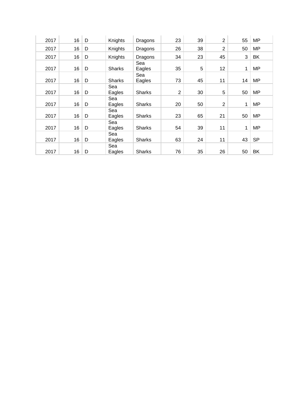| 2017 | 16 | D | Knights       | Dragons       | 23             | 39 | $\overline{2}$ | 55 | <b>MP</b> |
|------|----|---|---------------|---------------|----------------|----|----------------|----|-----------|
| 2017 | 16 | D | Knights       | Dragons       | 26             | 38 | $\overline{2}$ | 50 | <b>MP</b> |
| 2017 | 16 | D | Knights       | Dragons       | 34             | 23 | 45             | 3  | BK        |
| 2017 | 16 | D | <b>Sharks</b> | Sea<br>Eagles | 35             | 5  | 12             | 1  | <b>MP</b> |
| 2017 | 16 | D | <b>Sharks</b> | Sea<br>Eagles | 73             | 45 | 11             | 14 | <b>MP</b> |
| 2017 | 16 | D | Sea<br>Eagles | <b>Sharks</b> | $\overline{2}$ | 30 | 5              | 50 | <b>MP</b> |
| 2017 | 16 | D | Sea<br>Eagles | <b>Sharks</b> | 20             | 50 | $\overline{2}$ | 1  | <b>MP</b> |
| 2017 | 16 | D | Sea<br>Eagles | <b>Sharks</b> | 23             | 65 | 21             | 50 | <b>MP</b> |
| 2017 | 16 | D | Sea<br>Eagles | <b>Sharks</b> | 54             | 39 | 11             | 1  | <b>MP</b> |
| 2017 | 16 | D | Sea<br>Eagles | <b>Sharks</b> | 63             | 24 | 11             | 43 | <b>SP</b> |
| 2017 | 16 | D | Sea<br>Eagles | <b>Sharks</b> | 76             | 35 | 26             | 50 | <b>BK</b> |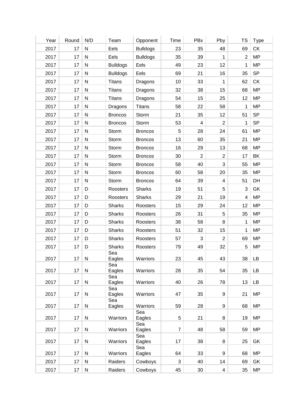| Year | Round | N/D       | Team            | Opponent        | Time           | PBx            | Pby                     | TS             | <b>Type</b> |
|------|-------|-----------|-----------------|-----------------|----------------|----------------|-------------------------|----------------|-------------|
| 2017 | 17    | ${\sf N}$ | Eels            | <b>Bulldogs</b> | 23             | 35             | 48                      | 69             | <b>CK</b>   |
| 2017 | 17    | ${\sf N}$ | Eels            | <b>Bulldogs</b> | 35             | 39             | 1                       | $\overline{2}$ | <b>MP</b>   |
| 2017 | 17    | ${\sf N}$ | <b>Bulldogs</b> | Eels            | 49             | 23             | 12                      | 1              | <b>MP</b>   |
| 2017 | 17    | ${\sf N}$ | <b>Bulldogs</b> | Eels            | 69             | 21             | 16                      | 35             | <b>SP</b>   |
| 2017 | 17    | ${\sf N}$ | <b>Titans</b>   | Dragons         | 10             | 33             | 1                       | 62             | <b>CK</b>   |
| 2017 | 17    | ${\sf N}$ | <b>Titans</b>   | Dragons         | 32             | 38             | 15                      | 68             | <b>MP</b>   |
| 2017 | 17    | ${\sf N}$ | <b>Titans</b>   | Dragons         | 54             | 15             | 25                      | 12             | <b>MP</b>   |
| 2017 | 17    | ${\sf N}$ | Dragons         | <b>Titans</b>   | 58             | 22             | 58                      | 1              | <b>MP</b>   |
| 2017 | 17    | ${\sf N}$ | <b>Broncos</b>  | Storm           | 21             | 35             | 12                      | 51             | <b>SP</b>   |
| 2017 | 17    | ${\sf N}$ | <b>Broncos</b>  | Storm           | 53             | $\overline{4}$ | $\overline{2}$          | $\mathbf 1$    | <b>SP</b>   |
| 2017 | 17    | ${\sf N}$ | Storm           | <b>Broncos</b>  | $\overline{5}$ | 28             | 24                      | 61             | <b>MP</b>   |
| 2017 | 17    | ${\sf N}$ | Storm           | <b>Broncos</b>  | 13             | 60             | 35                      | 21             | <b>MP</b>   |
| 2017 | 17    | ${\sf N}$ | Storm           | <b>Broncos</b>  | 16             | 29             | 13                      | 68             | <b>MP</b>   |
| 2017 | 17    | ${\sf N}$ | Storm           | <b>Broncos</b>  | 30             | $\overline{2}$ | $\sqrt{2}$              | 17             | BK          |
| 2017 | 17    | ${\sf N}$ | Storm           | <b>Broncos</b>  | 58             | 40             | 3                       | 55             | <b>MP</b>   |
| 2017 | 17    | ${\sf N}$ | Storm           | <b>Broncos</b>  | 60             | 58             | 20                      | 35             | <b>MP</b>   |
| 2017 | 17    | ${\sf N}$ | Storm           | <b>Broncos</b>  | 64             | 39             | $\overline{\mathbf{4}}$ | 51             | DH          |
| 2017 | 17    | D         | Roosters        | <b>Sharks</b>   | 19             | 51             | 5                       | 3              | GK          |
| 2017 | 17    | D         | Roosters        | <b>Sharks</b>   | 29             | 21             | 19                      | $\overline{4}$ | <b>MP</b>   |
| 2017 | 17    | D         | <b>Sharks</b>   | Roosters        | 15             | 29             | 24                      | 12             | <b>MP</b>   |
| 2017 | 17    | D         | <b>Sharks</b>   | Roosters        | 26             | 31             | 5                       | 35             | <b>MP</b>   |
| 2017 | 17    | D         | <b>Sharks</b>   | Roosters        | 38             | 58             | 8                       | 1              | <b>MP</b>   |
| 2017 | 17    | D         | <b>Sharks</b>   | Roosters        | 51             | 32             | 15                      | 1              | <b>MP</b>   |
| 2017 | 17    | D         | <b>Sharks</b>   | Roosters        | 57             | $\mathbf{3}$   | $\overline{2}$          | 69             | <b>MP</b>   |
| 2017 | 17    | D         | <b>Sharks</b>   | Roosters        | 79             | 49             | 32                      | 5              | <b>MP</b>   |
| 2017 | 17    | ${\sf N}$ | Sea<br>Eagles   | Warriors        | 23             | 45             | 43                      | 38             | LB          |
| 2017 | 17    | ${\sf N}$ | Sea<br>Eagles   | Warriors        | 28             | 35             | 54                      | 35             | LB          |
| 2017 | 17    | ${\sf N}$ | Sea<br>Eagles   | Warriors        | 40             | 26             | 78                      | 13             | LB          |
| 2017 | 17    | ${\sf N}$ | Sea<br>Eagles   | Warriors        | 47             | 35             | 9                       | 21             | <b>MP</b>   |
|      |       |           | Sea             |                 |                |                |                         |                |             |
| 2017 | 17    | ${\sf N}$ | Eagles          | Warriors        | 59             | 28             | 9                       | 68             | <b>MP</b>   |
| 2017 | 17    | ${\sf N}$ | Warriors        | Sea<br>Eagles   | $\sqrt{5}$     | 21             | 8                       | 19             | <b>MP</b>   |
| 2017 | 17    | ${\sf N}$ | Warriors        | Sea<br>Eagles   | $\overline{7}$ | 48             | 58                      | 59             | <b>MP</b>   |
| 2017 | 17    | ${\sf N}$ | Warriors        | Sea<br>Eagles   | 17             | 38             | 8                       | 25             | GK          |
| 2017 | 17    | ${\sf N}$ | Warriors        | Sea<br>Eagles   | 64             | 33             | 9                       | 68             | <b>MP</b>   |
| 2017 | 17    | ${\sf N}$ | Raiders         | Cowboys         | 3              | 40             | 14                      | 69             | GK          |
|      |       |           |                 |                 |                | 30             |                         | 35             |             |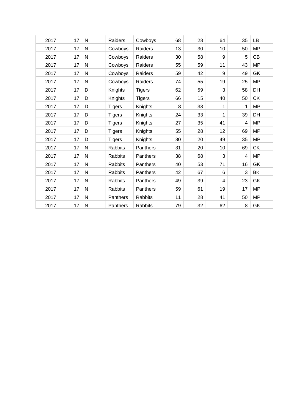| 2017 | 17 | N         | Raiders        | Cowboys       | 68 | 28 | 64 | 35 | LB        |
|------|----|-----------|----------------|---------------|----|----|----|----|-----------|
| 2017 | 17 | N         | Cowboys        | Raiders       | 13 | 30 | 10 | 50 | <b>MP</b> |
| 2017 | 17 | N         | Cowboys        | Raiders       | 30 | 58 | 9  | 5  | CB        |
| 2017 | 17 | N         | Cowboys        | Raiders       | 55 | 59 | 11 | 43 | <b>MP</b> |
| 2017 | 17 | N         | Cowboys        | Raiders       | 59 | 42 | 9  | 49 | GK        |
| 2017 | 17 | N         | Cowboys        | Raiders       | 74 | 55 | 19 | 25 | <b>MP</b> |
| 2017 | 17 | D         | Knights        | <b>Tigers</b> | 62 | 59 | 3  | 58 | DH        |
| 2017 | 17 | D         | Knights        | <b>Tigers</b> | 66 | 15 | 40 | 50 | <b>CK</b> |
| 2017 | 17 | D         | <b>Tigers</b>  | Knights       | 8  | 38 | 1  | 1  | <b>MP</b> |
| 2017 | 17 | D         | <b>Tigers</b>  | Knights       | 24 | 33 | 1  | 39 | DH        |
| 2017 | 17 | D         | <b>Tigers</b>  | Knights       | 27 | 35 | 41 | 4  | <b>MP</b> |
| 2017 | 17 | D         | <b>Tigers</b>  | Knights       | 55 | 28 | 12 | 69 | <b>MP</b> |
| 2017 | 17 | D         | <b>Tigers</b>  | Knights       | 80 | 20 | 49 | 35 | <b>MP</b> |
| 2017 | 17 | N         | Rabbits        | Panthers      | 31 | 20 | 10 | 69 | <b>CK</b> |
| 2017 | 17 | N         | <b>Rabbits</b> | Panthers      | 38 | 68 | 3  | 4  | <b>MP</b> |
| 2017 | 17 | N         | Rabbits        | Panthers      | 40 | 53 | 71 | 16 | GK        |
| 2017 | 17 | N         | Rabbits        | Panthers      | 42 | 67 | 6  | 3  | BK        |
| 2017 | 17 | N         | Rabbits        | Panthers      | 49 | 39 | 4  | 23 | GK        |
| 2017 | 17 | ${\sf N}$ | Rabbits        | Panthers      | 59 | 61 | 19 | 17 | <b>MP</b> |
| 2017 | 17 | N         | Panthers       | Rabbits       | 11 | 28 | 41 | 50 | <b>MP</b> |
| 2017 | 17 | N         | Panthers       | Rabbits       | 79 | 32 | 62 | 8  | GK        |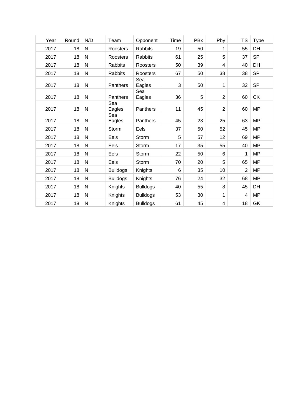| Year | Round | N/D          | Team            | Opponent        | Time | PBx        | Pby            | <b>TS</b>      | <b>Type</b> |
|------|-------|--------------|-----------------|-----------------|------|------------|----------------|----------------|-------------|
| 2017 | 18    | $\mathsf{N}$ | Roosters        | <b>Rabbits</b>  | 19   | 50         | 1              | 55             | DH          |
| 2017 | 18    | $\mathsf{N}$ | Roosters        | Rabbits         | 61   | 25         | 5              | 37             | <b>SP</b>   |
| 2017 | 18    | $\mathsf{N}$ | <b>Rabbits</b>  | Roosters        | 50   | 39         | $\overline{4}$ | 40             | DH          |
| 2017 | 18    | $\mathsf{N}$ | <b>Rabbits</b>  | Roosters        | 67   | 50         | 38             | 38             | <b>SP</b>   |
| 2017 | 18    | N            | Panthers        | Sea<br>Eagles   | 3    | 50         | 1              | 32             | <b>SP</b>   |
| 2017 | 18    | $\mathsf{N}$ | Panthers        | Sea<br>Eagles   | 36   | $\sqrt{5}$ | 2              | 60             | CK          |
| 2017 | 18    | ${\sf N}$    | Sea<br>Eagles   | Panthers        | 11   | 45         | $\overline{2}$ | 60             | <b>MP</b>   |
| 2017 | 18    | ${\sf N}$    | Sea<br>Eagles   | Panthers        | 45   | 23         | 25             | 63             | <b>MP</b>   |
| 2017 | 18    | $\mathsf{N}$ | Storm           | Eels            | 37   | 50         | 52             | 45             | <b>MP</b>   |
| 2017 | 18    | ${\sf N}$    | Eels            | Storm           | 5    | 57         | 12             | 69             | <b>MP</b>   |
| 2017 | 18    | ${\sf N}$    | Eels            | Storm           | 17   | 35         | 55             | 40             | <b>MP</b>   |
| 2017 | 18    | ${\sf N}$    | Eels            | Storm           | 22   | 50         | 6              | 1              | <b>MP</b>   |
| 2017 | 18    | $\mathsf{N}$ | Eels            | Storm           | 70   | 20         | 5              | 65             | <b>MP</b>   |
| 2017 | 18    | ${\sf N}$    | <b>Bulldogs</b> | Knights         | 6    | 35         | 10             | $\overline{2}$ | <b>MP</b>   |
| 2017 | 18    | $\mathsf{N}$ | <b>Bulldogs</b> | Knights         | 76   | 24         | 32             | 68             | <b>MP</b>   |
| 2017 | 18    | ${\sf N}$    | Knights         | <b>Bulldogs</b> | 40   | 55         | 8              | 45             | DH          |
| 2017 | 18    | $\mathsf{N}$ | Knights         | <b>Bulldogs</b> | 53   | 30         | 1              | $\overline{4}$ | <b>MP</b>   |
| 2017 | 18    | N            | Knights         | <b>Bulldogs</b> | 61   | 45         | $\overline{4}$ | 18             | GK          |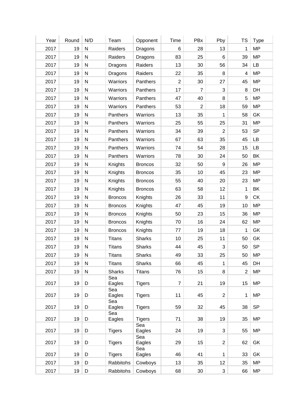| Year | Round | N/D          | Team           | Opponent       | Time           | PBx                     | Pby              | TS               | <b>Type</b> |
|------|-------|--------------|----------------|----------------|----------------|-------------------------|------------------|------------------|-------------|
| 2017 | 19    | ${\sf N}$    | Raiders        | Dragons        | $\,6\,$        | 28                      | 13               | $\mathbf{1}$     | <b>MP</b>   |
| 2017 | 19    | ${\sf N}$    | Raiders        | Dragons        | 83             | 25                      | 6                | 39               | <b>MP</b>   |
| 2017 | 19    | ${\sf N}$    | Dragons        | Raiders        | 13             | 30                      | 56               | 34               | LB          |
| 2017 | 19    | ${\sf N}$    | Dragons        | Raiders        | 22             | 35                      | 8                | 4                | <b>MP</b>   |
| 2017 | 19    | ${\sf N}$    | Warriors       | Panthers       | $\overline{2}$ | 30                      | 27               | 45               | <b>MP</b>   |
| 2017 | 19    | ${\sf N}$    | Warriors       | Panthers       | 17             | $\overline{7}$          | 3                | $\,8\,$          | DH          |
| 2017 | 19    | ${\sf N}$    | Warriors       | Panthers       | 47             | 40                      | 8                | 5                | <b>MP</b>   |
| 2017 | 19    | ${\sf N}$    | Warriors       | Panthers       | 53             | $\overline{\mathbf{c}}$ | 18               | 59               | <b>MP</b>   |
| 2017 | 19    | $\mathsf{N}$ | Panthers       | Warriors       | 13             | 35                      | 1                | 58               | GK          |
| 2017 | 19    | ${\sf N}$    | Panthers       | Warriors       | 25             | 55                      | 25               | 31               | <b>MP</b>   |
| 2017 | 19    | ${\sf N}$    | Panthers       | Warriors       | 34             | 39                      | $\overline{2}$   | 53               | <b>SP</b>   |
| 2017 | 19    | ${\sf N}$    | Panthers       | Warriors       | 67             | 63                      | 35               | 45               | LB          |
| 2017 | 19    | ${\sf N}$    | Panthers       | Warriors       | 74             | 54                      | 28               | 15               | LB          |
| 2017 | 19    | ${\sf N}$    | Panthers       | Warriors       | 78             | 30                      | 24               | 50               | BK          |
| 2017 | 19    | ${\sf N}$    | Knights        | <b>Broncos</b> | 32             | 50                      | $\boldsymbol{9}$ | 26               | <b>MP</b>   |
| 2017 | 19    | ${\sf N}$    | Knights        | <b>Broncos</b> | 35             | 10                      | 45               | 23               | <b>MP</b>   |
| 2017 | 19    | ${\sf N}$    | Knights        | <b>Broncos</b> | 55             | 40                      | 20               | 23               | <b>MP</b>   |
| 2017 | 19    | ${\sf N}$    | Knights        | <b>Broncos</b> | 63             | 58                      | 12               | 1                | BK          |
| 2017 | 19    | $\mathsf{N}$ | <b>Broncos</b> | Knights        | 26             | 33                      | 11               | $\boldsymbol{9}$ | <b>CK</b>   |
| 2017 | 19    | ${\sf N}$    | <b>Broncos</b> | Knights        | 47             | 45                      | 19               | 10               | <b>MP</b>   |
| 2017 | 19    | ${\sf N}$    | <b>Broncos</b> | Knights        | 50             | 23                      | 15               | 36               | <b>MP</b>   |
| 2017 | 19    | ${\sf N}$    | <b>Broncos</b> | Knights        | 70             | 16                      | 24               | 62               | <b>MP</b>   |
| 2017 | 19    | ${\sf N}$    | <b>Broncos</b> | Knights        | 77             | 19                      | 18               | 1                | GK          |
| 2017 | 19    | $\mathsf{N}$ | <b>Titans</b>  | <b>Sharks</b>  | 10             | 25                      | 11               | 50               | GK          |
| 2017 | 19    | $\mathsf{N}$ | <b>Titans</b>  | <b>Sharks</b>  | 44             | 45                      | 3                | 50               | <b>SP</b>   |
| 2017 | 19    | ${\sf N}$    | <b>Titans</b>  | <b>Sharks</b>  | 49             | 33                      | 25               | 50               | <b>MP</b>   |
| 2017 | 19    | N            | <b>Titans</b>  | <b>Sharks</b>  | 66             | 45                      | 1                | 45               | DH          |
| 2017 | 19    | ${\sf N}$    | <b>Sharks</b>  | <b>Titans</b>  | 76             | 15                      | 8                | $\overline{2}$   | <b>MP</b>   |
| 2017 | 19    | D            | Sea<br>Eagles  | <b>Tigers</b>  | $\overline{7}$ | 21                      | 19               | 15               | <b>MP</b>   |
| 2017 | 19    | D            | Sea<br>Eagles  | <b>Tigers</b>  | 11             | 45                      | $\sqrt{2}$       | 1                | <b>MP</b>   |
| 2017 | 19    | D            | Sea<br>Eagles  | <b>Tigers</b>  | 59             | 32                      | 45               | 38               | <b>SP</b>   |
| 2017 | 19    | D            | Sea<br>Eagles  | <b>Tigers</b>  | 71             | 38                      | 19               | 35               | <b>MP</b>   |
| 2017 | 19    | D            | <b>Tigers</b>  | Sea<br>Eagles  | 24             | 19                      | 3                | 55               | <b>MP</b>   |
| 2017 | 19    | D            | <b>Tigers</b>  | Sea<br>Eagles  | 29             | 15                      | $\overline{2}$   | 62               | GK          |
|      |       |              |                | Sea            |                |                         |                  |                  |             |
| 2017 | 19    | D            | <b>Tigers</b>  | Eagles         | 46             | 41                      | 1                | 33               | GK          |
| 2017 | 19    | D            | Rabbitohs      | Cowboys        | 13             | 35                      | 12               | 35               | <b>MP</b>   |
| 2017 | 19    | D            | Rabbitohs      | Cowboys        | 68             | 30                      | $\mathbf{3}$     | 66               | <b>MP</b>   |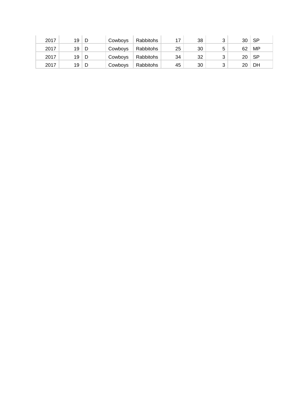| 2017 | 19 | D  | Cowboys | Rabbitohs |    | 38 |   | 30              | <b>SP</b> |
|------|----|----|---------|-----------|----|----|---|-----------------|-----------|
| 2017 | 19 | -D | Cowboys | Rabbitohs | 25 | 30 | 5 | 62              | MP        |
| 2017 | 19 | D  | Cowboys | Rabbitohs | 34 | 32 |   | 20 <sup>1</sup> | ⊺ SP.     |
| 2017 | 19 | D  | Cowboys | Rabbitohs | 45 | 30 |   | 20              | DH        |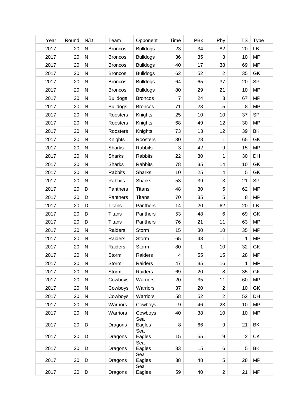| Year | Round | N/D          | Team            | Opponent        | Time    | PBx | Pby              | <b>TS</b>      | <b>Type</b> |
|------|-------|--------------|-----------------|-----------------|---------|-----|------------------|----------------|-------------|
| 2017 | 20    | ${\sf N}$    | <b>Broncos</b>  | <b>Bulldogs</b> | 23      | 34  | 82               | 20             | LB          |
| 2017 | 20    | ${\sf N}$    | <b>Broncos</b>  | <b>Bulldogs</b> | 36      | 35  | 3                | 10             | <b>MP</b>   |
| 2017 | 20    | ${\sf N}$    | <b>Broncos</b>  | <b>Bulldogs</b> | 40      | 17  | 38               | 69             | <b>MP</b>   |
| 2017 | 20    | ${\sf N}$    | <b>Broncos</b>  | <b>Bulldogs</b> | 62      | 52  | 2                | 35             | GK          |
| 2017 | 20    | ${\sf N}$    | <b>Broncos</b>  | <b>Bulldogs</b> | 64      | 65  | 37               | 20             | <b>SP</b>   |
| 2017 | 20    | ${\sf N}$    | <b>Broncos</b>  | <b>Bulldogs</b> | 80      | 29  | 21               | 10             | <b>MP</b>   |
| 2017 | 20    | ${\sf N}$    | <b>Bulldogs</b> | <b>Broncos</b>  | 7       | 24  | 3                | 67             | <b>MP</b>   |
| 2017 | 20    | ${\sf N}$    | <b>Bulldogs</b> | <b>Broncos</b>  | 71      | 23  | $\sqrt{5}$       | 8              | <b>MP</b>   |
| 2017 | 20    | $\mathsf{N}$ | Roosters        | Knights         | 25      | 10  | 10               | 37             | <b>SP</b>   |
| 2017 | 20    | ${\sf N}$    | Roosters        | Knights         | 68      | 49  | 12               | 30             | <b>MP</b>   |
| 2017 | 20    | ${\sf N}$    | Roosters        | Knights         | 73      | 13  | 12               | 39             | BK          |
| 2017 | 20    | ${\sf N}$    | Knights         | Roosters        | 30      | 28  | 1                | 65             | GK          |
| 2017 | 20    | $\mathsf{N}$ | <b>Sharks</b>   | <b>Rabbits</b>  | 3       | 42  | $\boldsymbol{9}$ | 15             | <b>MP</b>   |
| 2017 | 20    | ${\sf N}$    | <b>Sharks</b>   | <b>Rabbits</b>  | 22      | 30  | 1                | 30             | DH          |
| 2017 | 20    | ${\sf N}$    | <b>Sharks</b>   | <b>Rabbits</b>  | 78      | 35  | 14               | 10             | GK          |
| 2017 | 20    | ${\sf N}$    | <b>Rabbits</b>  | <b>Sharks</b>   | 10      | 25  | 4                | 5              | GK          |
| 2017 | 20    | ${\sf N}$    | Rabbits         | <b>Sharks</b>   | 53      | 39  | $\sqrt{3}$       | 21             | <b>SP</b>   |
| 2017 | 20    | D            | Panthers        | <b>Titans</b>   | 48      | 30  | 5                | 62             | <b>MP</b>   |
| 2017 | 20    | D            | Panthers        | <b>Titans</b>   | 70      | 35  | 5                | 8              | <b>MP</b>   |
|      |       |              |                 | Panthers        |         |     |                  |                |             |
| 2017 | 20    | D            | <b>Titans</b>   |                 | 14      | 20  | 62               | 20             | <b>LB</b>   |
| 2017 | 20    | D            | <b>Titans</b>   | Panthers        | 53      | 48  | 6                | 69             | GK          |
| 2017 | 20    | D            | <b>Titans</b>   | Panthers        | 76      | 21  | 11               | 63             | <b>MP</b>   |
| 2017 | 20    | ${\sf N}$    | Raiders         | Storm           | 15      | 30  | 10               | 35             | <b>MP</b>   |
| 2017 | 20    | $\mathsf{N}$ | Raiders         | Storm           | 65      | 48  | 1                | 1              | <b>MP</b>   |
| 2017 | 20    | $\mathsf{N}$ | Raiders         | Storm           | 80      | 1   | 10               | 32             | GK          |
| 2017 | 20    | ${\sf N}$    | Storm           | Raiders         | 4       | 55  | 15               | 28             | <b>MP</b>   |
| 2017 | 20    | ${\sf N}$    | Storm           | Raiders         | 47      | 35  | 16               | 1              | <b>MP</b>   |
| 2017 | 20    | ${\sf N}$    | Storm           | Raiders         | 69      | 20  | 8                | 35             | GK          |
| 2017 | 20    | ${\sf N}$    | Cowboys         | Warriors        | 20      | 35  | 11               | 60             | <b>MP</b>   |
| 2017 | 20    | ${\sf N}$    | Cowboys         | Warriors        | 37      | 20  | $\overline{2}$   | 10             | GK          |
| 2017 | 20    | ${\sf N}$    | Cowboys         | Warriors        | 58      | 52  | $\overline{2}$   | 52             | DH          |
| 2017 | 20    | ${\sf N}$    | Warriors        | Cowboys         | 9       | 46  | 23               | 10             | <b>MP</b>   |
| 2017 | 20    | ${\sf N}$    | Warriors        | Cowboys         | 40      | 38  | 10               | 10             | <b>MP</b>   |
| 2017 | 20    | D            | Dragons         | Sea<br>Eagles   | $\,8\,$ | 66  | $\boldsymbol{9}$ | 21             | BK          |
| 2017 | 20    | D            | Dragons         | Sea<br>Eagles   | 15      | 55  | $\boldsymbol{9}$ | $\overline{2}$ | CK          |
| 2017 | 20    | D            | Dragons         | Sea<br>Eagles   | 33      | 15  | 6                | 5              | BK          |
| 2017 | 20    | D            | Dragons         | Sea<br>Eagles   | 38      | 48  | 5                | 28             | <b>MP</b>   |
| 2017 | 20    | D            | Dragons         | Sea<br>Eagles   | 59      | 40  | $\overline{c}$   | 21             | <b>MP</b>   |
|      |       |              |                 |                 |         |     |                  |                |             |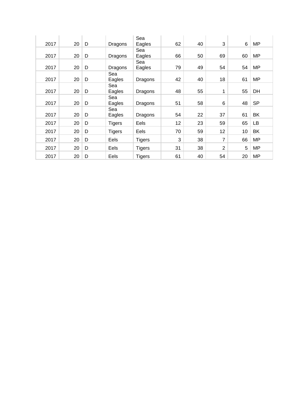| 2017 | 20 | D | Dragons       | Sea<br>Eagles | 62 | 40 | 3              | 6  | <b>MP</b> |
|------|----|---|---------------|---------------|----|----|----------------|----|-----------|
| 2017 | 20 | D | Dragons       | Sea<br>Eagles | 66 | 50 | 69             | 60 | <b>MP</b> |
| 2017 | 20 | D | Dragons       | Sea<br>Eagles | 79 | 49 | 54             | 54 | <b>MP</b> |
| 2017 | 20 | D | Sea<br>Eagles | Dragons       | 42 | 40 | 18             | 61 | <b>MP</b> |
| 2017 | 20 | D | Sea<br>Eagles | Dragons       | 48 | 55 | 1              | 55 | DH        |
| 2017 | 20 | D | Sea<br>Eagles | Dragons       | 51 | 58 | 6              | 48 | <b>SP</b> |
| 2017 | 20 | D | Sea<br>Eagles | Dragons       | 54 | 22 | 37             | 61 | <b>BK</b> |
| 2017 | 20 | D | <b>Tigers</b> | Eels          | 12 | 23 | 59             | 65 | LВ        |
| 2017 | 20 | D | <b>Tigers</b> | Eels          | 70 | 59 | 12             | 10 | <b>BK</b> |
| 2017 | 20 | D | Eels          | <b>Tigers</b> | 3  | 38 | 7              | 66 | <b>MP</b> |
| 2017 | 20 | D | Eels          | <b>Tigers</b> | 31 | 38 | $\overline{2}$ | 5  | <b>MP</b> |
| 2017 | 20 | D | Eels          | <b>Tigers</b> | 61 | 40 | 54             | 20 | <b>MP</b> |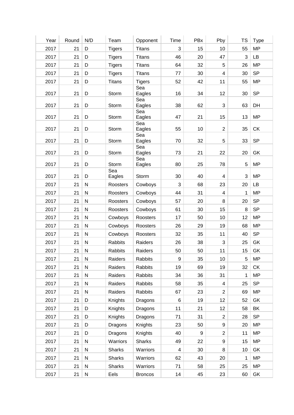| Year | Round | N/D          | Team           | Opponent       | Time  | PBx | Pby                     | <b>TS</b>    | <b>Type</b> |
|------|-------|--------------|----------------|----------------|-------|-----|-------------------------|--------------|-------------|
| 2017 | 21    | D            | <b>Tigers</b>  | <b>Titans</b>  | 3     | 15  | 10                      | 55           | <b>MP</b>   |
| 2017 | 21    | D            | <b>Tigers</b>  | <b>Titans</b>  | 46    | 20  | 47                      | $\mathbf{3}$ | LB          |
| 2017 | 21    | D            | <b>Tigers</b>  | <b>Titans</b>  | 64    | 32  | $\,$ 5 $\,$             | 26           | <b>MP</b>   |
| 2017 | 21    | D            | <b>Tigers</b>  | <b>Titans</b>  | 77    | 30  | $\overline{\mathbf{4}}$ | 30           | <b>SP</b>   |
| 2017 | 21    | D            | <b>Titans</b>  | <b>Tigers</b>  | 52    | 42  | 11                      | 55           | <b>MP</b>   |
| 2017 | 21    | D            | Storm          | Sea<br>Eagles  | 16    | 34  | 12                      | 30           | <b>SP</b>   |
| 2017 | 21    | D            | Storm          | Sea<br>Eagles  | 38    | 62  | 3                       | 63           | DH          |
| 2017 | 21    | D            | Storm          | Sea<br>Eagles  | 47    | 21  | 15                      | 13           | <b>MP</b>   |
|      |       |              |                | Sea            |       |     |                         |              |             |
| 2017 | 21    | D            | Storm          | Eagles         | 55    | 10  | $\overline{2}$          | 35           | CK          |
| 2017 | 21    | D            | Storm          | Sea<br>Eagles  | 70    | 32  | 5                       | 33           | <b>SP</b>   |
| 2017 | 21    | D            | Storm          | Sea<br>Eagles  | 73    | 21  | 22                      | 20           | GK          |
|      |       |              |                | Sea            |       |     |                         |              |             |
| 2017 | 21    | D            | Storm<br>Sea   | Eagles         | 80    | 25  | 78                      | 5            | <b>MP</b>   |
| 2017 | 21    | D            | Eagles         | Storm          | 30    | 40  | $\overline{\mathbf{4}}$ | 3            | <b>MP</b>   |
| 2017 | 21    | ${\sf N}$    | Roosters       | Cowboys        | 3     | 68  | 23                      | 20           | LB          |
| 2017 | 21    | ${\sf N}$    | Roosters       | Cowboys        | 44    | 31  | $\overline{4}$          | 1            | <b>MP</b>   |
| 2017 | 21    | $\mathsf{N}$ | Roosters       | Cowboys        | 57    | 20  | 8                       | 20           | <b>SP</b>   |
| 2017 | 21    | ${\sf N}$    | Roosters       | Cowboys        | 61    | 30  | 15                      | $\,8\,$      | <b>SP</b>   |
| 2017 | 21    | ${\sf N}$    | Cowboys        | Roosters       | 17    | 50  | 10                      | 12           | <b>MP</b>   |
| 2017 | 21    | ${\sf N}$    | Cowboys        | Roosters       | 26    | 29  | 19                      | 68           | <b>MP</b>   |
| 2017 | 21    | ${\sf N}$    | Cowboys        | Roosters       | 32    | 35  | 11                      | 40           | <b>SP</b>   |
| 2017 | 21    | ${\sf N}$    | <b>Rabbits</b> | Raiders        | 26    | 38  | 3                       | 25           | GK          |
| 2017 | 21    | N            | Rabbits        | Raiders        | 50    | 50  | 11                      | 15           | GK          |
| 2017 | 21    | ${\sf N}$    | Raiders        | Rabbits        | 9     | 35  | 10                      | 5            | <b>MP</b>   |
| 2017 | 21    | N            | Raiders        | <b>Rabbits</b> | 19    | 69  | 19                      | 32           | <b>CK</b>   |
| 2017 | 21    | ${\sf N}$    | Raiders        | Rabbits        | 34    | 36  | 31                      | 1            | <b>MP</b>   |
| 2017 | 21    | ${\sf N}$    | Raiders        | Rabbits        | 58    | 35  | 4                       | 25           | <b>SP</b>   |
| 2017 | 21    | ${\sf N}$    | Raiders        | Rabbits        | 67    | 23  | $\overline{2}$          | 69           | <b>MP</b>   |
| 2017 | 21    | D            | Knights        | Dragons        | $\,6$ | 19  | 12                      | 52           | GK          |
| 2017 | 21    | D            | Knights        | Dragons        | 11    | 21  | 12                      | 58           | BK          |
| 2017 | 21    | D            | Knights        | Dragons        | 71    | 31  | $\overline{2}$          | 28           | <b>SP</b>   |
| 2017 | 21    | D            | Dragons        | Knights        | 23    | 50  | 9                       | 20           | <b>MP</b>   |
| 2017 | 21    | D            | Dragons        | Knights        | 40    | 9   | $\overline{2}$          | 11           | <b>MP</b>   |
| 2017 | 21    | ${\sf N}$    | Warriors       | <b>Sharks</b>  | 49    | 22  | 9                       | 15           | <b>MP</b>   |
| 2017 | 21    | N            | <b>Sharks</b>  | Warriors       | 4     | 30  | 8                       | 10           | GK          |
| 2017 | 21    | N            | <b>Sharks</b>  | Warriors       | 62    | 43  | 20                      | 1            | <b>MP</b>   |
| 2017 | 21    | ${\sf N}$    | <b>Sharks</b>  | Warriors       | 71    | 58  | 25                      | 25           | <b>MP</b>   |
| 2017 | 21    | ${\sf N}$    | Eels           | <b>Broncos</b> | 14    | 45  | 23                      | 60           | GK          |
|      |       |              |                |                |       |     |                         |              |             |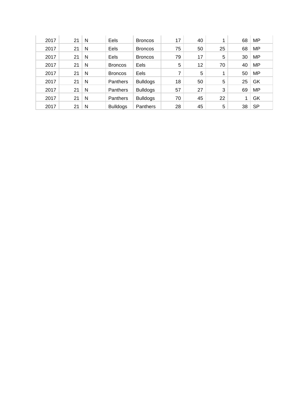| 2017 | 21 | N | Eels            | <b>Broncos</b>  | 17 | 40 |    | 68 | <b>MP</b> |
|------|----|---|-----------------|-----------------|----|----|----|----|-----------|
| 2017 | 21 | N | Eels            | <b>Broncos</b>  | 75 | 50 | 25 | 68 | <b>MP</b> |
| 2017 | 21 | N | Eels            | <b>Broncos</b>  | 79 | 17 | 5  | 30 | <b>MP</b> |
| 2017 | 21 | N | <b>Broncos</b>  | Eels            | 5  | 12 | 70 | 40 | <b>MP</b> |
| 2017 | 21 | N | <b>Broncos</b>  | Eels            | 7  | 5  | 4  | 50 | <b>MP</b> |
| 2017 | 21 | N | Panthers        | <b>Bulldogs</b> | 18 | 50 | 5  | 25 | GK        |
| 2017 | 21 | N | <b>Panthers</b> | <b>Bulldogs</b> | 57 | 27 | 3  | 69 | <b>MP</b> |
| 2017 | 21 | N | Panthers        | <b>Bulldogs</b> | 70 | 45 | 22 | 4  | GK        |
| 2017 | 21 | N | <b>Bulldogs</b> | Panthers        | 28 | 45 | 5  | 38 | <b>SP</b> |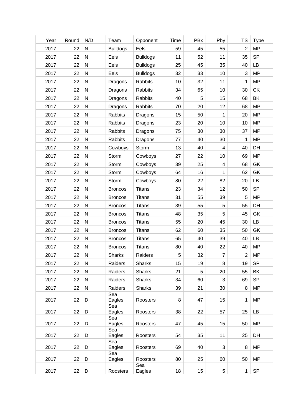| Year | Round | N/D          | Team            | Opponent        | Time | PBx | Pby                     | TS             | <b>Type</b> |
|------|-------|--------------|-----------------|-----------------|------|-----|-------------------------|----------------|-------------|
| 2017 | 22    | ${\sf N}$    | <b>Bulldogs</b> | Eels            | 59   | 45  | 55                      | $\overline{2}$ | <b>MP</b>   |
| 2017 | 22    | ${\sf N}$    | Eels            | <b>Bulldogs</b> | 11   | 52  | 11                      | 35             | <b>SP</b>   |
| 2017 | 22    | ${\sf N}$    | Eels            | <b>Bulldogs</b> | 25   | 45  | 35                      | 40             | LB          |
| 2017 | 22    | ${\sf N}$    | Eels            | <b>Bulldogs</b> | 32   | 33  | 10                      | 3              | <b>MP</b>   |
| 2017 | 22    | ${\sf N}$    | Dragons         | Rabbits         | 10   | 32  | 11                      | 1              | <b>MP</b>   |
| 2017 | 22    | ${\sf N}$    | Dragons         | Rabbits         | 34   | 65  | 10                      | 30             | <b>CK</b>   |
| 2017 | 22    | ${\sf N}$    | Dragons         | Rabbits         | 40   | 5   | 15                      | 68             | BK          |
| 2017 | 22    | ${\sf N}$    | Dragons         | Rabbits         | 70   | 20  | 12                      | 68             | <b>MP</b>   |
| 2017 | 22    | ${\sf N}$    | Rabbits         | Dragons         | 15   | 50  | 1                       | 20             | <b>MP</b>   |
| 2017 | 22    | ${\sf N}$    | Rabbits         | Dragons         | 23   | 20  | 10                      | 10             | <b>MP</b>   |
| 2017 | 22    | ${\sf N}$    | <b>Rabbits</b>  | Dragons         | 75   | 30  | 30                      | 37             | <b>MP</b>   |
| 2017 | 22    | ${\sf N}$    | Rabbits         | Dragons         | 77   | 40  | 30                      | 1              | <b>MP</b>   |
| 2017 | 22    | $\mathsf{N}$ | Cowboys         | Storm           | 13   | 40  | $\overline{\mathbf{4}}$ | 40             | DH          |
| 2017 | 22    | ${\sf N}$    | Storm           | Cowboys         | 27   | 22  | 10                      | 69             | <b>MP</b>   |
| 2017 | 22    | ${\sf N}$    | Storm           | Cowboys         | 39   | 25  | $\overline{\mathbf{4}}$ | 68             | GK          |
| 2017 | 22    | ${\sf N}$    | Storm           | Cowboys         | 64   | 16  | 1                       | 62             | GK          |
| 2017 | 22    | ${\sf N}$    | Storm           | Cowboys         | 80   | 22  | 82                      | 20             | LB          |
| 2017 | 22    | $\mathsf{N}$ | <b>Broncos</b>  | <b>Titans</b>   | 23   | 34  | 12                      | 50             | <b>SP</b>   |
| 2017 | 22    | $\mathsf{N}$ | <b>Broncos</b>  | <b>Titans</b>   | 31   | 55  | 39                      | 5              | <b>MP</b>   |
| 2017 | 22    | ${\sf N}$    | <b>Broncos</b>  | <b>Titans</b>   | 39   | 55  | 5                       | 55             | DH          |
| 2017 | 22    | ${\sf N}$    | <b>Broncos</b>  | <b>Titans</b>   | 48   | 35  | 5                       | 45             | GK          |
| 2017 | 22    | ${\sf N}$    | <b>Broncos</b>  | <b>Titans</b>   | 55   | 20  | 45                      | 30             | LB          |
| 2017 | 22    | ${\sf N}$    | <b>Broncos</b>  | <b>Titans</b>   | 62   | 60  | 35                      | 50             | GK          |
| 2017 | 22    | $\mathsf{N}$ | <b>Broncos</b>  | <b>Titans</b>   | 65   | 40  | 39                      | 40             | LB          |
| 2017 | 22    | ${\sf N}$    | <b>Broncos</b>  | <b>Titans</b>   | 80   | 40  | 22                      | 40             | <b>MP</b>   |
| 2017 | 22    | ${\sf N}$    | <b>Sharks</b>   | Raiders         | 5    | 32  | $\overline{7}$          | $\overline{2}$ | <b>MP</b>   |
| 2017 | 22    | N            | Raiders         | <b>Sharks</b>   | 15   | 19  | 8                       | 19             | <b>SP</b>   |
| 2017 | 22    | $\mathsf{N}$ | Raiders         | <b>Sharks</b>   | 21   | 5   | 20                      | 55             | BK          |
| 2017 | 22    | ${\sf N}$    | Raiders         | <b>Sharks</b>   | 34   | 60  | 3                       | 69             | <b>SP</b>   |
| 2017 | 22    | $\mathsf{N}$ | Raiders         | <b>Sharks</b>   | 39   | 21  | 30                      | 8              | <b>MP</b>   |
|      |       |              | Sea             |                 |      |     |                         |                |             |
| 2017 | 22    | D            | Eagles          | Roosters        | 8    | 47  | 15                      | 1              | <b>MP</b>   |
| 2017 | 22    | D            | Sea<br>Eagles   | Roosters        | 38   | 22  | 57                      | 25             | LB          |
|      |       |              | Sea             |                 |      |     |                         |                |             |
| 2017 | 22    | D            | Eagles<br>Sea   | Roosters        | 47   | 45  | 15                      | 50             | <b>MP</b>   |
| 2017 | 22    | D            | Eagles          | Roosters        | 54   | 35  | 11                      | 25             | DH          |
| 2017 | 22    | D            | Sea<br>Eagles   | Roosters        | 69   | 40  | 3                       | 8              | <b>MP</b>   |
|      |       |              | Sea             |                 |      |     |                         |                |             |
| 2017 | 22    | D            | Eagles          | Roosters<br>Sea | 80   | 25  | 60                      | 50             | <b>MP</b>   |
|      |       |              |                 |                 |      |     |                         |                |             |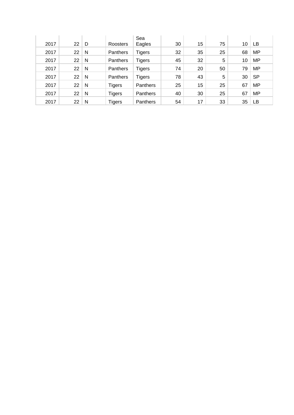| 2017 | 22 | D | Roosters        | Sea<br>Eagles   | 30 | 15 | 75 | 10 | LВ        |
|------|----|---|-----------------|-----------------|----|----|----|----|-----------|
| 2017 | 22 | N | Panthers        | <b>Tigers</b>   | 32 | 35 | 25 | 68 | <b>MP</b> |
| 2017 | 22 | N | <b>Panthers</b> | <b>Tigers</b>   | 45 | 32 | 5  | 10 | <b>MP</b> |
| 2017 | 22 | N | <b>Panthers</b> | <b>Tigers</b>   | 74 | 20 | 50 | 79 | <b>MP</b> |
| 2017 | 22 | N | Panthers        | <b>Tigers</b>   | 78 | 43 | 5  | 30 | <b>SP</b> |
| 2017 | 22 | N | <b>Tigers</b>   | <b>Panthers</b> | 25 | 15 | 25 | 67 | <b>MP</b> |
| 2017 | 22 | N | <b>Tigers</b>   | <b>Panthers</b> | 40 | 30 | 25 | 67 | <b>MP</b> |
| 2017 | 22 | N | <b>Tigers</b>   | <b>Panthers</b> | 54 | 17 | 33 | 35 | LB        |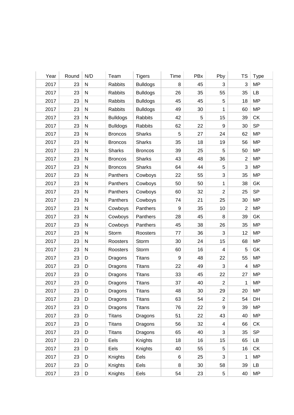| Year | Round | N/D       | Team            | <b>Tigers</b>   | Time | PBx | Pby                     | TS             | <b>Type</b> |
|------|-------|-----------|-----------------|-----------------|------|-----|-------------------------|----------------|-------------|
| 2017 | 23    | N         | Rabbits         | <b>Bulldogs</b> | 8    | 45  | 3                       | 3              | <b>MP</b>   |
| 2017 | 23    | N         | Rabbits         | <b>Bulldogs</b> | 26   | 35  | 55                      | 35             | LB          |
| 2017 | 23    | ${\sf N}$ | Rabbits         | <b>Bulldogs</b> | 45   | 45  | 5                       | 18             | <b>MP</b>   |
| 2017 | 23    | N         | Rabbits         | <b>Bulldogs</b> | 49   | 30  | 1                       | 60             | <b>MP</b>   |
| 2017 | 23    | ${\sf N}$ | <b>Bulldogs</b> | Rabbits         | 42   | 5   | 15                      | 39             | СK          |
| 2017 | 23    | N         | <b>Bulldogs</b> | Rabbits         | 62   | 22  | 9                       | 30             | <b>SP</b>   |
| 2017 | 23    | N         | <b>Broncos</b>  | Sharks          | 5    | 27  | 24                      | 62             | <b>MP</b>   |
| 2017 | 23    | ${\sf N}$ | <b>Broncos</b>  | Sharks          | 35   | 18  | 19                      | 56             | <b>MP</b>   |
| 2017 | 23    | ${\sf N}$ | <b>Sharks</b>   | <b>Broncos</b>  | 39   | 25  | 5                       | 50             | <b>MP</b>   |
| 2017 | 23    | ${\sf N}$ | <b>Broncos</b>  | <b>Sharks</b>   | 43   | 48  | 36                      | $\overline{2}$ | <b>MP</b>   |
| 2017 | 23    | N         | <b>Broncos</b>  | Sharks          | 64   | 44  | 5                       | 3              | <b>MP</b>   |
| 2017 | 23    | N         | Panthers        | Cowboys         | 22   | 55  | 3                       | 35             | <b>MP</b>   |
| 2017 | 23    | ${\sf N}$ | Panthers        | Cowboys         | 50   | 50  | 1                       | 38             | GK          |
| 2017 | 23    | ${\sf N}$ | Panthers        | Cowboys         | 60   | 32  | $\overline{2}$          | 25             | <b>SP</b>   |
| 2017 | 23    | ${\sf N}$ | Panthers        | Cowboys         | 74   | 21  | 25                      | 30             | <b>MP</b>   |
| 2017 | 23    | N         | Cowboys         | Panthers        | 9    | 35  | 10                      | $\overline{2}$ | <b>MP</b>   |
| 2017 | 23    | N         | Cowboys         | Panthers        | 28   | 45  | 8                       | 39             | GK          |
| 2017 | 23    | ${\sf N}$ | Cowboys         | Panthers        | 45   | 38  | 26                      | 35             | <b>MP</b>   |
| 2017 | 23    | ${\sf N}$ | Storm           | Roosters        | 77   | 36  | 3                       | 12             | <b>MP</b>   |
| 2017 | 23    | ${\sf N}$ | Roosters        | Storm           | 30   | 24  | 15                      | 68             | <b>MP</b>   |
| 2017 | 23    | N         | Roosters        | Storm           | 60   | 16  | $\overline{4}$          | 5              | GK          |
| 2017 | 23    | D         | Dragons         | <b>Titans</b>   | 9    | 48  | 22                      | 55             | <b>MP</b>   |
| 2017 | 23    | D         | Dragons         | <b>Titans</b>   | 22   | 49  | 3                       | 4              | <b>MP</b>   |
| 2017 | 23    | D         | Dragons         | <b>Titans</b>   | 33   | 45  | 22                      | 27             | <b>MP</b>   |
| 2017 | 23    | D         | Dragons         | <b>Titans</b>   | 37   | 40  | $\overline{2}$          | 1              | <b>MP</b>   |
| 2017 | 23    | D         | Dragons         | <b>Titans</b>   | 48   | 30  | 29                      | 20             | <b>MP</b>   |
| 2017 | 23    | D         | Dragons         | <b>Titans</b>   | 63   | 54  | $\overline{2}$          | 54             | DH          |
| 2017 | 23    | D         | Dragons         | <b>Titans</b>   | 76   | 22  | 9                       | 39             | <b>MP</b>   |
| 2017 | 23    | D         | <b>Titans</b>   | Dragons         | 51   | 22  | 43                      | 40             | MP          |
| 2017 | 23    | D         | <b>Titans</b>   | Dragons         | 56   | 32  | $\overline{\mathbf{4}}$ | 66             | СK          |
| 2017 | 23    | D         | <b>Titans</b>   | Dragons         | 65   | 40  | 3                       | 35             | <b>SP</b>   |
| 2017 | 23    | D         | Eels            | Knights         | 18   | 16  | 15                      | 65             | LB          |
| 2017 | 23    | D         | Eels            | Knights         | 40   | 55  | 5                       | 16             | СK          |
| 2017 | 23    | D         | Knights         | Eels            | 6    | 25  | 3                       | 1              | MP          |
| 2017 | 23    | D         | Knights         | Eels            | 8    | 30  | 58                      | 39             | LB          |
| 2017 | 23    | D         | Knights         | Eels            | 54   | 23  | $\,$ 5 $\,$             | 40             | <b>MP</b>   |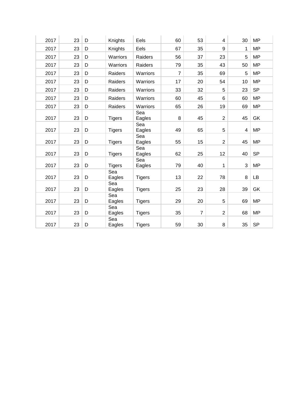| 2017 | 23 | D | Knights       | Eels          | 60             | 53             | $\overline{4}$ | 30                      | <b>MP</b> |
|------|----|---|---------------|---------------|----------------|----------------|----------------|-------------------------|-----------|
| 2017 | 23 | D | Knights       | Eels          | 67             | 35             | 9              | 1                       | <b>MP</b> |
| 2017 | 23 | D | Warriors      | Raiders       | 56             | 37             | 23             | 5                       | <b>MP</b> |
| 2017 | 23 | D | Warriors      | Raiders       | 79             | 35             | 43             | 50                      | <b>MP</b> |
| 2017 | 23 | D | Raiders       | Warriors      | $\overline{7}$ | 35             | 69             | 5                       | <b>MP</b> |
| 2017 | 23 | D | Raiders       | Warriors      | 17             | 20             | 54             | 10                      | <b>MP</b> |
| 2017 | 23 | D | Raiders       | Warriors      | 33             | 32             | 5              | 23                      | <b>SP</b> |
| 2017 | 23 | D | Raiders       | Warriors      | 60             | 45             | 6              | 60                      | <b>MP</b> |
| 2017 | 23 | D | Raiders       | Warriors      | 65             | 26             | 19             | 69                      | <b>MP</b> |
| 2017 | 23 | D | <b>Tigers</b> | Sea<br>Eagles | 8              | 45             | $\overline{2}$ | 45                      | GK        |
| 2017 | 23 | D | <b>Tigers</b> | Sea<br>Eagles | 49             | 65             | 5              | $\overline{\mathbf{4}}$ | <b>MP</b> |
| 2017 | 23 | D | <b>Tigers</b> | Sea<br>Eagles | 55             | 15             | $\overline{2}$ | 45                      | <b>MP</b> |
| 2017 | 23 | D | <b>Tigers</b> | Sea<br>Eagles | 62             | 25             | 12             | 40                      | <b>SP</b> |
| 2017 | 23 | D | <b>Tigers</b> | Sea<br>Eagles | 79             | 40             | 1              | 3                       | <b>MP</b> |
| 2017 | 23 | D | Sea<br>Eagles | <b>Tigers</b> | 13             | 22             | 78             | 8                       | LB        |
| 2017 | 23 | D | Sea<br>Eagles | <b>Tigers</b> | 25             | 23             | 28             | 39                      | GK        |
| 2017 | 23 | D | Sea<br>Eagles | <b>Tigers</b> | 29             | 20             | 5              | 69                      | <b>MP</b> |
| 2017 | 23 | D | Sea<br>Eagles | <b>Tigers</b> | 35             | $\overline{7}$ | $\overline{2}$ | 68                      | <b>MP</b> |
| 2017 | 23 | D | Sea<br>Eagles | <b>Tigers</b> | 59             | 30             | 8              | 35                      | <b>SP</b> |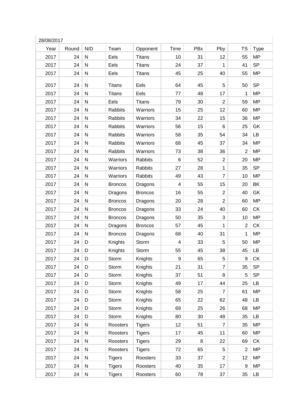| Year | Round | N/D          | Team           | Opponent       | Time | PBx | Pby            | <b>TS</b>      | <b>Type</b> |
|------|-------|--------------|----------------|----------------|------|-----|----------------|----------------|-------------|
| 2017 | 24    | ${\sf N}$    | Eels           | <b>Titans</b>  | 10   | 31  | 12             | 55             | <b>MP</b>   |
| 2017 | 24    | ${\sf N}$    | Eels           | <b>Titans</b>  | 24   | 37  | $\mathbf 1$    | 41             | <b>SP</b>   |
| 2017 | 24    | N            | Eels           | <b>Titans</b>  | 45   | 25  | 40             | 55             | <b>MP</b>   |
| 2017 | 24    | N            | <b>Titans</b>  | Eels           | 64   | 45  | 5              | 50             | <b>SP</b>   |
| 2017 | 24    | $\mathsf{N}$ | <b>Titans</b>  | Eels           | 77   | 48  | 17             | 1              | <b>MP</b>   |
| 2017 | 24    | ${\sf N}$    | Eels           | <b>Titans</b>  | 79   | 30  | $\overline{2}$ | 59             | <b>MP</b>   |
| 2017 | 24    | ${\sf N}$    | <b>Rabbits</b> | Warriors       | 15   | 25  | 12             | 60             | <b>MP</b>   |
| 2017 | 24    | ${\sf N}$    | <b>Rabbits</b> | Warriors       | 34   | 22  | 15             | 36             | <b>MP</b>   |
| 2017 | 24    | N            | <b>Rabbits</b> | Warriors       | 56   | 15  | 6              | 25             | GK          |
| 2017 | 24    | ${\sf N}$    | <b>Rabbits</b> | Warriors       | 58   | 35  | 54             | 34             | LB          |
| 2017 | 24    | ${\sf N}$    | <b>Rabbits</b> | Warriors       | 68   | 45  | 37             | 34             | <b>MP</b>   |
| 2017 | 24    | ${\sf N}$    | Rabbits        | Warriors       | 73   | 38  | 36             | $\overline{2}$ | <b>MP</b>   |
| 2017 | 24    | $\mathsf{N}$ | Warriors       | Rabbits        | 6    | 52  | $\overline{c}$ | 20             | <b>MP</b>   |
| 2017 | 24    | N            | Warriors       | Rabbits        | 27   | 28  | $\mathbf{1}$   | 35             | <b>SP</b>   |
| 2017 | 24    | ${\sf N}$    | Warriors       | Rabbits        | 49   | 43  | $\overline{7}$ | 10             | <b>MP</b>   |
| 2017 | 24    | ${\sf N}$    | <b>Broncos</b> | Dragons        | 4    | 55  | 15             | 20             | BK          |
| 2017 | 24    | ${\sf N}$    | Dragons        | <b>Broncos</b> | 16   | 55  | $\overline{2}$ | 40             | GK          |
| 2017 | 24    | ${\sf N}$    | <b>Broncos</b> | Dragons        | 20   | 28  | $\overline{c}$ | 60             | <b>MP</b>   |
| 2017 | 24    | N            | <b>Broncos</b> | Dragons        | 33   | 24  | 40             | 60             | <b>CK</b>   |
| 2017 | 24    | ${\sf N}$    | <b>Broncos</b> | Dragons        | 50   | 35  | 3              | 10             | <b>MP</b>   |
| 2017 | 24    | ${\sf N}$    | Dragons        | <b>Broncos</b> | 57   | 45  | 1              | $\overline{2}$ | <b>CK</b>   |
| 2017 | 24    | ${\sf N}$    | <b>Broncos</b> | Dragons        | 68   | 40  | 31             | 1              | <b>MP</b>   |
| 2017 | 24    | D            | Knights        | Storm          | 4    | 33  | 5              | 50             | <b>MP</b>   |
| 2017 | 24    | D            | Knights        | Storm          | 55   | 45  | 38             | 45             | LB          |
| 2017 | 24    | D            | Storm          | Knights        | 9    | 65  | 5              | 9              | CK          |
| 2017 | 24    | D            | Storm          | Knights        | 21   | 31  | $\overline{7}$ | 35             | <b>SP</b>   |
| 2017 | 24    | D            | Storm          | Knights        | 37   | 51  | 8              | 5              | <b>SP</b>   |
| 2017 | 24    | D            | Storm          | Knights        | 49   | 17  | 44             | 25             | LB          |
| 2017 | 24    | D            | Storm          | Knights        | 58   | 25  | $\overline{7}$ | 61             | <b>MP</b>   |
| 2017 | 24    | D            | Storm          | Knights        | 65   | 22  | 62             | 48             | LB          |
| 2017 | 24    | D            | Storm          | Knights        | 69   | 25  | 26             | 68             | <b>MP</b>   |
| 2017 | 24    | D            | Storm          | Knights        | 80   | 30  | 48             | 35             | LB          |
| 2017 | 24    | ${\sf N}$    | Roosters       | <b>Tigers</b>  | 12   | 51  | $\overline{7}$ | 35             | <b>MP</b>   |
| 2017 | 24    | ${\sf N}$    | Roosters       | <b>Tigers</b>  | 17   | 45  | 11             | 60             | <b>MP</b>   |
| 2017 | 24    | ${\sf N}$    | Roosters       | <b>Tigers</b>  | 29   | 8   | 22             | 69             | <b>CK</b>   |
| 2017 | 24    | ${\sf N}$    | Roosters       | <b>Tigers</b>  | 72   | 65  | 5              | $\overline{2}$ | <b>MP</b>   |
| 2017 | 24    | ${\sf N}$    | <b>Tigers</b>  | Roosters       | 33   | 37  | $\overline{c}$ | 12             | <b>MP</b>   |
| 2017 | 24    | ${\sf N}$    | <b>Tigers</b>  | Roosters       | 40   | 35  | 17             | 9              | <b>MP</b>   |
| 2017 | 24    | ${\sf N}$    | <b>Tigers</b>  | Roosters       | 60   | 78  | 37             | 35             | LB          |
|      |       |              |                |                |      |     |                |                |             |